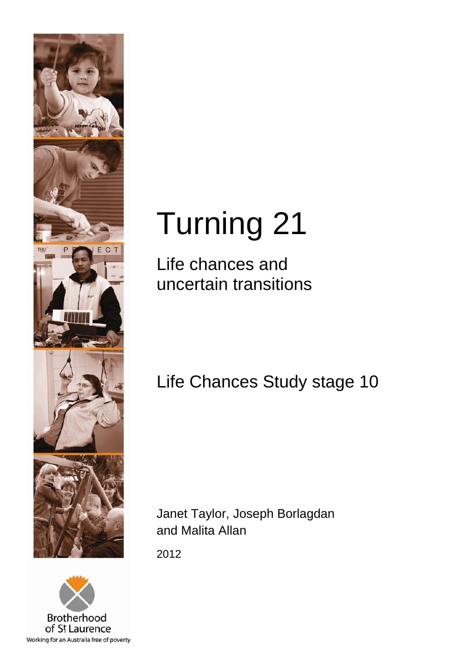



# Turning 21

Life chances and uncertain transitions

## Life Chances Study stage 10

Janet Taylor, Joseph Borlagdan and Malita Allan

2012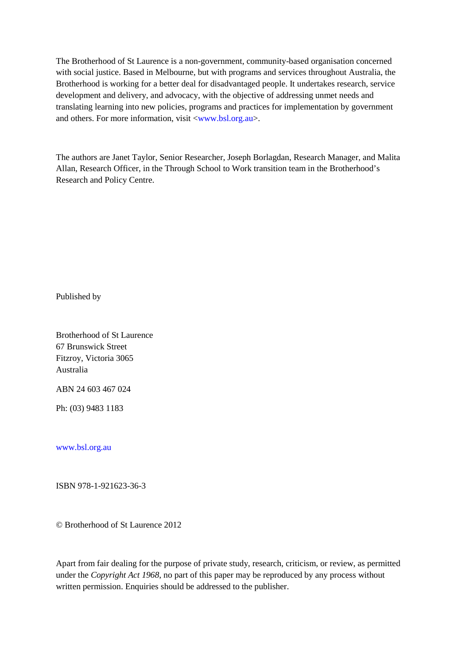The Brotherhood of St Laurence is a non-government, community-based organisation concerned with social justice. Based in Melbourne, but with programs and services throughout Australia, the Brotherhood is working for a better deal for disadvantaged people. It undertakes research, service development and delivery, and advocacy, with the objective of addressing unmet needs and translating learning into new policies, programs and practices for implementation by government and others. For more information, visit [<www.bsl.org.au>](http://www.bsl.org.au/).

The authors are Janet Taylor, Senior Researcher, Joseph Borlagdan, Research Manager, and Malita Allan, Research Officer, in the Through School to Work transition team in the Brotherhood's Research and Policy Centre.

Published by

Brotherhood of St Laurence 67 Brunswick Street Fitzroy, Victoria 3065 Australia

ABN 24 603 467 024

Ph: (03) 9483 1183

[www.bsl.org.au](http://www.bsl.org.au/)

ISBN 978-1-921623-36-3

© Brotherhood of St Laurence 2012

Apart from fair dealing for the purpose of private study, research, criticism, or review, as permitted under the *Copyright Act 1968*, no part of this paper may be reproduced by any process without written permission. Enquiries should be addressed to the publisher.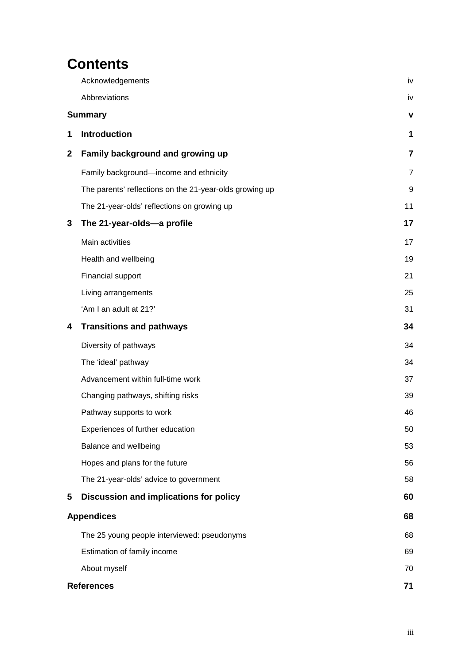## **Contents**

|             | Acknowledgements                                        | iv             |
|-------------|---------------------------------------------------------|----------------|
|             | Abbreviations                                           | iv             |
|             | <b>Summary</b>                                          | v              |
| 1           | <b>Introduction</b>                                     | 1              |
| $\mathbf 2$ | Family background and growing up                        | $\overline{7}$ |
|             | Family background-income and ethnicity                  | $\overline{7}$ |
|             | The parents' reflections on the 21-year-olds growing up | 9              |
|             | The 21-year-olds' reflections on growing up             | 11             |
| 3           | The 21-year-olds-a profile                              | 17             |
|             | Main activities                                         | 17             |
|             | Health and wellbeing                                    | 19             |
|             | Financial support                                       | 21             |
|             | Living arrangements                                     | 25             |
|             | 'Am I an adult at 21?'                                  | 31             |
| 4           | <b>Transitions and pathways</b>                         | 34             |
|             | Diversity of pathways                                   | 34             |
|             | The 'ideal' pathway                                     | 34             |
|             | Advancement within full-time work                       | 37             |
|             | Changing pathways, shifting risks                       | 39             |
|             | Pathway supports to work                                | 46             |
|             | Experiences of further education                        | 50             |
|             | Balance and wellbeing                                   | 53             |
|             | Hopes and plans for the future                          | 56             |
|             | The 21-year-olds' advice to government                  | 58             |
| 5           | Discussion and implications for policy                  | 60             |
|             | <b>Appendices</b>                                       | 68             |
|             | The 25 young people interviewed: pseudonyms             | 68             |
|             | Estimation of family income                             | 69             |
|             | About myself                                            | 70             |
|             | <b>References</b>                                       | 71             |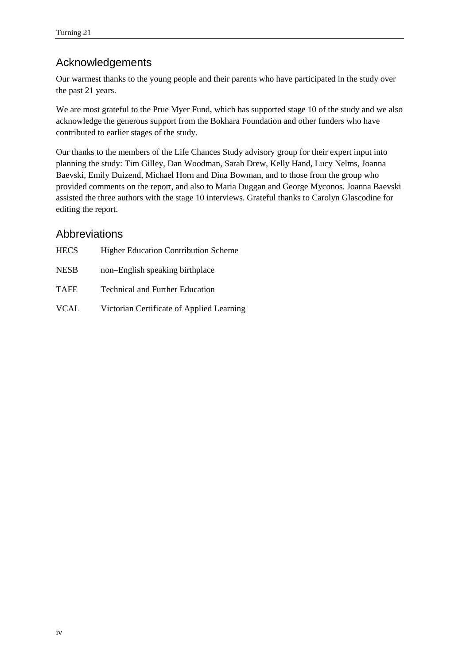## <span id="page-3-0"></span>Acknowledgements

Our warmest thanks to the young people and their parents who have participated in the study over the past 21 years.

We are most grateful to the Prue Myer Fund, which has supported stage 10 of the study and we also acknowledge the generous support from the Bokhara Foundation and other funders who have contributed to earlier stages of the study.

Our thanks to the members of the Life Chances Study advisory group for their expert input into planning the study: Tim Gilley, Dan Woodman, Sarah Drew, Kelly Hand, Lucy Nelms, Joanna Baevski, Emily Duizend, Michael Horn and Dina Bowman, and to those from the group who provided comments on the report, and also to Maria Duggan and George Myconos. Joanna Baevski assisted the three authors with the stage 10 interviews. Grateful thanks to Carolyn Glascodine for editing the report.

## <span id="page-3-1"></span>Abbreviations

| <b>HECS</b> | <b>Higher Education Contribution Scheme</b> |
|-------------|---------------------------------------------|
| <b>NESB</b> | non-English speaking birthplace             |
| <b>TAFE</b> | <b>Technical and Further Education</b>      |
| <b>VCAL</b> | Victorian Certificate of Applied Learning   |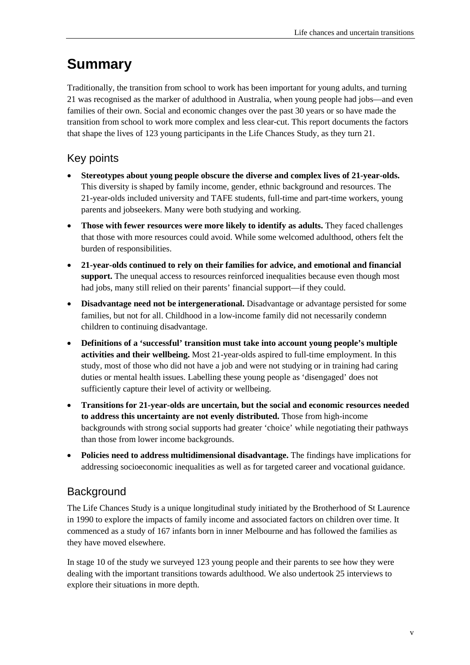## <span id="page-4-0"></span>**Summary**

Traditionally, the transition from school to work has been important for young adults, and turning 21 was recognised as the marker of adulthood in Australia, when young people had jobs—and even families of their own. Social and economic changes over the past 30 years or so have made the transition from school to work more complex and less clear-cut. This report documents the factors that shape the lives of 123 young participants in the Life Chances Study, as they turn 21.

## Key points

- **Stereotypes about young people obscure the diverse and complex lives of 21-year-olds.** This diversity is shaped by family income, gender, ethnic background and resources. The 21-year-olds included university and TAFE students, full-time and part-time workers, young parents and jobseekers. Many were both studying and working.
- **Those with fewer resources were more likely to identify as adults.** They faced challenges that those with more resources could avoid. While some welcomed adulthood, others felt the burden of responsibilities.
- **21-year-olds continued to rely on their families for advice, and emotional and financial support.** The unequal access to resources reinforced inequalities because even though most had jobs, many still relied on their parents' financial support—if they could.
- **Disadvantage need not be intergenerational.** Disadvantage or advantage persisted for some families, but not for all. Childhood in a low-income family did not necessarily condemn children to continuing disadvantage.
- **Definitions of a 'successful' transition must take into account young people's multiple activities and their wellbeing.** Most 21-year-olds aspired to full-time employment. In this study, most of those who did not have a job and were not studying or in training had caring duties or mental health issues. Labelling these young people as 'disengaged' does not sufficiently capture their level of activity or wellbeing.
- **Transitions for 21-year-olds are uncertain, but the social and economic resources needed to address this uncertainty are not evenly distributed.** Those from high-income backgrounds with strong social supports had greater 'choice' while negotiating their pathways than those from lower income backgrounds.
- **Policies need to address multidimensional disadvantage.** The findings have implications for addressing socioeconomic inequalities as well as for targeted career and vocational guidance.

## **Background**

The Life Chances Study is a unique longitudinal study initiated by the Brotherhood of St Laurence in 1990 to explore the impacts of family income and associated factors on children over time. It commenced as a study of 167 infants born in inner Melbourne and has followed the families as they have moved elsewhere.

In stage 10 of the study we surveyed 123 young people and their parents to see how they were dealing with the important transitions towards adulthood. We also undertook 25 interviews to explore their situations in more depth.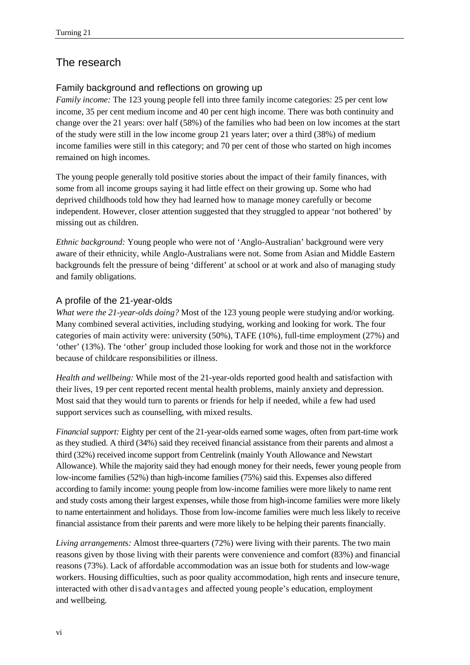## The research

#### Family background and reflections on growing up

*Family income:* The 123 young people fell into three family income categories: 25 per cent low income, 35 per cent medium income and 40 per cent high income. There was both continuity and change over the 21 years: over half (58%) of the families who had been on low incomes at the start of the study were still in the low income group 21 years later; over a third (38%) of medium income families were still in this category; and 70 per cent of those who started on high incomes remained on high incomes.

The young people generally told positive stories about the impact of their family finances, with some from all income groups saying it had little effect on their growing up. Some who had deprived childhoods told how they had learned how to manage money carefully or become independent. However, closer attention suggested that they struggled to appear 'not bothered' by missing out as children.

*Ethnic background:* Young people who were not of 'Anglo-Australian' background were very aware of their ethnicity, while Anglo-Australians were not. Some from Asian and Middle Eastern backgrounds felt the pressure of being 'different' at school or at work and also of managing study and family obligations.

#### A profile of the 21-year-olds

*What were the 21-year-olds doing?* Most of the 123 young people were studying and/or working. Many combined several activities, including studying, working and looking for work. The four categories of main activity were: university (50%), TAFE (10%), full-time employment (27%) and 'other' (13%). The 'other' group included those looking for work and those not in the workforce because of childcare responsibilities or illness.

*Health and wellbeing:* While most of the 21-year-olds reported good health and satisfaction with their lives, 19 per cent reported recent mental health problems, mainly anxiety and depression. Most said that they would turn to parents or friends for help if needed, while a few had used support services such as counselling, with mixed results.

*Financial support:* Eighty per cent of the 21-year-olds earned some wages, often from part-time work as they studied. A third (34%) said they received financial assistance from their parents and almost a third (32%) received income support from Centrelink (mainly Youth Allowance and Newstart Allowance). While the majority said they had enough money for their needs, fewer young people from low-income families (52%) than high-income families (75%) said this. Expenses also differed according to family income: young people from low-income families were more likely to name rent and study costs among their largest expenses, while those from high-income families were more likely to name entertainment and holidays. Those from low-income families were much less likely to receive financial assistance from their parents and were more likely to be helping their parents financially.

*Living arrangement*s*:* Almost three-quarters (72%) were living with their parents. The two main reasons given by those living with their parents were convenience and comfort (83%) and financial reasons (73%). Lack of affordable accommodation was an issue both for students and low-wage workers. Housing difficulties, such as poor quality accommodation, high rents and insecure tenure, interacted with other disadvantages and affected young people's education, employment and wellbeing.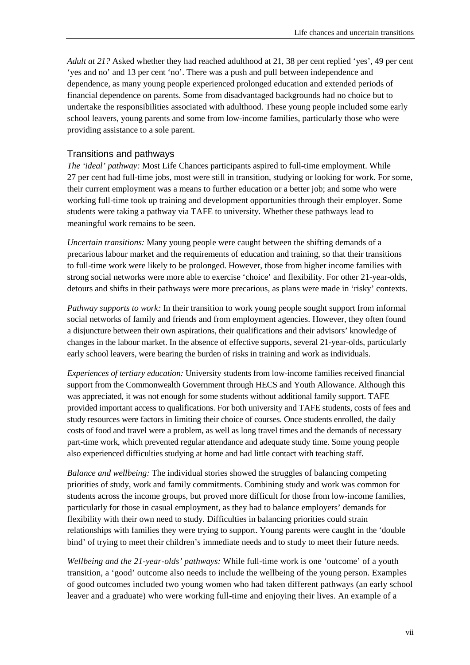*Adult at 21?* Asked whether they had reached adulthood at 21, 38 per cent replied 'yes', 49 per cent 'yes and no' and 13 per cent 'no'. There was a push and pull between independence and dependence, as many young people experienced prolonged education and extended periods of financial dependence on parents. Some from disadvantaged backgrounds had no choice but to undertake the responsibilities associated with adulthood. These young people included some early school leavers, young parents and some from low-income families, particularly those who were providing assistance to a sole parent.

#### Transitions and pathways

*The 'ideal' pathway:* Most Life Chances participants aspired to full-time employment. While 27 per cent had full-time jobs, most were still in transition, studying or looking for work. For some, their current employment was a means to further education or a better job; and some who were working full-time took up training and development opportunities through their employer. Some students were taking a pathway via TAFE to university. Whether these pathways lead to meaningful work remains to be seen.

*Uncertain transitions:* Many young people were caught between the shifting demands of a precarious labour market and the requirements of education and training, so that their transitions to full-time work were likely to be prolonged. However, those from higher income families with strong social networks were more able to exercise 'choice' and flexibility. For other 21-year-olds, detours and shifts in their pathways were more precarious, as plans were made in 'risky' contexts.

*Pathway supports to work:* In their transition to work young people sought support from informal social networks of family and friends and from employment agencies. However, they often found a disjuncture between their own aspirations, their qualifications and their advisors' knowledge of changes in the labour market. In the absence of effective supports, several 21-year-olds, particularly early school leavers, were bearing the burden of risks in training and work as individuals.

*Experiences of tertiary education:* University students from low-income families received financial support from the Commonwealth Government through HECS and Youth Allowance. Although this was appreciated, it was not enough for some students without additional family support. TAFE provided important access to qualifications. For both university and TAFE students, costs of fees and study resources were factors in limiting their choice of courses. Once students enrolled, the daily costs of food and travel were a problem, as well as long travel times and the demands of necessary part-time work, which prevented regular attendance and adequate study time. Some young people also experienced difficulties studying at home and had little contact with teaching staff.

*Balance and wellbeing:* The individual stories showed the struggles of balancing competing priorities of study, work and family commitments. Combining study and work was common for students across the income groups, but proved more difficult for those from low-income families, particularly for those in casual employment, as they had to balance employers' demands for flexibility with their own need to study. Difficulties in balancing priorities could strain relationships with families they were trying to support. Young parents were caught in the 'double bind' of trying to meet their children's immediate needs and to study to meet their future needs.

*Wellbeing and the 21-year-olds' pathways:* While full-time work is one 'outcome' of a youth transition, a 'good' outcome also needs to include the wellbeing of the young person. Examples of good outcomes included two young women who had taken different pathways (an early school leaver and a graduate) who were working full-time and enjoying their lives. An example of a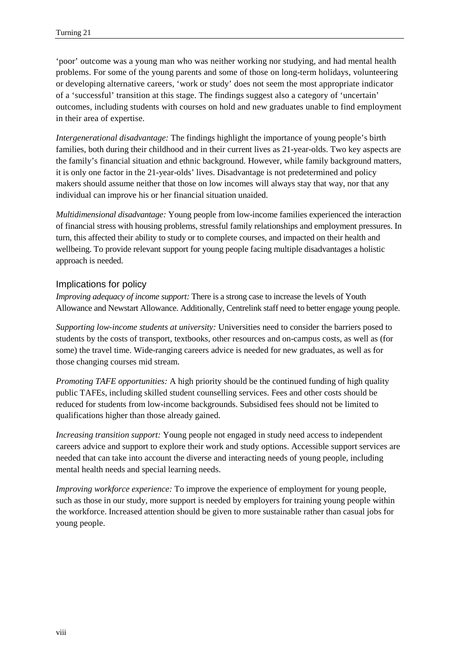'poor' outcome was a young man who was neither working nor studying, and had mental health problems. For some of the young parents and some of those on long-term holidays, volunteering or developing alternative careers, 'work or study' does not seem the most appropriate indicator of a 'successful' transition at this stage. The findings suggest also a category of 'uncertain' outcomes, including students with courses on hold and new graduates unable to find employment in their area of expertise.

*Intergenerational disadvantage:* The findings highlight the importance of young people's birth families, both during their childhood and in their current lives as 21-year-olds. Two key aspects are the family's financial situation and ethnic background. However, while family background matters, it is only one factor in the 21-year-olds' lives. Disadvantage is not predetermined and policy makers should assume neither that those on low incomes will always stay that way, nor that any individual can improve his or her financial situation unaided.

*Multidimensional disadvantage:* Young people from low-income families experienced the interaction of financial stress with housing problems, stressful family relationships and employment pressures. In turn, this affected their ability to study or to complete courses, and impacted on their health and wellbeing. To provide relevant support for young people facing multiple disadvantages a holistic approach is needed.

#### Implications for policy

*Improving adequacy of income support:* There is a strong case to increase the levels of Youth Allowance and Newstart Allowance. Additionally, Centrelink staff need to better engage young people.

*Supporting low-income students at university:* Universities need to consider the barriers posed to students by the costs of transport, textbooks, other resources and on-campus costs, as well as (for some) the travel time. Wide-ranging careers advice is needed for new graduates, as well as for those changing courses mid stream.

*Promoting TAFE opportunities:* A high priority should be the continued funding of high quality public TAFEs, including skilled student counselling services. Fees and other costs should be reduced for students from low-income backgrounds. Subsidised fees should not be limited to qualifications higher than those already gained.

*Increasing transition support:* Young people not engaged in study need access to independent careers advice and support to explore their work and study options. Accessible support services are needed that can take into account the diverse and interacting needs of young people, including mental health needs and special learning needs.

*Improving workforce experience:* To improve the experience of employment for young people, such as those in our study, more support is needed by employers for training young people within the workforce. Increased attention should be given to more sustainable rather than casual jobs for young people.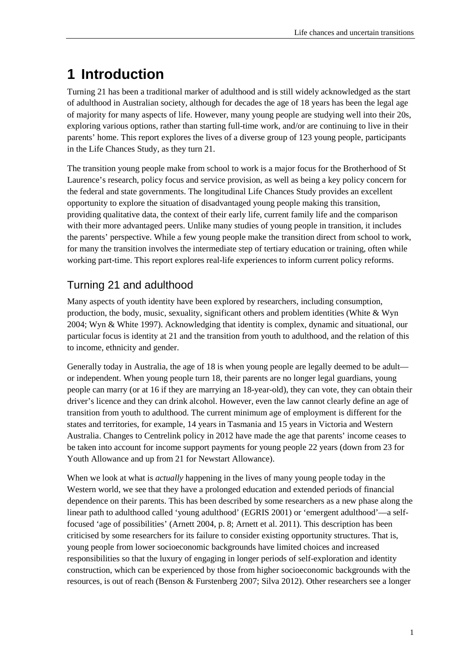## <span id="page-8-0"></span>**1 Introduction**

Turning 21 has been a traditional marker of adulthood and is still widely acknowledged as the start of adulthood in Australian society, although for decades the age of 18 years has been the legal age of majority for many aspects of life. However, many young people are studying well into their 20s, exploring various options, rather than starting full-time work, and/or are continuing to live in their parents' home. This report explores the lives of a diverse group of 123 young people, participants in the Life Chances Study, as they turn 21.

The transition young people make from school to work is a major focus for the Brotherhood of St Laurence's research, policy focus and service provision, as well as being a key policy concern for the federal and state governments. The longitudinal Life Chances Study provides an excellent opportunity to explore the situation of disadvantaged young people making this transition, providing qualitative data, the context of their early life, current family life and the comparison with their more advantaged peers. Unlike many studies of young people in transition, it includes the parents' perspective. While a few young people make the transition direct from school to work, for many the transition involves the intermediate step of tertiary education or training, often while working part-time. This report explores real-life experiences to inform current policy reforms.

## Turning 21 and adulthood

Many aspects of youth identity have been explored by researchers, including consumption, production, the body, music, sexuality, significant others and problem identities (White & Wyn 2004; Wyn & White 1997). Acknowledging that identity is complex, dynamic and situational, our particular focus is identity at 21 and the transition from youth to adulthood, and the relation of this to income, ethnicity and gender.

Generally today in Australia, the age of 18 is when young people are legally deemed to be adult or independent. When young people turn 18, their parents are no longer legal guardians, young people can marry (or at 16 if they are marrying an 18-year-old), they can vote, they can obtain their driver's licence and they can drink alcohol. However, even the law cannot clearly define an age of transition from youth to adulthood. The current minimum age of employment is different for the states and territories, for example, 14 years in Tasmania and 15 years in Victoria and Western Australia. Changes to Centrelink policy in 2012 have made the age that parents' income ceases to be taken into account for income support payments for young people 22 years (down from 23 for Youth Allowance and up from 21 for Newstart Allowance).

When we look at what is *actually* happening in the lives of many young people today in the Western world, we see that they have a prolonged education and extended periods of financial dependence on their parents. This has been described by some researchers as a new phase along the linear path to adulthood called 'young adulthood' (EGRIS 2001) or 'emergent adulthood'—a selffocused 'age of possibilities' (Arnett 2004, p. 8; Arnett et al. 2011). This description has been criticised by some researchers for its failure to consider existing opportunity structures. That is, young people from lower socioeconomic backgrounds have limited choices and increased responsibilities so that the luxury of engaging in longer periods of self-exploration and identity construction, which can be experienced by those from higher socioeconomic backgrounds with the resources, is out of reach (Benson & Furstenberg 2007; Silva 2012). Other researchers see a longer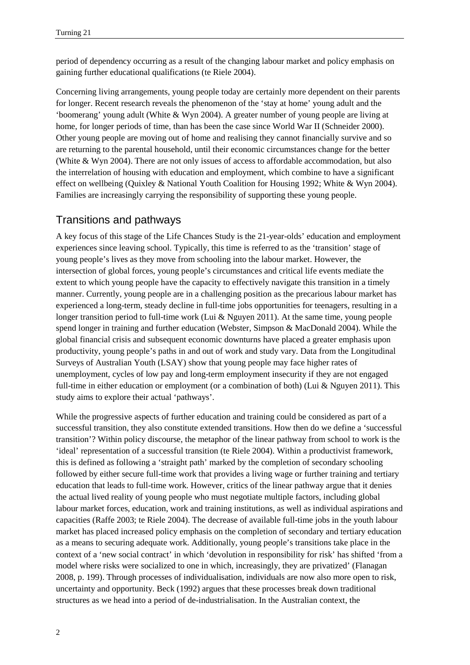period of dependency occurring as a result of the changing labour market and policy emphasis on gaining further educational qualifications (te Riele 2004).

Concerning living arrangements, young people today are certainly more dependent on their parents for longer. Recent research reveals the phenomenon of the 'stay at home' young adult and the 'boomerang' young adult (White & Wyn 2004). A greater number of young people are living at home, for longer periods of time, than has been the case since World War II (Schneider 2000). Other young people are moving out of home and realising they cannot financially survive and so are returning to the parental household, until their economic circumstances change for the better (White & Wyn 2004). There are not only issues of access to affordable accommodation, but also the interrelation of housing with education and employment, which combine to have a significant effect on wellbeing (Quixley & National Youth Coalition for Housing 1992; White & Wyn 2004). Families are increasingly carrying the responsibility of supporting these young people.

#### Transitions and pathways

A key focus of this stage of the Life Chances Study is the 21-year-olds' education and employment experiences since leaving school. Typically, this time is referred to as the 'transition' stage of young people's lives as they move from schooling into the labour market. However, the intersection of global forces, young people's circumstances and critical life events mediate the extent to which young people have the capacity to effectively navigate this transition in a timely manner. Currently, young people are in a challenging position as the precarious labour market has experienced a long-term, steady decline in full-time jobs opportunities for teenagers, resulting in a longer transition period to full-time work (Lui & Nguyen 2011). At the same time, young people spend longer in training and further education (Webster, Simpson & MacDonald 2004). While the global financial crisis and subsequent economic downturns have placed a greater emphasis upon productivity, young people's paths in and out of work and study vary. Data from the Longitudinal Surveys of Australian Youth (LSAY) show that young people may face higher rates of unemployment, cycles of low pay and long-term employment insecurity if they are not engaged full-time in either education or employment (or a combination of both) (Lui & Nguyen 2011). This study aims to explore their actual 'pathways'.

While the progressive aspects of further education and training could be considered as part of a successful transition, they also constitute extended transitions. How then do we define a 'successful transition'? Within policy discourse, the metaphor of the linear pathway from school to work is the 'ideal' representation of a successful transition (te Riele 2004). Within a productivist framework, this is defined as following a 'straight path' marked by the completion of secondary schooling followed by either secure full-time work that provides a living wage or further training and tertiary education that leads to full-time work. However, critics of the linear pathway argue that it denies the actual lived reality of young people who must negotiate multiple factors, including global labour market forces, education, work and training institutions, as well as individual aspirations and capacities (Raffe 2003; te Riele 2004). The decrease of available full-time jobs in the youth labour market has placed increased policy emphasis on the completion of secondary and tertiary education as a means to securing adequate work. Additionally, young people's transitions take place in the context of a 'new social contract' in which 'devolution in responsibility for risk' has shifted 'from a model where risks were socialized to one in which, increasingly, they are privatized' (Flanagan 2008, p. 199). Through processes of individualisation, individuals are now also more open to risk, uncertainty and opportunity. Beck (1992) argues that these processes break down traditional structures as we head into a period of de-industrialisation. In the Australian context, the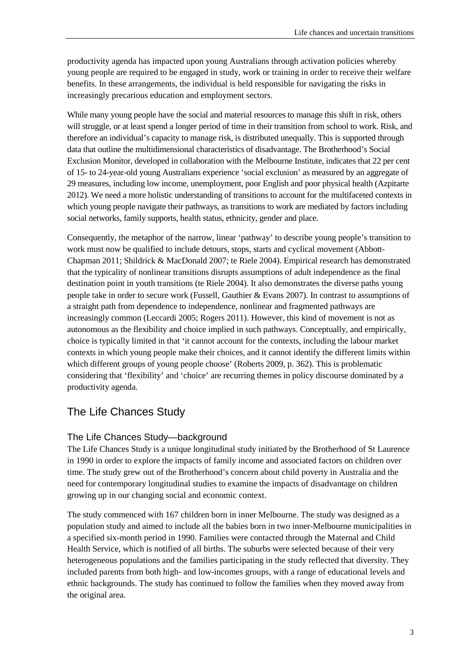productivity agenda has impacted upon young Australians through activation policies whereby young people are required to be engaged in study, work or training in order to receive their welfare benefits. In these arrangements, the individual is held responsible for navigating the risks in increasingly precarious education and employment sectors.

While many young people have the social and material resources to manage this shift in risk, others will struggle, or at least spend a longer period of time in their transition from school to work. Risk, and therefore an individual's capacity to manage risk, is distributed unequally. This is supported through data that outline the multidimensional characteristics of disadvantage. The Brotherhood's Social Exclusion Monitor, developed in collaboration with the Melbourne Institute, indicates that 22 per cent of 15- to 24-year-old young Australians experience 'social exclusion' as measured by an aggregate of 29 measures, including low income, unemployment, poor English and poor physical health (Azpitarte 2012). We need a more holistic understanding of transitions to account for the multifaceted contexts in which young people navigate their pathways, as transitions to work are mediated by factors including social networks, family supports, health status, ethnicity, gender and place.

Consequently, the metaphor of the narrow, linear 'pathway' to describe young people's transition to work must now be qualified to include detours, stops, starts and cyclical movement (Abbott-Chapman 2011; Shildrick & MacDonald 2007; te Riele 2004). Empirical research has demonstrated that the typicality of nonlinear transitions disrupts assumptions of adult independence as the final destination point in youth transitions (te Riele 2004). It also demonstrates the diverse paths young people take in order to secure work (Fussell, Gauthier & Evans 2007). In contrast to assumptions of a straight path from dependence to independence, nonlinear and fragmented pathways are increasingly common (Leccardi 2005; Rogers 2011). However, this kind of movement is not as autonomous as the flexibility and choice implied in such pathways. Conceptually, and empirically, choice is typically limited in that 'it cannot account for the contexts, including the labour market contexts in which young people make their choices, and it cannot identify the different limits within which different groups of young people choose' (Roberts 2009, p. 362). This is problematic considering that 'flexibility' and 'choice' are recurring themes in policy discourse dominated by a productivity agenda.

## The Life Chances Study

#### The Life Chances Study—background

The Life Chances Study is a unique longitudinal study initiated by the Brotherhood of St Laurence in 1990 in order to explore the impacts of family income and associated factors on children over time. The study grew out of the Brotherhood's concern about child poverty in Australia and the need for contemporary longitudinal studies to examine the impacts of disadvantage on children growing up in our changing social and economic context.

The study commenced with 167 children born in inner Melbourne. The study was designed as a population study and aimed to include all the babies born in two inner-Melbourne municipalities in a specified six-month period in 1990. Families were contacted through the Maternal and Child Health Service, which is notified of all births. The suburbs were selected because of their very heterogeneous populations and the families participating in the study reflected that diversity. They included parents from both high- and low-incomes groups, with a range of educational levels and ethnic backgrounds. The study has continued to follow the families when they moved away from the original area.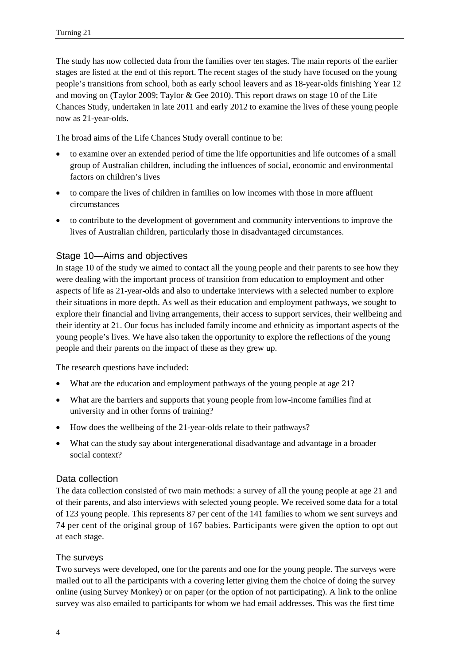The study has now collected data from the families over ten stages. The main reports of the earlier stages are listed at the end of this report. The recent stages of the study have focused on the young people's transitions from school, both as early school leavers and as 18-year-olds finishing Year 12 and moving on (Taylor 2009; Taylor & Gee 2010). This report draws on stage 10 of the Life Chances Study, undertaken in late 2011 and early 2012 to examine the lives of these young people now as 21-year-olds.

The broad aims of the Life Chances Study overall continue to be:

- to examine over an extended period of time the life opportunities and life outcomes of a small group of Australian children, including the influences of social, economic and environmental factors on children's lives
- to compare the lives of children in families on low incomes with those in more affluent circumstances
- to contribute to the development of government and community interventions to improve the lives of Australian children, particularly those in disadvantaged circumstances.

#### Stage 10—Aims and objectives

In stage 10 of the study we aimed to contact all the young people and their parents to see how they were dealing with the important process of transition from education to employment and other aspects of life as 21-year-olds and also to undertake interviews with a selected number to explore their situations in more depth. As well as their education and employment pathways, we sought to explore their financial and living arrangements, their access to support services, their wellbeing and their identity at 21. Our focus has included family income and ethnicity as important aspects of the young people's lives. We have also taken the opportunity to explore the reflections of the young people and their parents on the impact of these as they grew up.

The research questions have included:

- What are the education and employment pathways of the young people at age 21?
- What are the barriers and supports that young people from low-income families find at university and in other forms of training?
- How does the wellbeing of the 21-year-olds relate to their pathways?
- What can the study say about intergenerational disadvantage and advantage in a broader social context?

#### Data collection

The data collection consisted of two main methods: a survey of all the young people at age 21 and of their parents, and also interviews with selected young people. We received some data for a total of 123 young people. This represents 87 per cent of the 141 families to whom we sent surveys and 74 per cent of the original group of 167 babies. Participants were given the option to opt out at each stage.

#### The surveys

Two surveys were developed, one for the parents and one for the young people. The surveys were mailed out to all the participants with a covering letter giving them the choice of doing the survey online (using Survey Monkey) or on paper (or the option of not participating). A link to the online survey was also emailed to participants for whom we had email addresses. This was the first time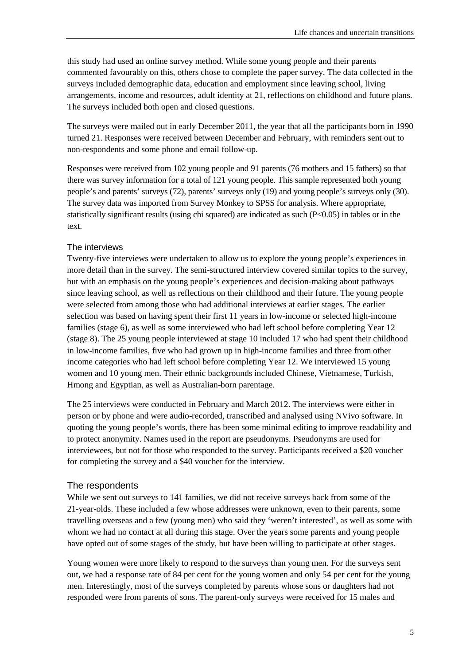this study had used an online survey method. While some young people and their parents commented favourably on this, others chose to complete the paper survey. The data collected in the surveys included demographic data, education and employment since leaving school, living arrangements, income and resources, adult identity at 21, reflections on childhood and future plans. The surveys included both open and closed questions.

The surveys were mailed out in early December 2011, the year that all the participants born in 1990 turned 21. Responses were received between December and February, with reminders sent out to non-respondents and some phone and email follow-up.

Responses were received from 102 young people and 91 parents (76 mothers and 15 fathers) so that there was survey information for a total of 121 young people. This sample represented both young people's and parents' surveys (72), parents' surveys only (19) and young people's surveys only (30). The survey data was imported from Survey Monkey to SPSS for analysis. Where appropriate, statistically significant results (using chi squared) are indicated as such (P<0.05) in tables or in the text.

#### The interviews

Twenty-five interviews were undertaken to allow us to explore the young people's experiences in more detail than in the survey. The semi-structured interview covered similar topics to the survey, but with an emphasis on the young people's experiences and decision-making about pathways since leaving school, as well as reflections on their childhood and their future. The young people were selected from among those who had additional interviews at earlier stages. The earlier selection was based on having spent their first 11 years in low-income or selected high-income families (stage 6), as well as some interviewed who had left school before completing Year 12 (stage 8). The 25 young people interviewed at stage 10 included 17 who had spent their childhood in low-income families, five who had grown up in high-income families and three from other income categories who had left school before completing Year 12. We interviewed 15 young women and 10 young men. Their ethnic backgrounds included Chinese, Vietnamese, Turkish, Hmong and Egyptian, as well as Australian-born parentage.

The 25 interviews were conducted in February and March 2012. The interviews were either in person or by phone and were audio-recorded, transcribed and analysed using NVivo software. In quoting the young people's words, there has been some minimal editing to improve readability and to protect anonymity. Names used in the report are pseudonyms. Pseudonyms are used for interviewees, but not for those who responded to the survey. Participants received a \$20 voucher for completing the survey and a \$40 voucher for the interview.

#### The respondents

While we sent out surveys to 141 families, we did not receive surveys back from some of the 21-year-olds. These included a few whose addresses were unknown, even to their parents, some travelling overseas and a few (young men) who said they 'weren't interested', as well as some with whom we had no contact at all during this stage. Over the years some parents and young people have opted out of some stages of the study, but have been willing to participate at other stages.

Young women were more likely to respond to the surveys than young men. For the surveys sent out, we had a response rate of 84 per cent for the young women and only 54 per cent for the young men. Interestingly, most of the surveys completed by parents whose sons or daughters had not responded were from parents of sons. The parent-only surveys were received for 15 males and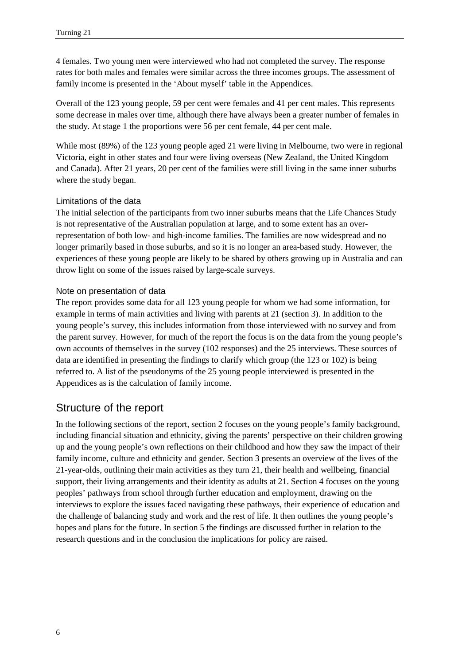4 females. Two young men were interviewed who had not completed the survey. The response rates for both males and females were similar across the three incomes groups. The assessment of family income is presented in the 'About myself' table in the Appendices.

Overall of the 123 young people, 59 per cent were females and 41 per cent males. This represents some decrease in males over time, although there have always been a greater number of females in the study. At stage 1 the proportions were 56 per cent female, 44 per cent male.

While most (89%) of the 123 young people aged 21 were living in Melbourne, two were in regional Victoria, eight in other states and four were living overseas (New Zealand, the United Kingdom and Canada). After 21 years, 20 per cent of the families were still living in the same inner suburbs where the study began.

#### Limitations of the data

The initial selection of the participants from two inner suburbs means that the Life Chances Study is not representative of the Australian population at large, and to some extent has an overrepresentation of both low- and high-income families. The families are now widespread and no longer primarily based in those suburbs, and so it is no longer an area-based study. However, the experiences of these young people are likely to be shared by others growing up in Australia and can throw light on some of the issues raised by large-scale surveys.

#### Note on presentation of data

The report provides some data for all 123 young people for whom we had some information, for example in terms of main activities and living with parents at 21 (section 3). In addition to the young people's survey, this includes information from those interviewed with no survey and from the parent survey. However, for much of the report the focus is on the data from the young people's own accounts of themselves in the survey (102 responses) and the 25 interviews. These sources of data are identified in presenting the findings to clarify which group (the 123 or 102) is being referred to. A list of the pseudonyms of the 25 young people interviewed is presented in the Appendices as is the calculation of family income.

#### Structure of the report

In the following sections of the report, section 2 focuses on the young people's family background, including financial situation and ethnicity, giving the parents' perspective on their children growing up and the young people's own reflections on their childhood and how they saw the impact of their family income, culture and ethnicity and gender. Section 3 presents an overview of the lives of the 21-year-olds, outlining their main activities as they turn 21, their health and wellbeing, financial support, their living arrangements and their identity as adults at 21. Section 4 focuses on the young peoples' pathways from school through further education and employment, drawing on the interviews to explore the issues faced navigating these pathways, their experience of education and the challenge of balancing study and work and the rest of life. It then outlines the young people's hopes and plans for the future. In section 5 the findings are discussed further in relation to the research questions and in the conclusion the implications for policy are raised.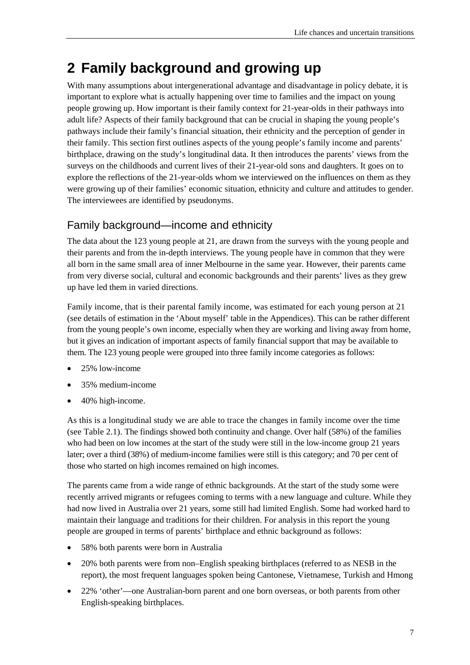## <span id="page-14-0"></span>**2 Family background and growing up**

With many assumptions about intergenerational advantage and disadvantage in policy debate, it is important to explore what is actually happening over time to families and the impact on young people growing up. How important is their family context for 21-year-olds in their pathways into adult life? Aspects of their family background that can be crucial in shaping the young people's pathways include their family's financial situation, their ethnicity and the perception of gender in their family. This section first outlines aspects of the young people's family income and parents' birthplace, drawing on the study's longitudinal data. It then introduces the parents' views from the surveys on the childhoods and current lives of their 21-year-old sons and daughters. It goes on to explore the reflections of the 21-year-olds whom we interviewed on the influences on them as they were growing up of their families' economic situation, ethnicity and culture and attitudes to gender. The interviewees are identified by pseudonyms.

## <span id="page-14-1"></span>Family background—income and ethnicity

The data about the 123 young people at 21, are drawn from the surveys with the young people and their parents and from the in-depth interviews. The young people have in common that they were all born in the same small area of inner Melbourne in the same year. However, their parents came from very diverse social, cultural and economic backgrounds and their parents' lives as they grew up have led them in varied directions.

Family income, that is their parental family income, was estimated for each young person at 21 (see details of estimation in the 'About myself' table in the Appendices). This can be rather different from the young people's own income, especially when they are working and living away from home, but it gives an indication of important aspects of family financial support that may be available to them. The 123 young people were grouped into three family income categories as follows:

- 25% low-income
- 35% medium-income
- 40% high-income.

As this is a longitudinal study we are able to trace the changes in family income over the time (see Table 2.1). The findings showed both continuity and change. Over half (58%) of the families who had been on low incomes at the start of the study were still in the low-income group 21 years later; over a third (38%) of medium-income families were still is this category; and 70 per cent of those who started on high incomes remained on high incomes.

The parents came from a wide range of ethnic backgrounds. At the start of the study some were recently arrived migrants or refugees coming to terms with a new language and culture. While they had now lived in Australia over 21 years, some still had limited English. Some had worked hard to maintain their language and traditions for their children. For analysis in this report the young people are grouped in terms of parents' birthplace and ethnic background as follows:

- 58% both parents were born in Australia
- 20% both parents were from non–English speaking birthplaces (referred to as NESB in the report), the most frequent languages spoken being Cantonese, Vietnamese, Turkish and Hmong
- 22% 'other'—one Australian-born parent and one born overseas, or both parents from other English-speaking birthplaces.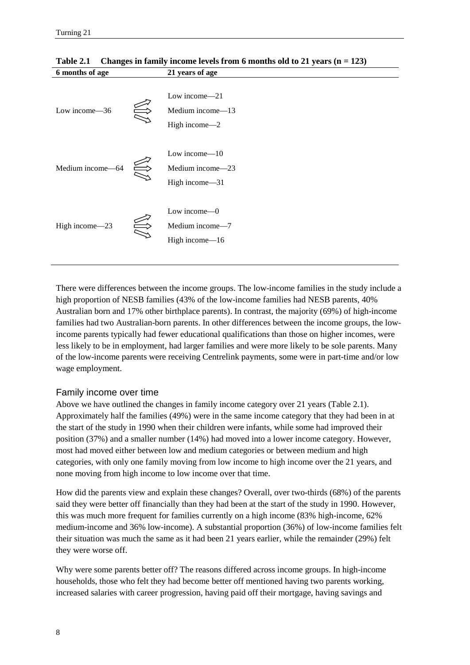| 6 months of age   |     | 21 years of age                                        |
|-------------------|-----|--------------------------------------------------------|
| Low income-36     | ZUZ | Low income $-21$<br>Medium income-13<br>High income-2  |
| Medium income-64  |     | Low income $-10$<br>Medium income-23<br>High income-31 |
| High income $-23$ | AB  | Low income $-0$<br>Medium income-7<br>High income-16   |

**Table 2.1 Changes in family income levels from 6 months old to 21 years (n = 123)**

There were differences between the income groups. The low-income families in the study include a high proportion of NESB families (43% of the low-income families had NESB parents, 40% Australian born and 17% other birthplace parents). In contrast, the majority (69%) of high-income families had two Australian-born parents. In other differences between the income groups, the lowincome parents typically had fewer educational qualifications than those on higher incomes, were less likely to be in employment, had larger families and were more likely to be sole parents. Many of the low-income parents were receiving Centrelink payments, some were in part-time and/or low wage employment.

#### Family income over time

Above we have outlined the changes in family income category over 21 years (Table 2.1). Approximately half the families (49%) were in the same income category that they had been in at the start of the study in 1990 when their children were infants, while some had improved their position (37%) and a smaller number (14%) had moved into a lower income category. However, most had moved either between low and medium categories or between medium and high categories, with only one family moving from low income to high income over the 21 years, and none moving from high income to low income over that time.

How did the parents view and explain these changes? Overall, over two-thirds (68%) of the parents said they were better off financially than they had been at the start of the study in 1990. However, this was much more frequent for families currently on a high income (83% high-income, 62% medium-income and 36% low-income). A substantial proportion (36%) of low-income families felt their situation was much the same as it had been 21 years earlier, while the remainder (29%) felt they were worse off.

Why were some parents better off? The reasons differed across income groups. In high-income households, those who felt they had become better off mentioned having two parents working, increased salaries with career progression, having paid off their mortgage, having savings and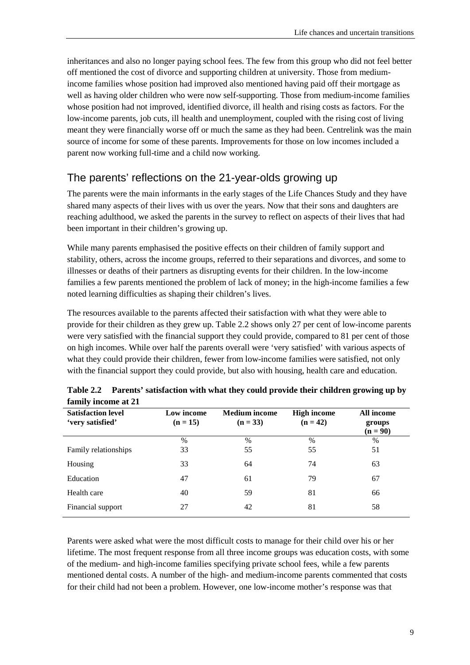inheritances and also no longer paying school fees. The few from this group who did not feel better off mentioned the cost of divorce and supporting children at university. Those from mediumincome families whose position had improved also mentioned having paid off their mortgage as well as having older children who were now self-supporting. Those from medium-income families whose position had not improved, identified divorce, ill health and rising costs as factors. For the low-income parents, job cuts, ill health and unemployment, coupled with the rising cost of living meant they were financially worse off or much the same as they had been. Centrelink was the main source of income for some of these parents. Improvements for those on low incomes included a parent now working full-time and a child now working.

## <span id="page-16-0"></span>The parents' reflections on the 21-year-olds growing up

The parents were the main informants in the early stages of the Life Chances Study and they have shared many aspects of their lives with us over the years. Now that their sons and daughters are reaching adulthood, we asked the parents in the survey to reflect on aspects of their lives that had been important in their children's growing up.

While many parents emphasised the positive effects on their children of family support and stability, others, across the income groups, referred to their separations and divorces, and some to illnesses or deaths of their partners as disrupting events for their children. In the low-income families a few parents mentioned the problem of lack of money; in the high-income families a few noted learning difficulties as shaping their children's lives.

The resources available to the parents affected their satisfaction with what they were able to provide for their children as they grew up. Table 2.2 shows only 27 per cent of low-income parents were very satisfied with the financial support they could provide, compared to 81 per cent of those on high incomes. While over half the parents overall were 'very satisfied' with various aspects of what they could provide their children, fewer from low-income families were satisfied, not only with the financial support they could provide, but also with housing, health care and education.

| <b>Satisfaction level</b><br>'very satisfied' | Low income<br>$(n = 15)$ | <b>Medium</b> income<br>$(n = 33)$ | <b>High income</b><br>$(n = 42)$ | All income<br>groups<br>$(n = 90)$ |
|-----------------------------------------------|--------------------------|------------------------------------|----------------------------------|------------------------------------|
|                                               | $\%$                     | $\%$                               | $\%$                             | $\%$                               |
| Family relationships                          | 33                       | 55                                 | 55                               | 51                                 |
| Housing                                       | 33                       | 64                                 | 74                               | 63                                 |
| Education                                     | 47                       | 61                                 | 79                               | 67                                 |
| Health care                                   | 40                       | 59                                 | 81                               | 66                                 |
| Financial support                             | 27                       | 42                                 | 81                               | 58                                 |

**Table 2.2 Parents' satisfaction with what they could provide their children growing up by family income at 21**

Parents were asked what were the most difficult costs to manage for their child over his or her lifetime. The most frequent response from all three income groups was education costs, with some of the medium- and high-income families specifying private school fees, while a few parents mentioned dental costs. A number of the high- and medium-income parents commented that costs for their child had not been a problem. However, one low-income mother's response was that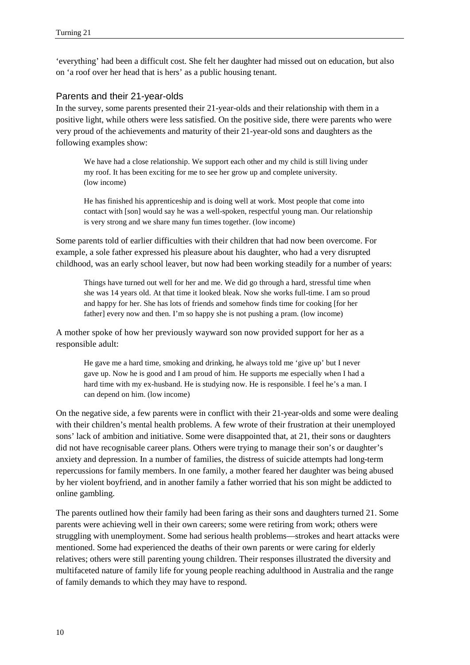'everything' had been a difficult cost. She felt her daughter had missed out on education, but also on 'a roof over her head that is hers' as a public housing tenant.

#### Parents and their 21-year-olds

In the survey, some parents presented their 21-year-olds and their relationship with them in a positive light, while others were less satisfied. On the positive side, there were parents who were very proud of the achievements and maturity of their 21-year-old sons and daughters as the following examples show:

We have had a close relationship. We support each other and my child is still living under my roof. It has been exciting for me to see her grow up and complete university. (low income)

He has finished his apprenticeship and is doing well at work. Most people that come into contact with [son] would say he was a well-spoken, respectful young man. Our relationship is very strong and we share many fun times together. (low income)

Some parents told of earlier difficulties with their children that had now been overcome. For example, a sole father expressed his pleasure about his daughter, who had a very disrupted childhood, was an early school leaver, but now had been working steadily for a number of years:

Things have turned out well for her and me. We did go through a hard, stressful time when she was 14 years old. At that time it looked bleak. Now she works full-time. I am so proud and happy for her. She has lots of friends and somehow finds time for cooking [for her father] every now and then. I'm so happy she is not pushing a pram. (low income)

A mother spoke of how her previously wayward son now provided support for her as a responsible adult:

He gave me a hard time, smoking and drinking, he always told me 'give up' but I never gave up. Now he is good and I am proud of him. He supports me especially when I had a hard time with my ex-husband. He is studying now. He is responsible. I feel he's a man. I can depend on him. (low income)

On the negative side, a few parents were in conflict with their 21-year-olds and some were dealing with their children's mental health problems. A few wrote of their frustration at their unemployed sons' lack of ambition and initiative. Some were disappointed that, at 21, their sons or daughters did not have recognisable career plans. Others were trying to manage their son's or daughter's anxiety and depression. In a number of families, the distress of suicide attempts had long-term repercussions for family members. In one family, a mother feared her daughter was being abused by her violent boyfriend, and in another family a father worried that his son might be addicted to online gambling.

The parents outlined how their family had been faring as their sons and daughters turned 21. Some parents were achieving well in their own careers; some were retiring from work; others were struggling with unemployment. Some had serious health problems—strokes and heart attacks were mentioned. Some had experienced the deaths of their own parents or were caring for elderly relatives; others were still parenting young children. Their responses illustrated the diversity and multifaceted nature of family life for young people reaching adulthood in Australia and the range of family demands to which they may have to respond.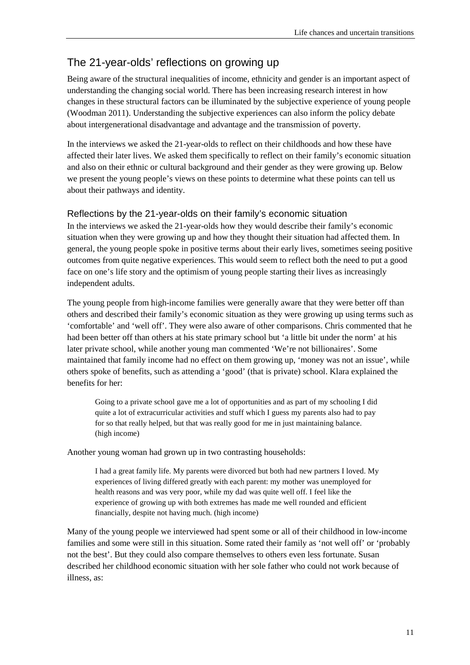## <span id="page-18-0"></span>The 21-year-olds' reflections on growing up

Being aware of the structural inequalities of income, ethnicity and gender is an important aspect of understanding the changing social world. There has been increasing research interest in how changes in these structural factors can be illuminated by the subjective experience of young people (Woodman 2011). Understanding the subjective experiences can also inform the policy debate about intergenerational disadvantage and advantage and the transmission of poverty.

In the interviews we asked the 21-year-olds to reflect on their childhoods and how these have affected their later lives. We asked them specifically to reflect on their family's economic situation and also on their ethnic or cultural background and their gender as they were growing up. Below we present the young people's views on these points to determine what these points can tell us about their pathways and identity.

#### Reflections by the 21-year-olds on their family's economic situation

In the interviews we asked the 21-year-olds how they would describe their family's economic situation when they were growing up and how they thought their situation had affected them. In general, the young people spoke in positive terms about their early lives, sometimes seeing positive outcomes from quite negative experiences. This would seem to reflect both the need to put a good face on one's life story and the optimism of young people starting their lives as increasingly independent adults.

The young people from high-income families were generally aware that they were better off than others and described their family's economic situation as they were growing up using terms such as 'comfortable' and 'well off'. They were also aware of other comparisons. Chris commented that he had been better off than others at his state primary school but 'a little bit under the norm' at his later private school, while another young man commented 'We're not billionaires'. Some maintained that family income had no effect on them growing up, 'money was not an issue', while others spoke of benefits, such as attending a 'good' (that is private) school. Klara explained the benefits for her:

Going to a private school gave me a lot of opportunities and as part of my schooling I did quite a lot of extracurricular activities and stuff which I guess my parents also had to pay for so that really helped, but that was really good for me in just maintaining balance. (high income)

Another young woman had grown up in two contrasting households:

I had a great family life. My parents were divorced but both had new partners I loved. My experiences of living differed greatly with each parent: my mother was unemployed for health reasons and was very poor, while my dad was quite well off. I feel like the experience of growing up with both extremes has made me well rounded and efficient financially, despite not having much. (high income)

Many of the young people we interviewed had spent some or all of their childhood in low-income families and some were still in this situation. Some rated their family as 'not well off' or 'probably not the best'. But they could also compare themselves to others even less fortunate. Susan described her childhood economic situation with her sole father who could not work because of illness, as: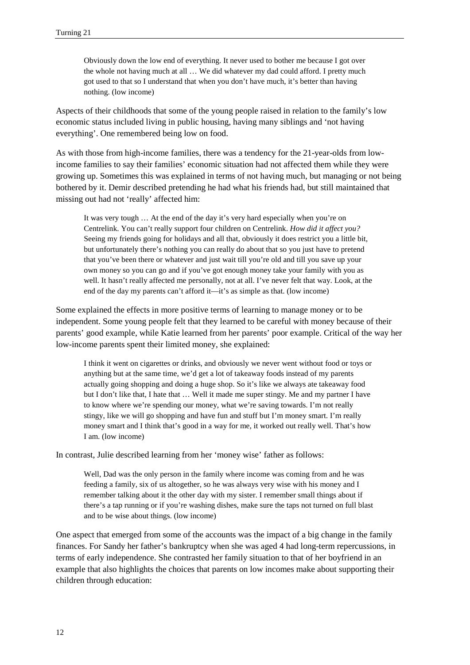Obviously down the low end of everything. It never used to bother me because I got over the whole not having much at all … We did whatever my dad could afford. I pretty much got used to that so I understand that when you don't have much, it's better than having nothing. (low income)

Aspects of their childhoods that some of the young people raised in relation to the family's low economic status included living in public housing, having many siblings and 'not having everything'. One remembered being low on food.

As with those from high-income families, there was a tendency for the 21-year-olds from lowincome families to say their families' economic situation had not affected them while they were growing up. Sometimes this was explained in terms of not having much, but managing or not being bothered by it. Demir described pretending he had what his friends had, but still maintained that missing out had not 'really' affected him:

It was very tough … At the end of the day it's very hard especially when you're on Centrelink. You can't really support four children on Centrelink. *How did it affect you?* Seeing my friends going for holidays and all that, obviously it does restrict you a little bit, but unfortunately there's nothing you can really do about that so you just have to pretend that you've been there or whatever and just wait till you're old and till you save up your own money so you can go and if you've got enough money take your family with you as well. It hasn't really affected me personally, not at all. I've never felt that way. Look, at the end of the day my parents can't afford it—it's as simple as that. (low income)

Some explained the effects in more positive terms of learning to manage money or to be independent. Some young people felt that they learned to be careful with money because of their parents' good example, while Katie learned from her parents' poor example. Critical of the way her low-income parents spent their limited money, she explained:

I think it went on cigarettes or drinks, and obviously we never went without food or toys or anything but at the same time, we'd get a lot of takeaway foods instead of my parents actually going shopping and doing a huge shop. So it's like we always ate takeaway food but I don't like that, I hate that … Well it made me super stingy. Me and my partner I have to know where we're spending our money, what we're saving towards. I'm not really stingy, like we will go shopping and have fun and stuff but I'm money smart. I'm really money smart and I think that's good in a way for me, it worked out really well. That's how I am. (low income)

In contrast, Julie described learning from her 'money wise' father as follows:

Well, Dad was the only person in the family where income was coming from and he was feeding a family, six of us altogether, so he was always very wise with his money and I remember talking about it the other day with my sister. I remember small things about if there's a tap running or if you're washing dishes, make sure the taps not turned on full blast and to be wise about things. (low income)

One aspect that emerged from some of the accounts was the impact of a big change in the family finances. For Sandy her father's bankruptcy when she was aged 4 had long-term repercussions, in terms of early independence. She contrasted her family situation to that of her boyfriend in an example that also highlights the choices that parents on low incomes make about supporting their children through education: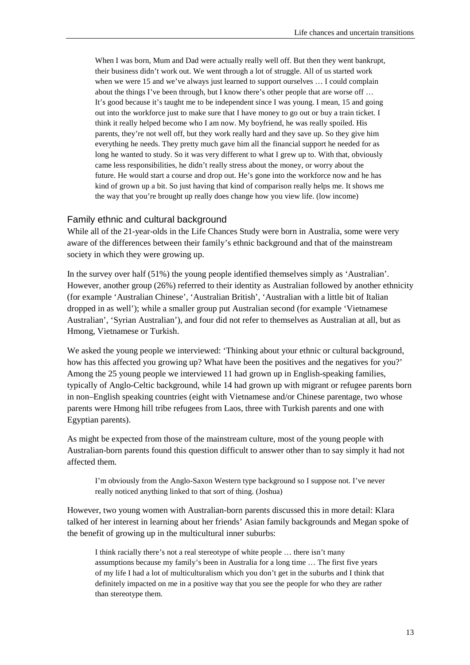When I was born, Mum and Dad were actually really well off. But then they went bankrupt, their business didn't work out. We went through a lot of struggle. All of us started work when we were 15 and we've always just learned to support ourselves ... I could complain about the things I've been through, but I know there's other people that are worse off … It's good because it's taught me to be independent since I was young. I mean, 15 and going out into the workforce just to make sure that I have money to go out or buy a train ticket. I think it really helped become who I am now. My boyfriend, he was really spoiled. His parents, they're not well off, but they work really hard and they save up. So they give him everything he needs. They pretty much gave him all the financial support he needed for as long he wanted to study. So it was very different to what I grew up to. With that, obviously came less responsibilities, he didn't really stress about the money, or worry about the future. He would start a course and drop out. He's gone into the workforce now and he has kind of grown up a bit. So just having that kind of comparison really helps me. It shows me the way that you're brought up really does change how you view life. (low income)

#### Family ethnic and cultural background

While all of the 21-year-olds in the Life Chances Study were born in Australia, some were very aware of the differences between their family's ethnic background and that of the mainstream society in which they were growing up.

In the survey over half (51%) the young people identified themselves simply as 'Australian'. However, another group (26%) referred to their identity as Australian followed by another ethnicity (for example 'Australian Chinese', 'Australian British', 'Australian with a little bit of Italian dropped in as well'); while a smaller group put Australian second (for example 'Vietnamese Australian', 'Syrian Australian'), and four did not refer to themselves as Australian at all, but as Hmong, Vietnamese or Turkish.

We asked the young people we interviewed: 'Thinking about your ethnic or cultural background, how has this affected you growing up? What have been the positives and the negatives for you?' Among the 25 young people we interviewed 11 had grown up in English-speaking families, typically of Anglo-Celtic background, while 14 had grown up with migrant or refugee parents born in non–English speaking countries (eight with Vietnamese and/or Chinese parentage, two whose parents were Hmong hill tribe refugees from Laos, three with Turkish parents and one with Egyptian parents).

As might be expected from those of the mainstream culture, most of the young people with Australian-born parents found this question difficult to answer other than to say simply it had not affected them.

I'm obviously from the Anglo-Saxon Western type background so I suppose not. I've never really noticed anything linked to that sort of thing. (Joshua)

However, two young women with Australian-born parents discussed this in more detail: Klara talked of her interest in learning about her friends' Asian family backgrounds and Megan spoke of the benefit of growing up in the multicultural inner suburbs:

I think racially there's not a real stereotype of white people … there isn't many assumptions because my family's been in Australia for a long time … The first five years of my life I had a lot of multiculturalism which you don't get in the suburbs and I think that definitely impacted on me in a positive way that you see the people for who they are rather than stereotype them.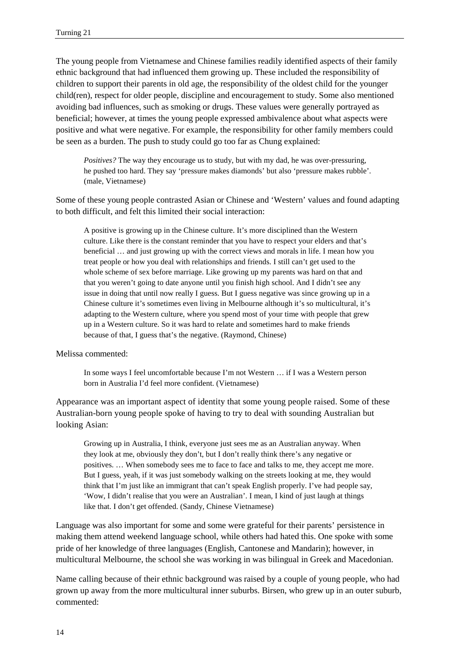The young people from Vietnamese and Chinese families readily identified aspects of their family ethnic background that had influenced them growing up. These included the responsibility of children to support their parents in old age, the responsibility of the oldest child for the younger child(ren), respect for older people, discipline and encouragement to study. Some also mentioned avoiding bad influences, such as smoking or drugs. These values were generally portrayed as beneficial; however, at times the young people expressed ambivalence about what aspects were positive and what were negative. For example, the responsibility for other family members could be seen as a burden. The push to study could go too far as Chung explained:

*Positives?* The way they encourage us to study, but with my dad, he was over-pressuring, he pushed too hard. They say 'pressure makes diamonds' but also 'pressure makes rubble'. (male, Vietnamese)

Some of these young people contrasted Asian or Chinese and 'Western' values and found adapting to both difficult, and felt this limited their social interaction:

A positive is growing up in the Chinese culture. It's more disciplined than the Western culture. Like there is the constant reminder that you have to respect your elders and that's beneficial … and just growing up with the correct views and morals in life. I mean how you treat people or how you deal with relationships and friends. I still can't get used to the whole scheme of sex before marriage. Like growing up my parents was hard on that and that you weren't going to date anyone until you finish high school. And I didn't see any issue in doing that until now really I guess. But I guess negative was since growing up in a Chinese culture it's sometimes even living in Melbourne although it's so multicultural, it's adapting to the Western culture, where you spend most of your time with people that grew up in a Western culture. So it was hard to relate and sometimes hard to make friends because of that, I guess that's the negative. (Raymond, Chinese)

Melissa commented:

In some ways I feel uncomfortable because I'm not Western … if I was a Western person born in Australia I'd feel more confident. (Vietnamese)

Appearance was an important aspect of identity that some young people raised. Some of these Australian-born young people spoke of having to try to deal with sounding Australian but looking Asian:

Growing up in Australia, I think, everyone just sees me as an Australian anyway. When they look at me, obviously they don't, but I don't really think there's any negative or positives. … When somebody sees me to face to face and talks to me, they accept me more. But I guess, yeah, if it was just somebody walking on the streets looking at me, they would think that I'm just like an immigrant that can't speak English properly. I've had people say, 'Wow, I didn't realise that you were an Australian'. I mean, I kind of just laugh at things like that. I don't get offended. (Sandy, Chinese Vietnamese)

Language was also important for some and some were grateful for their parents' persistence in making them attend weekend language school, while others had hated this. One spoke with some pride of her knowledge of three languages (English, Cantonese and Mandarin); however, in multicultural Melbourne, the school she was working in was bilingual in Greek and Macedonian.

Name calling because of their ethnic background was raised by a couple of young people, who had grown up away from the more multicultural inner suburbs. Birsen, who grew up in an outer suburb, commented: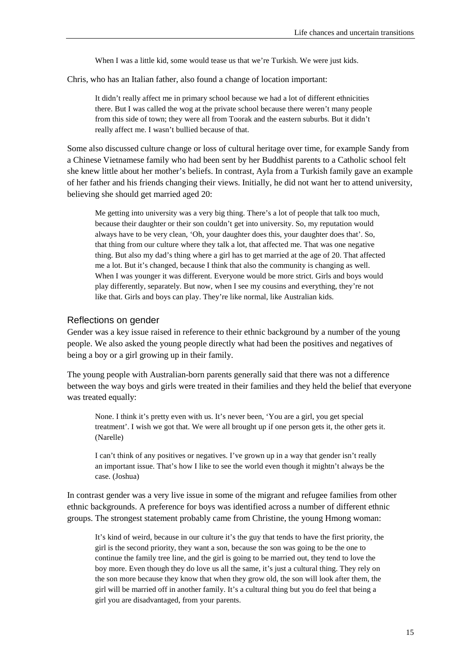When I was a little kid, some would tease us that we're Turkish. We were just kids.

Chris, who has an Italian father, also found a change of location important:

It didn't really affect me in primary school because we had a lot of different ethnicities there. But I was called the wog at the private school because there weren't many people from this side of town; they were all from Toorak and the eastern suburbs. But it didn't really affect me. I wasn't bullied because of that.

Some also discussed culture change or loss of cultural heritage over time, for example Sandy from a Chinese Vietnamese family who had been sent by her Buddhist parents to a Catholic school felt she knew little about her mother's beliefs. In contrast, Ayla from a Turkish family gave an example of her father and his friends changing their views. Initially, he did not want her to attend university, believing she should get married aged 20:

Me getting into university was a very big thing. There's a lot of people that talk too much, because their daughter or their son couldn't get into university. So, my reputation would always have to be very clean, 'Oh, your daughter does this, your daughter does that'. So, that thing from our culture where they talk a lot, that affected me. That was one negative thing. But also my dad's thing where a girl has to get married at the age of 20. That affected me a lot. But it's changed, because I think that also the community is changing as well. When I was younger it was different. Everyone would be more strict. Girls and boys would play differently, separately. But now, when I see my cousins and everything, they're not like that. Girls and boys can play. They're like normal, like Australian kids.

#### Reflections on gender

Gender was a key issue raised in reference to their ethnic background by a number of the young people. We also asked the young people directly what had been the positives and negatives of being a boy or a girl growing up in their family.

The young people with Australian-born parents generally said that there was not a difference between the way boys and girls were treated in their families and they held the belief that everyone was treated equally:

None. I think it's pretty even with us. It's never been, 'You are a girl, you get special treatment'. I wish we got that. We were all brought up if one person gets it, the other gets it. (Narelle)

I can't think of any positives or negatives. I've grown up in a way that gender isn't really an important issue. That's how I like to see the world even though it mightn't always be the case. (Joshua)

In contrast gender was a very live issue in some of the migrant and refugee families from other ethnic backgrounds. A preference for boys was identified across a number of different ethnic groups. The strongest statement probably came from Christine, the young Hmong woman:

It's kind of weird, because in our culture it's the guy that tends to have the first priority, the girl is the second priority, they want a son, because the son was going to be the one to continue the family tree line, and the girl is going to be married out, they tend to love the boy more. Even though they do love us all the same, it's just a cultural thing. They rely on the son more because they know that when they grow old, the son will look after them, the girl will be married off in another family. It's a cultural thing but you do feel that being a girl you are disadvantaged, from your parents.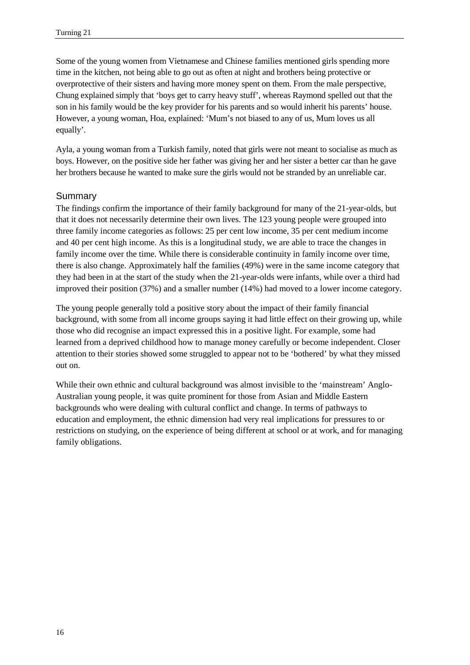Some of the young women from Vietnamese and Chinese families mentioned girls spending more time in the kitchen, not being able to go out as often at night and brothers being protective or overprotective of their sisters and having more money spent on them. From the male perspective, Chung explained simply that 'boys get to carry heavy stuff', whereas Raymond spelled out that the son in his family would be the key provider for his parents and so would inherit his parents' house. However, a young woman, Hoa, explained: 'Mum's not biased to any of us, Mum loves us all equally'.

Ayla, a young woman from a Turkish family, noted that girls were not meant to socialise as much as boys. However, on the positive side her father was giving her and her sister a better car than he gave her brothers because he wanted to make sure the girls would not be stranded by an unreliable car.

#### Summary

The findings confirm the importance of their family background for many of the 21-year-olds, but that it does not necessarily determine their own lives. The 123 young people were grouped into three family income categories as follows: 25 per cent low income, 35 per cent medium income and 40 per cent high income. As this is a longitudinal study, we are able to trace the changes in family income over the time. While there is considerable continuity in family income over time, there is also change. Approximately half the families (49%) were in the same income category that they had been in at the start of the study when the 21-year-olds were infants, while over a third had improved their position (37%) and a smaller number (14%) had moved to a lower income category.

The young people generally told a positive story about the impact of their family financial background, with some from all income groups saying it had little effect on their growing up, while those who did recognise an impact expressed this in a positive light. For example, some had learned from a deprived childhood how to manage money carefully or become independent. Closer attention to their stories showed some struggled to appear not to be 'bothered' by what they missed out on.

While their own ethnic and cultural background was almost invisible to the 'mainstream' Anglo-Australian young people, it was quite prominent for those from Asian and Middle Eastern backgrounds who were dealing with cultural conflict and change. In terms of pathways to education and employment, the ethnic dimension had very real implications for pressures to or restrictions on studying, on the experience of being different at school or at work, and for managing family obligations.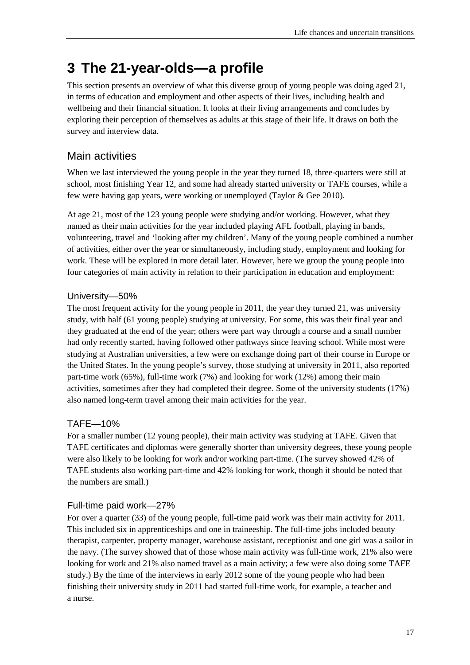## <span id="page-24-0"></span>**3 The 21-year-olds—a profile**

This section presents an overview of what this diverse group of young people was doing aged 21, in terms of education and employment and other aspects of their lives, including health and wellbeing and their financial situation. It looks at their living arrangements and concludes by exploring their perception of themselves as adults at this stage of their life. It draws on both the survey and interview data.

## <span id="page-24-1"></span>Main activities

When we last interviewed the young people in the year they turned 18, three-quarters were still at school, most finishing Year 12, and some had already started university or TAFE courses, while a few were having gap years, were working or unemployed (Taylor & Gee 2010).

At age 21, most of the 123 young people were studying and/or working. However, what they named as their main activities for the year included playing AFL football, playing in bands, volunteering, travel and 'looking after my children'. Many of the young people combined a number of activities, either over the year or simultaneously, including study, employment and looking for work. These will be explored in more detail later. However, here we group the young people into four categories of main activity in relation to their participation in education and employment:

#### University—50%

The most frequent activity for the young people in 2011, the year they turned 21, was university study, with half (61 young people) studying at university. For some, this was their final year and they graduated at the end of the year; others were part way through a course and a small number had only recently started, having followed other pathways since leaving school. While most were studying at Australian universities, a few were on exchange doing part of their course in Europe or the United States. In the young people's survey, those studying at university in 2011, also reported part-time work (65%), full-time work (7%) and looking for work (12%) among their main activities, sometimes after they had completed their degree. Some of the university students (17%) also named long-term travel among their main activities for the year.

#### TAFE—10%

For a smaller number (12 young people), their main activity was studying at TAFE. Given that TAFE certificates and diplomas were generally shorter than university degrees, these young people were also likely to be looking for work and/or working part-time. (The survey showed 42% of TAFE students also working part-time and 42% looking for work, though it should be noted that the numbers are small.)

#### Full-time paid work—27%

For over a quarter (33) of the young people, full-time paid work was their main activity for 2011. This included six in apprenticeships and one in traineeship. The full-time jobs included beauty therapist, carpenter, property manager, warehouse assistant, receptionist and one girl was a sailor in the navy. (The survey showed that of those whose main activity was full-time work, 21% also were looking for work and 21% also named travel as a main activity; a few were also doing some TAFE study.) By the time of the interviews in early 2012 some of the young people who had been finishing their university study in 2011 had started full-time work, for example, a teacher and a nurse.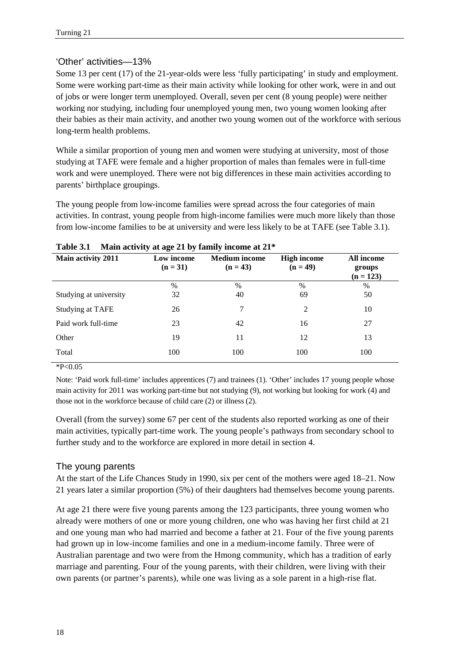#### 'Other' activities—13%

Some 13 per cent (17) of the 21-year-olds were less 'fully participating' in study and employment. Some were working part-time as their main activity while looking for other work, were in and out of jobs or were longer term unemployed. Overall, seven per cent (8 young people) were neither working nor studying, including four unemployed young men, two young women looking after their babies as their main activity, and another two young women out of the workforce with serious long-term health problems.

While a similar proportion of young men and women were studying at university, most of those studying at TAFE were female and a higher proportion of males than females were in full-time work and were unemployed. There were not big differences in these main activities according to parents' birthplace groupings.

The young people from low-income families were spread across the four categories of main activities. In contrast, young people from high-income families were much more likely than those from low-income families to be at university and were less likely to be at TAFE (see Table 3.1).

| *********               |                          | $\frac{1}{2}$ and $\frac{1}{2}$ are $\frac{1}{2}$ and $\frac{1}{2}$ and $\frac{1}{2}$ and $\frac{1}{2}$ are $\frac{1}{2}$ |                                  |                                     |
|-------------------------|--------------------------|---------------------------------------------------------------------------------------------------------------------------|----------------------------------|-------------------------------------|
| Main activity 2011      | Low income<br>$(n = 31)$ | <b>Medium</b> income<br>$(n = 43)$                                                                                        | <b>High income</b><br>$(n = 49)$ | All income<br>groups<br>$(n = 123)$ |
|                         | $\frac{0}{0}$            | $\frac{0}{0}$                                                                                                             | $\%$                             | $\%$                                |
| Studying at university  | 32                       | 40                                                                                                                        | 69                               | 50                                  |
| <b>Studying at TAFE</b> | 26                       | 7                                                                                                                         | $\mathfrak{D}$                   | 10                                  |
| Paid work full-time     | 23                       | 42                                                                                                                        | 16                               | 27                                  |
| Other                   | 19                       | 11                                                                                                                        | 12                               | 13                                  |
| Total                   | 100                      | 100                                                                                                                       | 100                              | 100                                 |
|                         |                          |                                                                                                                           |                                  |                                     |

| Table 3.1 | Main activity at age 21 by family income at 21* |  |  |  |
|-----------|-------------------------------------------------|--|--|--|
|-----------|-------------------------------------------------|--|--|--|

 $*P<0.05$ 

Note: 'Paid work full-time' includes apprentices (7) and trainees (1). 'Other' includes 17 young people whose main activity for 2011 was working part-time but not studying (9), not working but looking for work (4) and those not in the workforce because of child care (2) or illness (2).

Overall (from the survey) some 67 per cent of the students also reported working as one of their main activities, typically part-time work. The young people's pathways from secondary school to further study and to the workforce are explored in more detail in section 4.

#### The young parents

At the start of the Life Chances Study in 1990, six per cent of the mothers were aged 18–21. Now 21 years later a similar proportion (5%) of their daughters had themselves become young parents.

At age 21 there were five young parents among the 123 participants, three young women who already were mothers of one or more young children, one who was having her first child at 21 and one young man who had married and become a father at 21. Four of the five young parents had grown up in low-income families and one in a medium-income family. Three were of Australian parentage and two were from the Hmong community, which has a tradition of early marriage and parenting. Four of the young parents, with their children, were living with their own parents (or partner's parents), while one was living as a sole parent in a high-rise flat.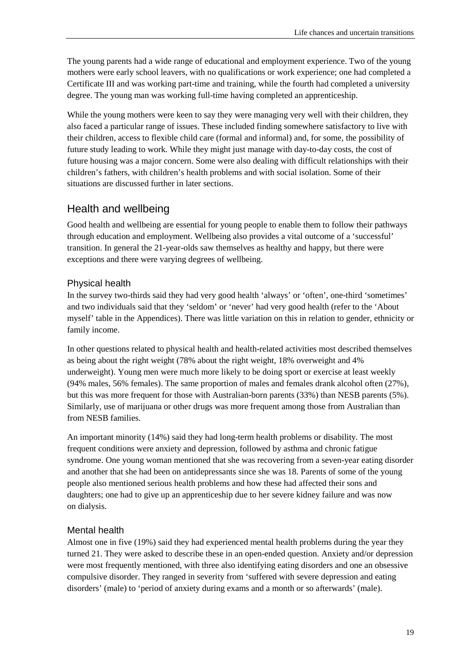The young parents had a wide range of educational and employment experience. Two of the young mothers were early school leavers, with no qualifications or work experience; one had completed a Certificate III and was working part-time and training, while the fourth had completed a university degree. The young man was working full-time having completed an apprenticeship.

While the young mothers were keen to say they were managing very well with their children, they also faced a particular range of issues. These included finding somewhere satisfactory to live with their children, access to flexible child care (formal and informal) and, for some, the possibility of future study leading to work. While they might just manage with day-to-day costs, the cost of future housing was a major concern. Some were also dealing with difficult relationships with their children's fathers, with children's health problems and with social isolation. Some of their situations are discussed further in later sections.

## <span id="page-26-0"></span>Health and wellbeing

Good health and wellbeing are essential for young people to enable them to follow their pathways through education and employment. Wellbeing also provides a vital outcome of a 'successful' transition. In general the 21-year-olds saw themselves as healthy and happy, but there were exceptions and there were varying degrees of wellbeing.

#### Physical health

In the survey two-thirds said they had very good health 'always' or 'often', one-third 'sometimes' and two individuals said that they 'seldom' or 'never' had very good health (refer to the 'About myself' table in the Appendices). There was little variation on this in relation to gender, ethnicity or family income.

In other questions related to physical health and health-related activities most described themselves as being about the right weight (78% about the right weight, 18% overweight and 4% underweight). Young men were much more likely to be doing sport or exercise at least weekly (94% males, 56% females). The same proportion of males and females drank alcohol often (27%), but this was more frequent for those with Australian-born parents (33%) than NESB parents (5%). Similarly, use of marijuana or other drugs was more frequent among those from Australian than from NESB families.

An important minority (14%) said they had long-term health problems or disability. The most frequent conditions were anxiety and depression, followed by asthma and chronic fatigue syndrome. One young woman mentioned that she was recovering from a seven-year eating disorder and another that she had been on antidepressants since she was 18. Parents of some of the young people also mentioned serious health problems and how these had affected their sons and daughters; one had to give up an apprenticeship due to her severe kidney failure and was now on dialysis.

#### Mental health

Almost one in five (19%) said they had experienced mental health problems during the year they turned 21. They were asked to describe these in an open-ended question. Anxiety and/or depression were most frequently mentioned, with three also identifying eating disorders and one an obsessive compulsive disorder. They ranged in severity from 'suffered with severe depression and eating disorders' (male) to 'period of anxiety during exams and a month or so afterwards' (male).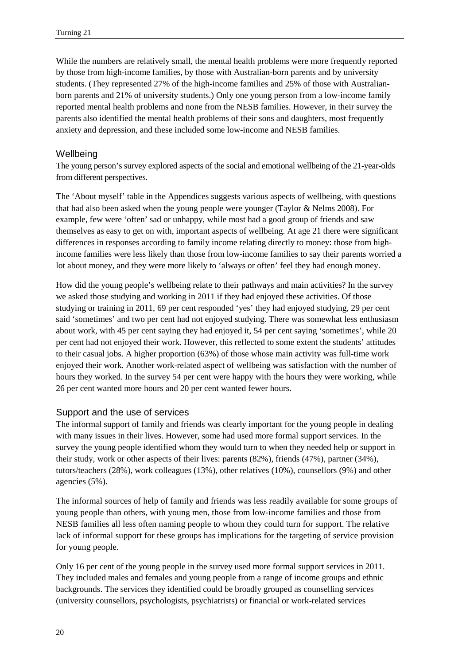While the numbers are relatively small, the mental health problems were more frequently reported by those from high-income families, by those with Australian-born parents and by university students. (They represented 27% of the high-income families and 25% of those with Australianborn parents and 21% of university students.) Only one young person from a low-income family reported mental health problems and none from the NESB families. However, in their survey the parents also identified the mental health problems of their sons and daughters, most frequently anxiety and depression, and these included some low-income and NESB families.

#### **Wellbeing**

The young person's survey explored aspects of the social and emotional wellbeing of the 21-year-olds from different perspectives.

The 'About myself' table in the Appendices suggests various aspects of wellbeing, with questions that had also been asked when the young people were younger (Taylor & Nelms 2008). For example, few were 'often' sad or unhappy, while most had a good group of friends and saw themselves as easy to get on with, important aspects of wellbeing. At age 21 there were significant differences in responses according to family income relating directly to money: those from highincome families were less likely than those from low-income families to say their parents worried a lot about money, and they were more likely to 'always or often' feel they had enough money.

How did the young people's wellbeing relate to their pathways and main activities? In the survey we asked those studying and working in 2011 if they had enjoyed these activities. Of those studying or training in 2011, 69 per cent responded 'yes' they had enjoyed studying, 29 per cent said 'sometimes' and two per cent had not enjoyed studying. There was somewhat less enthusiasm about work, with 45 per cent saying they had enjoyed it, 54 per cent saying 'sometimes', while 20 per cent had not enjoyed their work. However, this reflected to some extent the students' attitudes to their casual jobs. A higher proportion (63%) of those whose main activity was full-time work enjoyed their work. Another work-related aspect of wellbeing was satisfaction with the number of hours they worked. In the survey 54 per cent were happy with the hours they were working, while 26 per cent wanted more hours and 20 per cent wanted fewer hours.

#### Support and the use of services

The informal support of family and friends was clearly important for the young people in dealing with many issues in their lives. However, some had used more formal support services. In the survey the young people identified whom they would turn to when they needed help or support in their study, work or other aspects of their lives: parents (82%), friends (47%), partner (34%), tutors/teachers (28%), work colleagues (13%), other relatives (10%), counsellors (9%) and other agencies (5%).

The informal sources of help of family and friends was less readily available for some groups of young people than others, with young men, those from low-income families and those from NESB families all less often naming people to whom they could turn for support. The relative lack of informal support for these groups has implications for the targeting of service provision for young people.

Only 16 per cent of the young people in the survey used more formal support services in 2011. They included males and females and young people from a range of income groups and ethnic backgrounds. The services they identified could be broadly grouped as counselling services (university counsellors, psychologists, psychiatrists) or financial or work-related services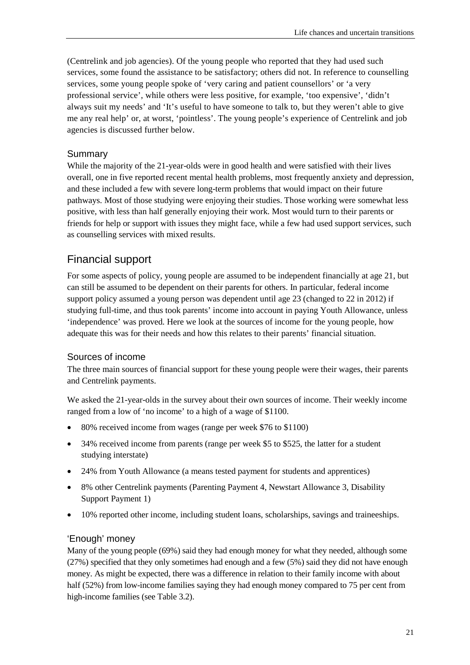(Centrelink and job agencies). Of the young people who reported that they had used such services, some found the assistance to be satisfactory; others did not. In reference to counselling services, some young people spoke of 'very caring and patient counsellors' or 'a very professional service', while others were less positive, for example, 'too expensive', 'didn't always suit my needs' and 'It's useful to have someone to talk to, but they weren't able to give me any real help' or, at worst, 'pointless'. The young people's experience of Centrelink and job agencies is discussed further below.

#### Summary

While the majority of the 21-year-olds were in good health and were satisfied with their lives overall, one in five reported recent mental health problems, most frequently anxiety and depression, and these included a few with severe long-term problems that would impact on their future pathways. Most of those studying were enjoying their studies. Those working were somewhat less positive, with less than half generally enjoying their work. Most would turn to their parents or friends for help or support with issues they might face, while a few had used support services, such as counselling services with mixed results.

## <span id="page-28-0"></span>Financial support

For some aspects of policy, young people are assumed to be independent financially at age 21, but can still be assumed to be dependent on their parents for others. In particular, federal income support policy assumed a young person was dependent until age 23 (changed to 22 in 2012) if studying full-time, and thus took parents' income into account in paying Youth Allowance, unless 'independence' was proved. Here we look at the sources of income for the young people, how adequate this was for their needs and how this relates to their parents' financial situation.

#### Sources of income

The three main sources of financial support for these young people were their wages, their parents and Centrelink payments.

We asked the 21-year-olds in the survey about their own sources of income. Their weekly income ranged from a low of 'no income' to a high of a wage of \$1100.

- 80% received income from wages (range per week \$76 to \$1100)
- 34% received income from parents (range per week \$5 to \$525, the latter for a student studying interstate)
- 24% from Youth Allowance (a means tested payment for students and apprentices)
- 8% other Centrelink payments (Parenting Payment 4, Newstart Allowance 3, Disability Support Payment 1)
- 10% reported other income, including student loans, scholarships, savings and traineeships.

#### 'Enough' money

Many of the young people (69%) said they had enough money for what they needed, although some (27%) specified that they only sometimes had enough and a few (5%) said they did not have enough money. As might be expected, there was a difference in relation to their family income with about half (52%) from low-income families saying they had enough money compared to 75 per cent from high-income families (see Table 3.2).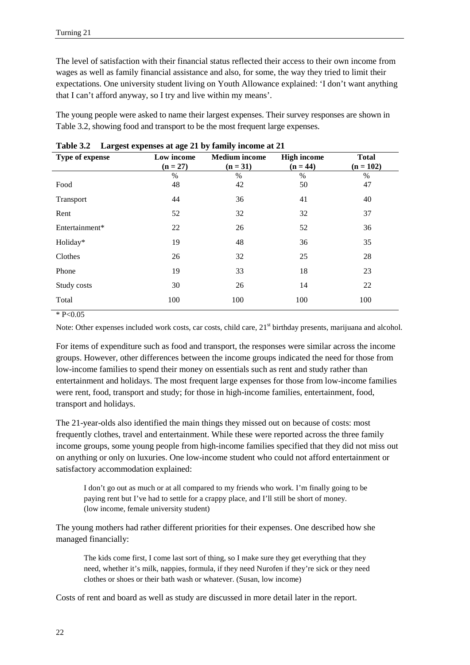The level of satisfaction with their financial status reflected their access to their own income from wages as well as family financial assistance and also, for some, the way they tried to limit their expectations. One university student living on Youth Allowance explained: 'I don't want anything that I can't afford anyway, so I try and live within my means'.

The young people were asked to name their largest expenses. Their survey responses are shown in Table 3.2, showing food and transport to be the most frequent large expenses.

| Type of expense | Low income | <b>Medium</b> income | <b>High income</b> | <b>Total</b> |
|-----------------|------------|----------------------|--------------------|--------------|
|                 | $(n = 27)$ | $(n = 31)$           | $(n = 44)$         | $(n = 102)$  |
|                 | $\%$       | $\frac{0}{0}$        | $\%$               | $\%$         |
| Food            | 48         | 42                   | 50                 | 47           |
| Transport       | 44         | 36                   | 41                 | 40           |
| Rent            | 52         | 32                   | 32                 | 37           |
| Entertainment*  | 22         | 26                   | 52                 | 36           |
| Holiday*        | 19         | 48                   | 36                 | 35           |
| Clothes         | 26         | 32                   | 25                 | 28           |
| Phone           | 19         | 33                   | 18                 | 23           |
| Study costs     | 30         | 26                   | 14                 | 22           |
| Total           | 100        | 100                  | 100                | 100          |

**Table 3.2 Largest expenses at age 21 by family income at 21**

 $*$  P<0.05

Note: Other expenses included work costs, car costs, child care, 21<sup>st</sup> birthday presents, marijuana and alcohol.

For items of expenditure such as food and transport, the responses were similar across the income groups. However, other differences between the income groups indicated the need for those from low-income families to spend their money on essentials such as rent and study rather than entertainment and holidays. The most frequent large expenses for those from low-income families were rent, food, transport and study; for those in high-income families, entertainment, food, transport and holidays.

The 21-year-olds also identified the main things they missed out on because of costs: most frequently clothes, travel and entertainment. While these were reported across the three family income groups, some young people from high-income families specified that they did not miss out on anything or only on luxuries. One low-income student who could not afford entertainment or satisfactory accommodation explained:

I don't go out as much or at all compared to my friends who work. I'm finally going to be paying rent but I've had to settle for a crappy place, and I'll still be short of money. (low income, female university student)

The young mothers had rather different priorities for their expenses. One described how she managed financially:

The kids come first, I come last sort of thing, so I make sure they get everything that they need, whether it's milk, nappies, formula, if they need Nurofen if they're sick or they need clothes or shoes or their bath wash or whatever. (Susan, low income)

Costs of rent and board as well as study are discussed in more detail later in the report.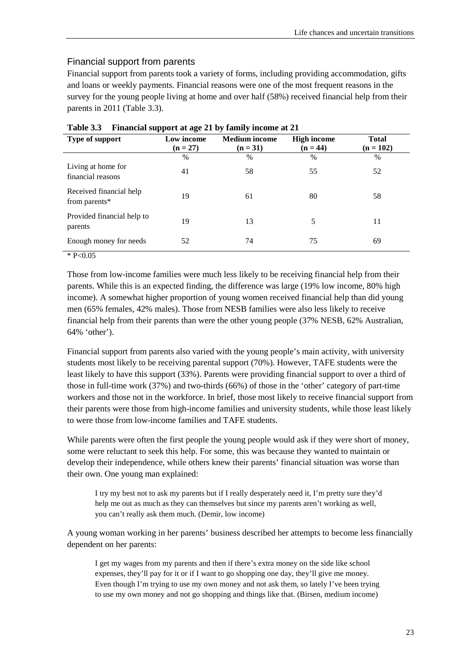#### Financial support from parents

Financial support from parents took a variety of forms, including providing accommodation, gifts and loans or weekly payments. Financial reasons were one of the most frequent reasons in the survey for the young people living at home and over half (58%) received financial help from their parents in 2011 (Table 3.3).

| Type of support                          | Low income<br>$(n = 27)$ | <b>Medium</b> income<br>$(n = 31)$ | <b>High income</b><br>$(n = 44)$ | <b>Total</b><br>$(n = 102)$ |
|------------------------------------------|--------------------------|------------------------------------|----------------------------------|-----------------------------|
|                                          | $\%$                     | $\%$                               | $\frac{0}{0}$                    | $\%$                        |
| Living at home for<br>financial reasons  | 41                       | 58                                 | 55                               | 52                          |
| Received financial help<br>from parents* | 19                       | 61                                 | 80                               | 58                          |
| Provided financial help to<br>parents    | 19                       | 13                                 | 5                                | 11                          |
| Enough money for needs                   | 52                       | 74                                 | 75                               | 69                          |

**Table 3.3 Financial support at age 21 by family income at 21**

 $* P < 0.05$ 

Those from low-income families were much less likely to be receiving financial help from their parents. While this is an expected finding, the difference was large (19% low income, 80% high income). A somewhat higher proportion of young women received financial help than did young men (65% females, 42% males). Those from NESB families were also less likely to receive financial help from their parents than were the other young people (37% NESB, 62% Australian, 64% 'other').

Financial support from parents also varied with the young people's main activity, with university students most likely to be receiving parental support (70%). However, TAFE students were the least likely to have this support (33%). Parents were providing financial support to over a third of those in full-time work (37%) and two-thirds (66%) of those in the 'other' category of part-time workers and those not in the workforce. In brief, those most likely to receive financial support from their parents were those from high-income families and university students, while those least likely to were those from low-income families and TAFE students.

While parents were often the first people the young people would ask if they were short of money, some were reluctant to seek this help. For some, this was because they wanted to maintain or develop their independence, while others knew their parents' financial situation was worse than their own. One young man explained:

I try my best not to ask my parents but if I really desperately need it, I'm pretty sure they'd help me out as much as they can themselves but since my parents aren't working as well, you can't really ask them much. (Demir, low income)

A young woman working in her parents' business described her attempts to become less financially dependent on her parents:

I get my wages from my parents and then if there's extra money on the side like school expenses, they'll pay for it or if I want to go shopping one day, they'll give me money. Even though I'm trying to use my own money and not ask them, so lately I've been trying to use my own money and not go shopping and things like that. (Birsen, medium income)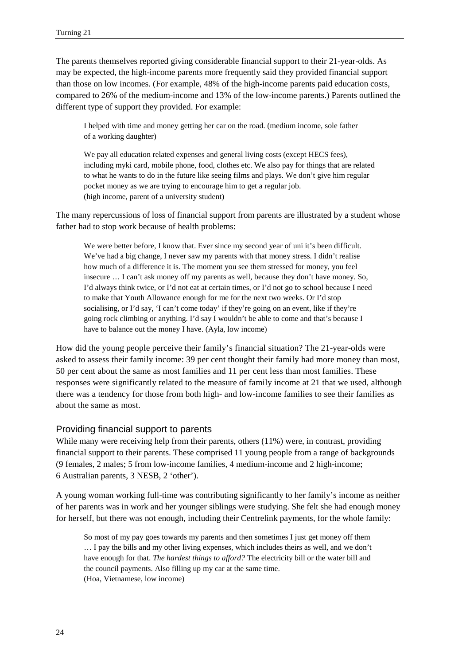The parents themselves reported giving considerable financial support to their 21-year-olds. As may be expected, the high-income parents more frequently said they provided financial support than those on low incomes. (For example, 48% of the high-income parents paid education costs, compared to 26% of the medium-income and 13% of the low-income parents.) Parents outlined the different type of support they provided. For example:

I helped with time and money getting her car on the road. (medium income, sole father of a working daughter)

We pay all education related expenses and general living costs (except HECS fees), including myki card, mobile phone, food, clothes etc. We also pay for things that are related to what he wants to do in the future like seeing films and plays. We don't give him regular pocket money as we are trying to encourage him to get a regular job. (high income, parent of a university student)

The many repercussions of loss of financial support from parents are illustrated by a student whose father had to stop work because of health problems:

We were better before, I know that. Ever since my second year of uni it's been difficult. We've had a big change, I never saw my parents with that money stress. I didn't realise how much of a difference it is. The moment you see them stressed for money, you feel insecure … I can't ask money off my parents as well, because they don't have money. So, I'd always think twice, or I'd not eat at certain times, or I'd not go to school because I need to make that Youth Allowance enough for me for the next two weeks. Or I'd stop socialising, or I'd say, 'I can't come today' if they're going on an event, like if they're going rock climbing or anything. I'd say I wouldn't be able to come and that's because I have to balance out the money I have. (Ayla, low income)

How did the young people perceive their family's financial situation? The 21-year-olds were asked to assess their family income: 39 per cent thought their family had more money than most, 50 per cent about the same as most families and 11 per cent less than most families. These responses were significantly related to the measure of family income at 21 that we used, although there was a tendency for those from both high- and low-income families to see their families as about the same as most.

#### Providing financial support to parents

While many were receiving help from their parents, others  $(11%)$  were, in contrast, providing financial support to their parents. These comprised 11 young people from a range of backgrounds (9 females, 2 males; 5 from low-income families, 4 medium-income and 2 high-income; 6 Australian parents, 3 NESB, 2 'other').

A young woman working full-time was contributing significantly to her family's income as neither of her parents was in work and her younger siblings were studying. She felt she had enough money for herself, but there was not enough, including their Centrelink payments, for the whole family:

So most of my pay goes towards my parents and then sometimes I just get money off them … I pay the bills and my other living expenses, which includes theirs as well, and we don't have enough for that. *The hardest things to afford?* The electricity bill or the water bill and the council payments. Also filling up my car at the same time. (Hoa, Vietnamese, low income)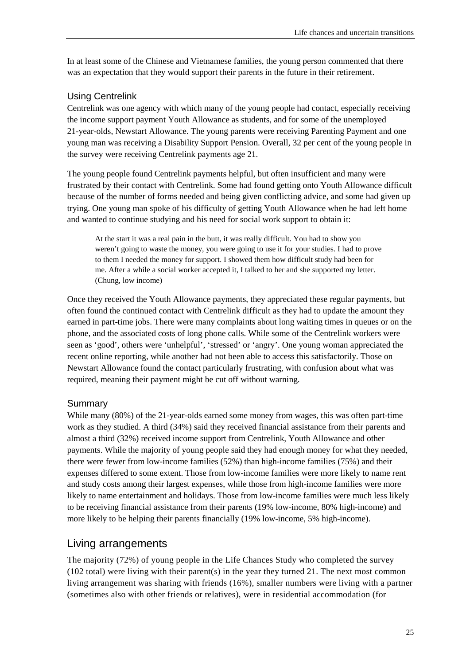In at least some of the Chinese and Vietnamese families, the young person commented that there was an expectation that they would support their parents in the future in their retirement.

#### Using Centrelink

Centrelink was one agency with which many of the young people had contact, especially receiving the income support payment Youth Allowance as students, and for some of the unemployed 21-year-olds, Newstart Allowance. The young parents were receiving Parenting Payment and one young man was receiving a Disability Support Pension. Overall, 32 per cent of the young people in the survey were receiving Centrelink payments age 21.

The young people found Centrelink payments helpful, but often insufficient and many were frustrated by their contact with Centrelink. Some had found getting onto Youth Allowance difficult because of the number of forms needed and being given conflicting advice, and some had given up trying. One young man spoke of his difficulty of getting Youth Allowance when he had left home and wanted to continue studying and his need for social work support to obtain it:

At the start it was a real pain in the butt, it was really difficult. You had to show you weren't going to waste the money, you were going to use it for your studies. I had to prove to them I needed the money for support. I showed them how difficult study had been for me. After a while a social worker accepted it, I talked to her and she supported my letter. (Chung, low income)

Once they received the Youth Allowance payments, they appreciated these regular payments, but often found the continued contact with Centrelink difficult as they had to update the amount they earned in part-time jobs. There were many complaints about long waiting times in queues or on the phone, and the associated costs of long phone calls. While some of the Centrelink workers were seen as 'good', others were 'unhelpful', 'stressed' or 'angry'. One young woman appreciated the recent online reporting, while another had not been able to access this satisfactorily. Those on Newstart Allowance found the contact particularly frustrating, with confusion about what was required, meaning their payment might be cut off without warning.

#### **Summary**

While many (80%) of the 21-year-olds earned some money from wages, this was often part-time work as they studied. A third (34%) said they received financial assistance from their parents and almost a third (32%) received income support from Centrelink, Youth Allowance and other payments. While the majority of young people said they had enough money for what they needed, there were fewer from low-income families (52%) than high-income families (75%) and their expenses differed to some extent. Those from low-income families were more likely to name rent and study costs among their largest expenses, while those from high-income families were more likely to name entertainment and holidays. Those from low-income families were much less likely to be receiving financial assistance from their parents (19% low-income, 80% high-income) and more likely to be helping their parents financially (19% low-income, 5% high-income).

## <span id="page-32-0"></span>Living arrangements

The majority (72%) of young people in the Life Chances Study who completed the survey  $(102$  total) were living with their parent $(s)$  in the year they turned 21. The next most common living arrangement was sharing with friends (16%), smaller numbers were living with a partner (sometimes also with other friends or relatives), were in residential accommodation (for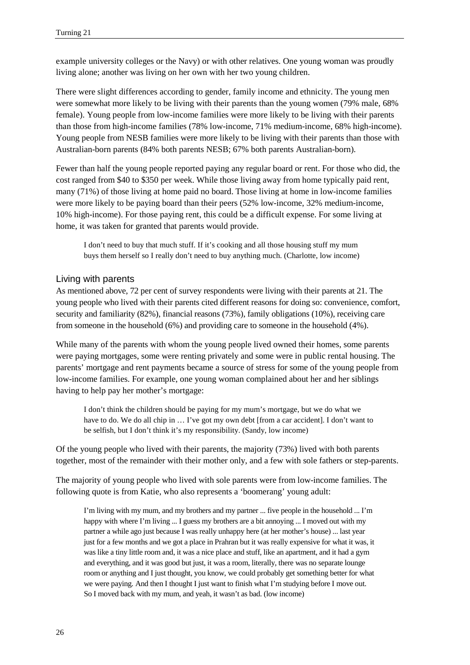example university colleges or the Navy) or with other relatives. One young woman was proudly living alone; another was living on her own with her two young children.

There were slight differences according to gender, family income and ethnicity. The young men were somewhat more likely to be living with their parents than the young women (79% male, 68% female). Young people from low-income families were more likely to be living with their parents than those from high-income families (78% low-income, 71% medium-income, 68% high-income). Young people from NESB families were more likely to be living with their parents than those with Australian-born parents (84% both parents NESB; 67% both parents Australian-born).

Fewer than half the young people reported paying any regular board or rent. For those who did, the cost ranged from \$40 to \$350 per week. While those living away from home typically paid rent, many (71%) of those living at home paid no board. Those living at home in low-income families were more likely to be paying board than their peers (52% low-income, 32% medium-income, 10% high-income). For those paying rent, this could be a difficult expense. For some living at home, it was taken for granted that parents would provide.

I don't need to buy that much stuff. If it's cooking and all those housing stuff my mum buys them herself so I really don't need to buy anything much. (Charlotte, low income)

#### Living with parents

As mentioned above, 72 per cent of survey respondents were living with their parents at 21. The young people who lived with their parents cited different reasons for doing so: convenience, comfort, security and familiarity (82%), financial reasons (73%), family obligations (10%), receiving care from someone in the household (6%) and providing care to someone in the household (4%).

While many of the parents with whom the young people lived owned their homes, some parents were paying mortgages, some were renting privately and some were in public rental housing. The parents' mortgage and rent payments became a source of stress for some of the young people from low-income families. For example, one young woman complained about her and her siblings having to help pay her mother's mortgage:

I don't think the children should be paying for my mum's mortgage, but we do what we have to do. We do all chip in ... I've got my own debt [from a car accident]. I don't want to be selfish, but I don't think it's my responsibility. (Sandy, low income)

Of the young people who lived with their parents, the majority (73%) lived with both parents together, most of the remainder with their mother only, and a few with sole fathers or step-parents.

The majority of young people who lived with sole parents were from low-income families. The following quote is from Katie, who also represents a 'boomerang' young adult:

I'm living with my mum, and my brothers and my partner ... five people in the household ... I'm happy with where I'm living ... I guess my brothers are a bit annoying ... I moved out with my partner a while ago just because I was really unhappy here (at her mother's house) ... last year just for a few months and we got a place in Prahran but it was really expensive for what it was, it was like a tiny little room and, it was a nice place and stuff, like an apartment, and it had a gym and everything, and it was good but just, it was a room, literally, there was no separate lounge room or anything and I just thought, you know, we could probably get something better for what we were paying. And then I thought I just want to finish what I'm studying before I move out. So I moved back with my mum, and yeah, it wasn't as bad. (low income)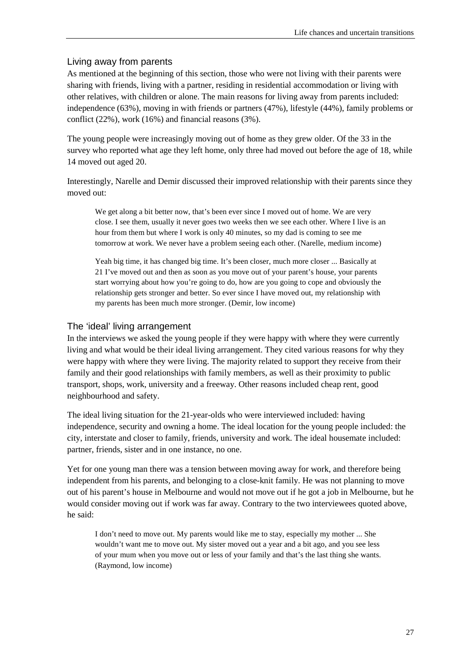#### Living away from parents

As mentioned at the beginning of this section, those who were not living with their parents were sharing with friends, living with a partner, residing in residential accommodation or living with other relatives, with children or alone. The main reasons for living away from parents included: independence (63%), moving in with friends or partners (47%), lifestyle (44%), family problems or conflict (22%), work (16%) and financial reasons (3%).

The young people were increasingly moving out of home as they grew older. Of the 33 in the survey who reported what age they left home, only three had moved out before the age of 18, while 14 moved out aged 20.

Interestingly, Narelle and Demir discussed their improved relationship with their parents since they moved out:

We get along a bit better now, that's been ever since I moved out of home. We are very close. I see them, usually it never goes two weeks then we see each other. Where I live is an hour from them but where I work is only 40 minutes, so my dad is coming to see me tomorrow at work. We never have a problem seeing each other. (Narelle, medium income)

Yeah big time, it has changed big time. It's been closer, much more closer ... Basically at 21 I've moved out and then as soon as you move out of your parent's house, your parents start worrying about how you're going to do, how are you going to cope and obviously the relationship gets stronger and better. So ever since I have moved out, my relationship with my parents has been much more stronger. (Demir, low income)

#### The 'ideal' living arrangement

In the interviews we asked the young people if they were happy with where they were currently living and what would be their ideal living arrangement. They cited various reasons for why they were happy with where they were living. The majority related to support they receive from their family and their good relationships with family members, as well as their proximity to public transport, shops, work, university and a freeway. Other reasons included cheap rent, good neighbourhood and safety.

The ideal living situation for the 21-year-olds who were interviewed included: having independence, security and owning a home. The ideal location for the young people included: the city, interstate and closer to family, friends, university and work. The ideal housemate included: partner, friends, sister and in one instance, no one.

Yet for one young man there was a tension between moving away for work, and therefore being independent from his parents, and belonging to a close-knit family. He was not planning to move out of his parent's house in Melbourne and would not move out if he got a job in Melbourne, but he would consider moving out if work was far away. Contrary to the two interviewees quoted above, he said:

I don't need to move out. My parents would like me to stay, especially my mother ... She wouldn't want me to move out. My sister moved out a year and a bit ago, and you see less of your mum when you move out or less of your family and that's the last thing she wants. (Raymond, low income)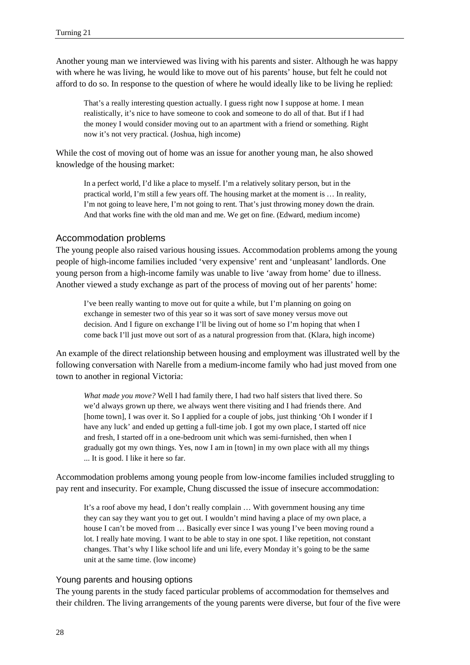Another young man we interviewed was living with his parents and sister. Although he was happy with where he was living, he would like to move out of his parents' house, but felt he could not afford to do so. In response to the question of where he would ideally like to be living he replied:

That's a really interesting question actually. I guess right now I suppose at home. I mean realistically, it's nice to have someone to cook and someone to do all of that. But if I had the money I would consider moving out to an apartment with a friend or something. Right now it's not very practical. (Joshua, high income)

While the cost of moving out of home was an issue for another young man, he also showed knowledge of the housing market:

In a perfect world, I'd like a place to myself. I'm a relatively solitary person, but in the practical world, I'm still a few years off. The housing market at the moment is … In reality, I'm not going to leave here, I'm not going to rent. That's just throwing money down the drain. And that works fine with the old man and me. We get on fine. (Edward, medium income)

#### Accommodation problems

The young people also raised various housing issues. Accommodation problems among the young people of high-income families included 'very expensive' rent and 'unpleasant' landlords. One young person from a high-income family was unable to live 'away from home' due to illness. Another viewed a study exchange as part of the process of moving out of her parents' home:

I've been really wanting to move out for quite a while, but I'm planning on going on exchange in semester two of this year so it was sort of save money versus move out decision. And I figure on exchange I'll be living out of home so I'm hoping that when I come back I'll just move out sort of as a natural progression from that. (Klara, high income)

An example of the direct relationship between housing and employment was illustrated well by the following conversation with Narelle from a medium-income family who had just moved from one town to another in regional Victoria:

*What made you move?* Well I had family there, I had two half sisters that lived there. So we'd always grown up there, we always went there visiting and I had friends there. And [home town], I was over it. So I applied for a couple of jobs, just thinking 'Oh I wonder if I have any luck' and ended up getting a full-time job. I got my own place, I started off nice and fresh, I started off in a one-bedroom unit which was semi-furnished, then when I gradually got my own things. Yes, now I am in [town] in my own place with all my things ... It is good. I like it here so far.

Accommodation problems among young people from low-income families included struggling to pay rent and insecurity. For example, Chung discussed the issue of insecure accommodation:

It's a roof above my head, I don't really complain … With government housing any time they can say they want you to get out. I wouldn't mind having a place of my own place, a house I can't be moved from … Basically ever since I was young I've been moving round a lot. I really hate moving. I want to be able to stay in one spot. I like repetition, not constant changes. That's why I like school life and uni life, every Monday it's going to be the same unit at the same time. (low income)

#### Young parents and housing options

The young parents in the study faced particular problems of accommodation for themselves and their children. The living arrangements of the young parents were diverse, but four of the five were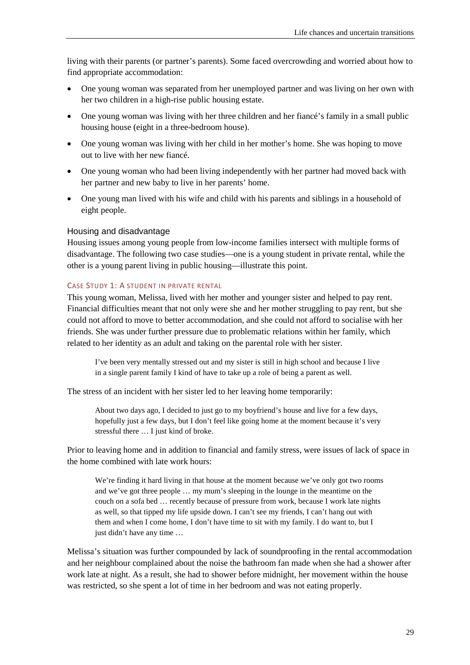living with their parents (or partner's parents). Some faced overcrowding and worried about how to find appropriate accommodation:

- One young woman was separated from her unemployed partner and was living on her own with her two children in a high-rise public housing estate.
- One young woman was living with her three children and her fiance's family in a small public housing house (eight in a three-bedroom house).
- One young woman was living with her child in her mother's home. She was hoping to move out to live with her new fiancé.
- One young woman who had been living independently with her partner had moved back with her partner and new baby to live in her parents' home.
- One young man lived with his wife and child with his parents and siblings in a household of eight people.

#### Housing and disadvantage

Housing issues among young people from low-income families intersect with multiple forms of disadvantage. The following two case studies—one is a young student in private rental, while the other is a young parent living in public housing—illustrate this point.

#### CASE STUDY 1: A STUDENT IN PRIVATE RENTAL

This young woman, Melissa, lived with her mother and younger sister and helped to pay rent. Financial difficulties meant that not only were she and her mother struggling to pay rent, but she could not afford to move to better accommodation, and she could not afford to socialise with her friends. She was under further pressure due to problematic relations within her family, which related to her identity as an adult and taking on the parental role with her sister.

I've been very mentally stressed out and my sister is still in high school and because I live in a single parent family I kind of have to take up a role of being a parent as well.

The stress of an incident with her sister led to her leaving home temporarily:

About two days ago, I decided to just go to my boyfriend's house and live for a few days, hopefully just a few days, but I don't feel like going home at the moment because it's very stressful there … I just kind of broke.

Prior to leaving home and in addition to financial and family stress, were issues of lack of space in the home combined with late work hours:

We're finding it hard living in that house at the moment because we've only got two rooms and we've got three people … my mum's sleeping in the lounge in the meantime on the couch on a sofa bed … recently because of pressure from work, because I work late nights as well, so that tipped my life upside down. I can't see my friends, I can't hang out with them and when I come home, I don't have time to sit with my family. I do want to, but I just didn't have any time …

Melissa's situation was further compounded by lack of soundproofing in the rental accommodation and her neighbour complained about the noise the bathroom fan made when she had a shower after work late at night. As a result, she had to shower before midnight, her movement within the house was restricted, so she spent a lot of time in her bedroom and was not eating properly.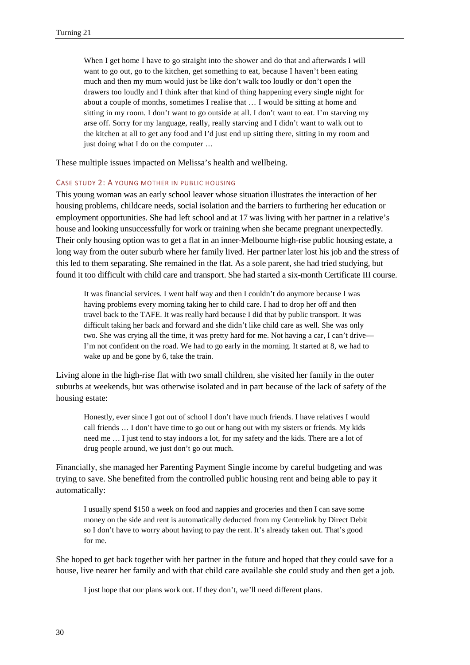When I get home I have to go straight into the shower and do that and afterwards I will want to go out, go to the kitchen, get something to eat, because I haven't been eating much and then my mum would just be like don't walk too loudly or don't open the drawers too loudly and I think after that kind of thing happening every single night for about a couple of months, sometimes I realise that … I would be sitting at home and sitting in my room. I don't want to go outside at all. I don't want to eat. I'm starving my arse off. Sorry for my language, really, really starving and I didn't want to walk out to the kitchen at all to get any food and I'd just end up sitting there, sitting in my room and just doing what I do on the computer …

These multiple issues impacted on Melissa's health and wellbeing.

#### CASE STUDY 2: A YOUNG MOTHER IN PUBLIC HOUSING

This young woman was an early school leaver whose situation illustrates the interaction of her housing problems, childcare needs, social isolation and the barriers to furthering her education or employment opportunities. She had left school and at 17 was living with her partner in a relative's house and looking unsuccessfully for work or training when she became pregnant unexpectedly. Their only housing option was to get a flat in an inner-Melbourne high-rise public housing estate, a long way from the outer suburb where her family lived. Her partner later lost his job and the stress of this led to them separating. She remained in the flat. As a sole parent, she had tried studying, but found it too difficult with child care and transport. She had started a six-month Certificate III course.

It was financial services. I went half way and then I couldn't do anymore because I was having problems every morning taking her to child care. I had to drop her off and then travel back to the TAFE. It was really hard because I did that by public transport. It was difficult taking her back and forward and she didn't like child care as well. She was only two. She was crying all the time, it was pretty hard for me. Not having a car, I can't drive— I'm not confident on the road. We had to go early in the morning. It started at 8, we had to wake up and be gone by 6, take the train.

Living alone in the high-rise flat with two small children, she visited her family in the outer suburbs at weekends, but was otherwise isolated and in part because of the lack of safety of the housing estate:

Honestly, ever since I got out of school I don't have much friends. I have relatives I would call friends … I don't have time to go out or hang out with my sisters or friends. My kids need me … I just tend to stay indoors a lot, for my safety and the kids. There are a lot of drug people around, we just don't go out much.

Financially, she managed her Parenting Payment Single income by careful budgeting and was trying to save. She benefited from the controlled public housing rent and being able to pay it automatically:

I usually spend \$150 a week on food and nappies and groceries and then I can save some money on the side and rent is automatically deducted from my Centrelink by Direct Debit so I don't have to worry about having to pay the rent. It's already taken out. That's good for me.

She hoped to get back together with her partner in the future and hoped that they could save for a house, live nearer her family and with that child care available she could study and then get a job.

I just hope that our plans work out. If they don't, we'll need different plans.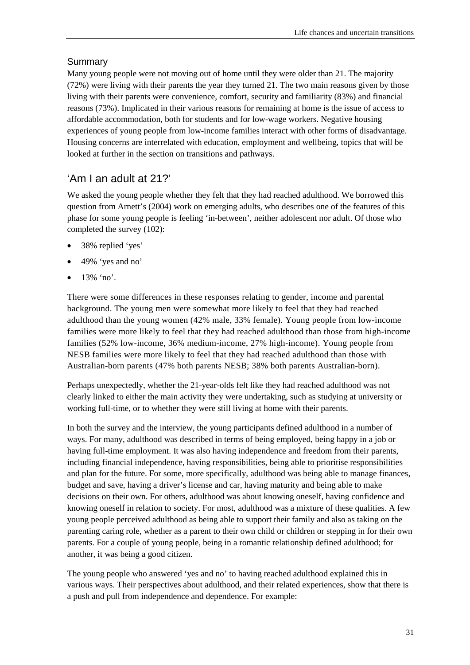## Summary

Many young people were not moving out of home until they were older than 21. The majority (72%) were living with their parents the year they turned 21. The two main reasons given by those living with their parents were convenience, comfort, security and familiarity (83%) and financial reasons (73%). Implicated in their various reasons for remaining at home is the issue of access to affordable accommodation, both for students and for low-wage workers. Negative housing experiences of young people from low-income families interact with other forms of disadvantage. Housing concerns are interrelated with education, employment and wellbeing, topics that will be looked at further in the section on transitions and pathways.

# 'Am I an adult at 21?'

We asked the young people whether they felt that they had reached adulthood. We borrowed this question from Arnett's (2004) work on emerging adults, who describes one of the features of this phase for some young people is feeling 'in-between', neither adolescent nor adult. Of those who completed the survey (102):

- 38% replied 'yes'
- 49% 'yes and no'
- 13% 'no'.

There were some differences in these responses relating to gender, income and parental background. The young men were somewhat more likely to feel that they had reached adulthood than the young women (42% male, 33% female). Young people from low-income families were more likely to feel that they had reached adulthood than those from high-income families (52% low-income, 36% medium-income, 27% high-income). Young people from NESB families were more likely to feel that they had reached adulthood than those with Australian-born parents (47% both parents NESB; 38% both parents Australian-born).

Perhaps unexpectedly, whether the 21-year-olds felt like they had reached adulthood was not clearly linked to either the main activity they were undertaking, such as studying at university or working full-time, or to whether they were still living at home with their parents.

In both the survey and the interview, the young participants defined adulthood in a number of ways. For many, adulthood was described in terms of being employed, being happy in a job or having full-time employment. It was also having independence and freedom from their parents, including financial independence, having responsibilities, being able to prioritise responsibilities and plan for the future. For some, more specifically, adulthood was being able to manage finances, budget and save, having a driver's license and car, having maturity and being able to make decisions on their own. For others, adulthood was about knowing oneself, having confidence and knowing oneself in relation to society. For most, adulthood was a mixture of these qualities. A few young people perceived adulthood as being able to support their family and also as taking on the parenting caring role, whether as a parent to their own child or children or stepping in for their own parents. For a couple of young people, being in a romantic relationship defined adulthood; for another, it was being a good citizen.

The young people who answered 'yes and no' to having reached adulthood explained this in various ways. Their perspectives about adulthood, and their related experiences, show that there is a push and pull from independence and dependence. For example: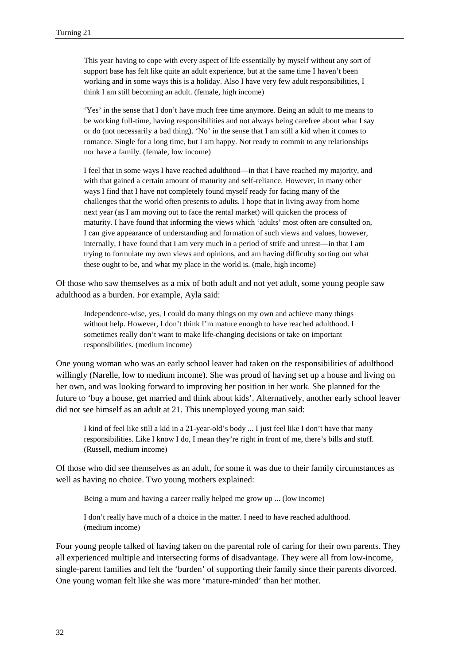This year having to cope with every aspect of life essentially by myself without any sort of support base has felt like quite an adult experience, but at the same time I haven't been working and in some ways this is a holiday. Also I have very few adult responsibilities, I think I am still becoming an adult. (female, high income)

'Yes' in the sense that I don't have much free time anymore. Being an adult to me means to be working full-time, having responsibilities and not always being carefree about what I say or do (not necessarily a bad thing). 'No' in the sense that I am still a kid when it comes to romance. Single for a long time, but I am happy. Not ready to commit to any relationships nor have a family. (female, low income)

I feel that in some ways I have reached adulthood—in that I have reached my majority, and with that gained a certain amount of maturity and self-reliance. However, in many other ways I find that I have not completely found myself ready for facing many of the challenges that the world often presents to adults. I hope that in living away from home next year (as I am moving out to face the rental market) will quicken the process of maturity. I have found that informing the views which 'adults' most often are consulted on, I can give appearance of understanding and formation of such views and values, however, internally, I have found that I am very much in a period of strife and unrest—in that I am trying to formulate my own views and opinions, and am having difficulty sorting out what these ought to be, and what my place in the world is. (male, high income)

Of those who saw themselves as a mix of both adult and not yet adult, some young people saw adulthood as a burden. For example, Ayla said:

Independence-wise, yes, I could do many things on my own and achieve many things without help. However, I don't think I'm mature enough to have reached adulthood. I sometimes really don't want to make life-changing decisions or take on important responsibilities. (medium income)

One young woman who was an early school leaver had taken on the responsibilities of adulthood willingly (Narelle, low to medium income). She was proud of having set up a house and living on her own, and was looking forward to improving her position in her work. She planned for the future to 'buy a house, get married and think about kids'. Alternatively, another early school leaver did not see himself as an adult at 21. This unemployed young man said:

I kind of feel like still a kid in a 21-year-old's body ... I just feel like I don't have that many responsibilities. Like I know I do, I mean they're right in front of me, there's bills and stuff. (Russell, medium income)

Of those who did see themselves as an adult, for some it was due to their family circumstances as well as having no choice. Two young mothers explained:

Being a mum and having a career really helped me grow up ... (low income)

I don't really have much of a choice in the matter. I need to have reached adulthood. (medium income)

Four young people talked of having taken on the parental role of caring for their own parents. They all experienced multiple and intersecting forms of disadvantage. They were all from low-income, single-parent families and felt the 'burden' of supporting their family since their parents divorced. One young woman felt like she was more 'mature-minded' than her mother.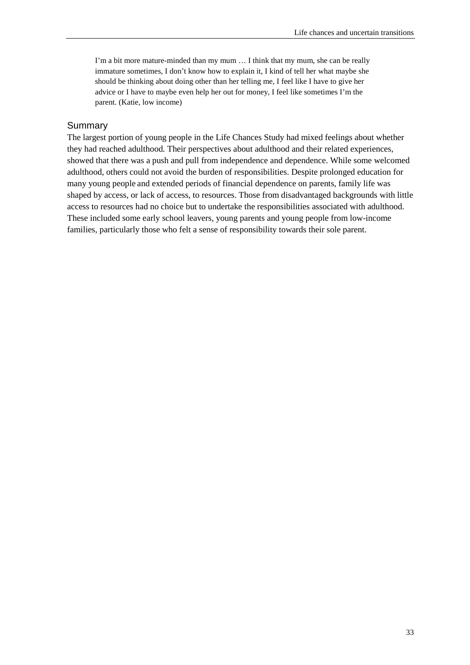I'm a bit more mature-minded than my mum … I think that my mum, she can be really immature sometimes, I don't know how to explain it, I kind of tell her what maybe she should be thinking about doing other than her telling me, I feel like I have to give her advice or I have to maybe even help her out for money, I feel like sometimes I'm the parent. (Katie, low income)

#### **Summary**

The largest portion of young people in the Life Chances Study had mixed feelings about whether they had reached adulthood. Their perspectives about adulthood and their related experiences, showed that there was a push and pull from independence and dependence. While some welcomed adulthood, others could not avoid the burden of responsibilities. Despite prolonged education for many young people and extended periods of financial dependence on parents, family life was shaped by access, or lack of access, to resources. Those from disadvantaged backgrounds with little access to resources had no choice but to undertake the responsibilities associated with adulthood. These included some early school leavers, young parents and young people from low-income families, particularly those who felt a sense of responsibility towards their sole parent.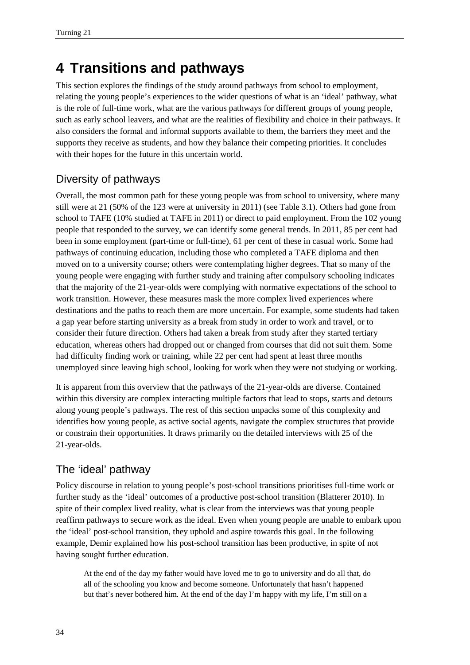# **4 Transitions and pathways**

This section explores the findings of the study around pathways from school to employment, relating the young people's experiences to the wider questions of what is an 'ideal' pathway, what is the role of full-time work, what are the various pathways for different groups of young people, such as early school leavers, and what are the realities of flexibility and choice in their pathways. It also considers the formal and informal supports available to them, the barriers they meet and the supports they receive as students, and how they balance their competing priorities. It concludes with their hopes for the future in this uncertain world.

# Diversity of pathways

Overall, the most common path for these young people was from school to university, where many still were at 21 (50% of the 123 were at university in 2011) (see Table 3.1). Others had gone from school to TAFE (10% studied at TAFE in 2011) or direct to paid employment. From the 102 young people that responded to the survey, we can identify some general trends. In 2011, 85 per cent had been in some employment (part-time or full-time), 61 per cent of these in casual work. Some had pathways of continuing education, including those who completed a TAFE diploma and then moved on to a university course; others were contemplating higher degrees. That so many of the young people were engaging with further study and training after compulsory schooling indicates that the majority of the 21-year-olds were complying with normative expectations of the school to work transition. However, these measures mask the more complex lived experiences where destinations and the paths to reach them are more uncertain. For example, some students had taken a gap year before starting university as a break from study in order to work and travel, or to consider their future direction. Others had taken a break from study after they started tertiary education, whereas others had dropped out or changed from courses that did not suit them. Some had difficulty finding work or training, while 22 per cent had spent at least three months unemployed since leaving high school, looking for work when they were not studying or working.

It is apparent from this overview that the pathways of the 21-year-olds are diverse. Contained within this diversity are complex interacting multiple factors that lead to stops, starts and detours along young people's pathways. The rest of this section unpacks some of this complexity and identifies how young people, as active social agents, navigate the complex structures that provide or constrain their opportunities. It draws primarily on the detailed interviews with 25 of the 21-year-olds.

# The 'ideal' pathway

Policy discourse in relation to young people's post-school transitions prioritises full-time work or further study as the 'ideal' outcomes of a productive post-school transition (Blatterer 2010). In spite of their complex lived reality, what is clear from the interviews was that young people reaffirm pathways to secure work as the ideal. Even when young people are unable to embark upon the 'ideal' post-school transition, they uphold and aspire towards this goal. In the following example, Demir explained how his post-school transition has been productive, in spite of not having sought further education.

At the end of the day my father would have loved me to go to university and do all that, do all of the schooling you know and become someone. Unfortunately that hasn't happened but that's never bothered him. At the end of the day I'm happy with my life, I'm still on a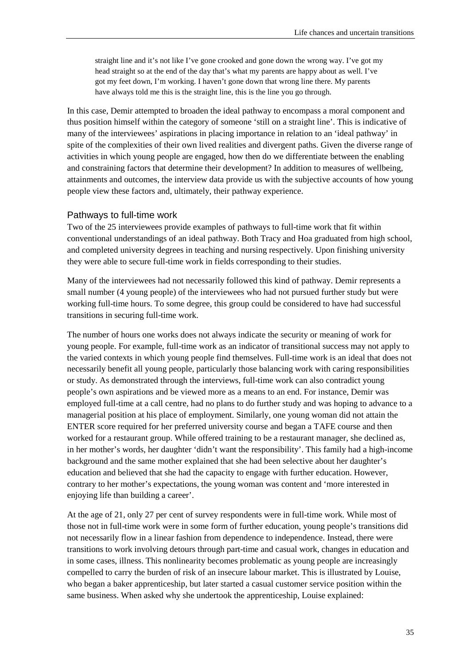straight line and it's not like I've gone crooked and gone down the wrong way. I've got my head straight so at the end of the day that's what my parents are happy about as well. I've got my feet down, I'm working. I haven't gone down that wrong line there. My parents have always told me this is the straight line, this is the line you go through.

In this case, Demir attempted to broaden the ideal pathway to encompass a moral component and thus position himself within the category of someone 'still on a straight line'. This is indicative of many of the interviewees' aspirations in placing importance in relation to an 'ideal pathway' in spite of the complexities of their own lived realities and divergent paths. Given the diverse range of activities in which young people are engaged, how then do we differentiate between the enabling and constraining factors that determine their development? In addition to measures of wellbeing, attainments and outcomes, the interview data provide us with the subjective accounts of how young people view these factors and, ultimately, their pathway experience.

#### Pathways to full-time work

Two of the 25 interviewees provide examples of pathways to full-time work that fit within conventional understandings of an ideal pathway. Both Tracy and Hoa graduated from high school, and completed university degrees in teaching and nursing respectively. Upon finishing university they were able to secure full-time work in fields corresponding to their studies.

Many of the interviewees had not necessarily followed this kind of pathway. Demir represents a small number (4 young people) of the interviewees who had not pursued further study but were working full-time hours. To some degree, this group could be considered to have had successful transitions in securing full-time work.

The number of hours one works does not always indicate the security or meaning of work for young people. For example, full-time work as an indicator of transitional success may not apply to the varied contexts in which young people find themselves. Full-time work is an ideal that does not necessarily benefit all young people, particularly those balancing work with caring responsibilities or study. As demonstrated through the interviews, full-time work can also contradict young people's own aspirations and be viewed more as a means to an end. For instance, Demir was employed full-time at a call centre, had no plans to do further study and was hoping to advance to a managerial position at his place of employment. Similarly, one young woman did not attain the ENTER score required for her preferred university course and began a TAFE course and then worked for a restaurant group. While offered training to be a restaurant manager, she declined as, in her mother's words, her daughter 'didn't want the responsibility'. This family had a high-income background and the same mother explained that she had been selective about her daughter's education and believed that she had the capacity to engage with further education. However, contrary to her mother's expectations, the young woman was content and 'more interested in enjoying life than building a career'.

At the age of 21, only 27 per cent of survey respondents were in full-time work. While most of those not in full-time work were in some form of further education, young people's transitions did not necessarily flow in a linear fashion from dependence to independence. Instead, there were transitions to work involving detours through part-time and casual work, changes in education and in some cases, illness. This nonlinearity becomes problematic as young people are increasingly compelled to carry the burden of risk of an insecure labour market. This is illustrated by Louise, who began a baker apprenticeship, but later started a casual customer service position within the same business. When asked why she undertook the apprenticeship, Louise explained: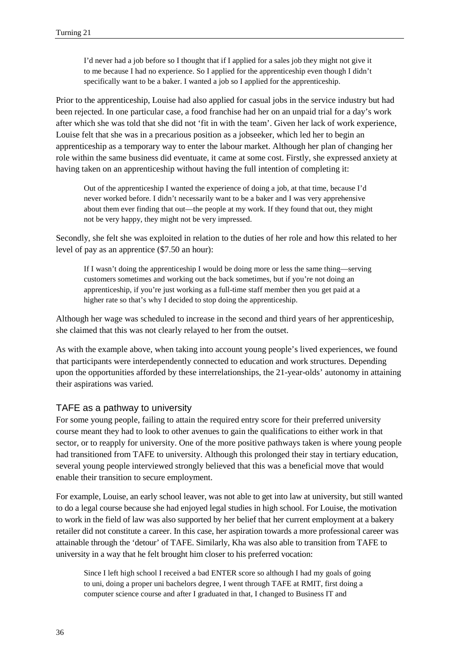I'd never had a job before so I thought that if I applied for a sales job they might not give it to me because I had no experience. So I applied for the apprenticeship even though I didn't specifically want to be a baker. I wanted a job so I applied for the apprenticeship.

Prior to the apprenticeship, Louise had also applied for casual jobs in the service industry but had been rejected. In one particular case, a food franchise had her on an unpaid trial for a day's work after which she was told that she did not 'fit in with the team'. Given her lack of work experience, Louise felt that she was in a precarious position as a jobseeker, which led her to begin an apprenticeship as a temporary way to enter the labour market. Although her plan of changing her role within the same business did eventuate, it came at some cost. Firstly, she expressed anxiety at having taken on an apprenticeship without having the full intention of completing it:

Out of the apprenticeship I wanted the experience of doing a job, at that time, because I'd never worked before. I didn't necessarily want to be a baker and I was very apprehensive about them ever finding that out—the people at my work. If they found that out, they might not be very happy, they might not be very impressed.

Secondly, she felt she was exploited in relation to the duties of her role and how this related to her level of pay as an apprentice (\$7.50 an hour):

If I wasn't doing the apprenticeship I would be doing more or less the same thing—serving customers sometimes and working out the back sometimes, but if you're not doing an apprenticeship, if you're just working as a full-time staff member then you get paid at a higher rate so that's why I decided to stop doing the apprenticeship.

Although her wage was scheduled to increase in the second and third years of her apprenticeship, she claimed that this was not clearly relayed to her from the outset.

As with the example above, when taking into account young people's lived experiences, we found that participants were interdependently connected to education and work structures. Depending upon the opportunities afforded by these interrelationships, the 21-year-olds' autonomy in attaining their aspirations was varied.

#### TAFE as a pathway to university

For some young people, failing to attain the required entry score for their preferred university course meant they had to look to other avenues to gain the qualifications to either work in that sector, or to reapply for university. One of the more positive pathways taken is where young people had transitioned from TAFE to university. Although this prolonged their stay in tertiary education, several young people interviewed strongly believed that this was a beneficial move that would enable their transition to secure employment.

For example, Louise, an early school leaver, was not able to get into law at university, but still wanted to do a legal course because she had enjoyed legal studies in high school. For Louise, the motivation to work in the field of law was also supported by her belief that her current employment at a bakery retailer did not constitute a career. In this case, her aspiration towards a more professional career was attainable through the 'detour' of TAFE. Similarly, Kha was also able to transition from TAFE to university in a way that he felt brought him closer to his preferred vocation:

Since I left high school I received a bad ENTER score so although I had my goals of going to uni, doing a proper uni bachelors degree, I went through TAFE at RMIT, first doing a computer science course and after I graduated in that, I changed to Business IT and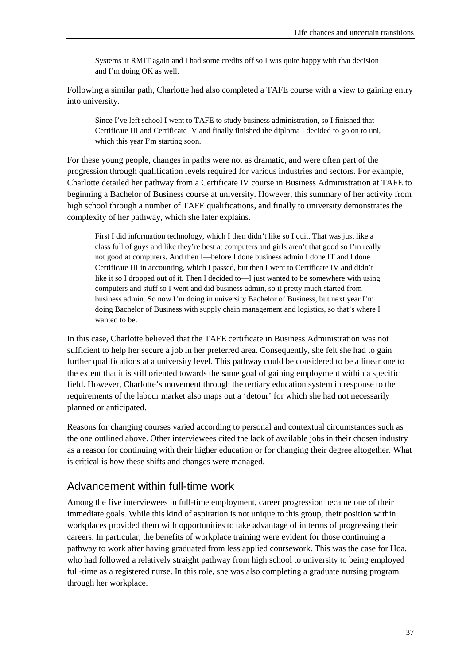Systems at RMIT again and I had some credits off so I was quite happy with that decision and I'm doing OK as well.

Following a similar path, Charlotte had also completed a TAFE course with a view to gaining entry into university.

Since I've left school I went to TAFE to study business administration, so I finished that Certificate III and Certificate IV and finally finished the diploma I decided to go on to uni, which this year I'm starting soon.

For these young people, changes in paths were not as dramatic, and were often part of the progression through qualification levels required for various industries and sectors. For example, Charlotte detailed her pathway from a Certificate IV course in Business Administration at TAFE to beginning a Bachelor of Business course at university. However, this summary of her activity from high school through a number of TAFE qualifications, and finally to university demonstrates the complexity of her pathway, which she later explains.

First I did information technology, which I then didn't like so I quit. That was just like a class full of guys and like they're best at computers and girls aren't that good so I'm really not good at computers. And then I—before I done business admin I done IT and I done Certificate III in accounting, which I passed, but then I went to Certificate IV and didn't like it so I dropped out of it. Then I decided to—I just wanted to be somewhere with using computers and stuff so I went and did business admin, so it pretty much started from business admin. So now I'm doing in university Bachelor of Business, but next year I'm doing Bachelor of Business with supply chain management and logistics, so that's where I wanted to be.

In this case, Charlotte believed that the TAFE certificate in Business Administration was not sufficient to help her secure a job in her preferred area. Consequently, she felt she had to gain further qualifications at a university level. This pathway could be considered to be a linear one to the extent that it is still oriented towards the same goal of gaining employment within a specific field. However, Charlotte's movement through the tertiary education system in response to the requirements of the labour market also maps out a 'detour' for which she had not necessarily planned or anticipated.

Reasons for changing courses varied according to personal and contextual circumstances such as the one outlined above. Other interviewees cited the lack of available jobs in their chosen industry as a reason for continuing with their higher education or for changing their degree altogether. What is critical is how these shifts and changes were managed.

# Advancement within full-time work

Among the five interviewees in full-time employment, career progression became one of their immediate goals. While this kind of aspiration is not unique to this group, their position within workplaces provided them with opportunities to take advantage of in terms of progressing their careers. In particular, the benefits of workplace training were evident for those continuing a pathway to work after having graduated from less applied coursework. This was the case for Hoa, who had followed a relatively straight pathway from high school to university to being employed full-time as a registered nurse. In this role, she was also completing a graduate nursing program through her workplace.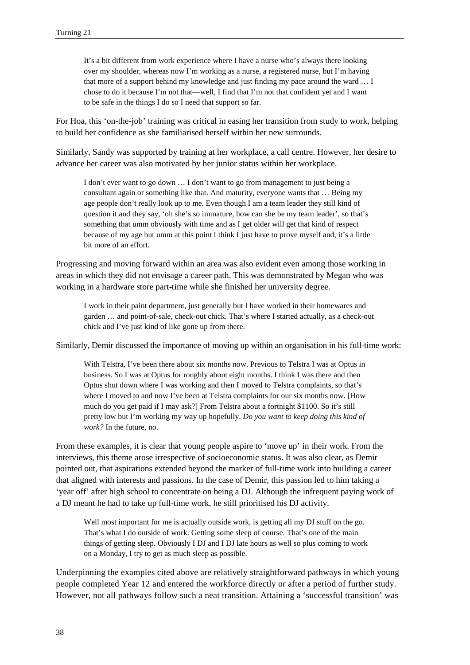It's a bit different from work experience where I have a nurse who's always there looking over my shoulder, whereas now I'm working as a nurse, a registered nurse, but I'm having that more of a support behind my knowledge and just finding my pace around the ward … I chose to do it because I'm not that—well, I find that I'm not that confident yet and I want to be safe in the things I do so I need that support so far.

For Hoa, this 'on-the-job' training was critical in easing her transition from study to work, helping to build her confidence as she familiarised herself within her new surrounds.

Similarly, Sandy was supported by training at her workplace, a call centre. However, her desire to advance her career was also motivated by her junior status within her workplace.

I don't ever want to go down … I don't want to go from management to just being a consultant again or something like that. And maturity, everyone wants that … Being my age people don't really look up to me. Even though I am a team leader they still kind of question it and they say, 'oh she's so immature, how can she be my team leader', so that's something that umm obviously with time and as I get older will get that kind of respect because of my age but umm at this point I think I just have to prove myself and, it's a little bit more of an effort.

Progressing and moving forward within an area was also evident even among those working in areas in which they did not envisage a career path. This was demonstrated by Megan who was working in a hardware store part-time while she finished her university degree.

I work in their paint department, just generally but I have worked in their homewares and garden … and point-of-sale, check-out chick. That's where I started actually, as a check-out chick and I've just kind of like gone up from there.

Similarly, Demir discussed the importance of moving up within an organisation in his full-time work:

With Telstra, I've been there about six months now. Previous to Telstra I was at Optus in business. So I was at Optus for roughly about eight months. I think I was there and then Optus shut down where I was working and then I moved to Telstra complaints, so that's where I moved to and now I've been at Telstra complaints for our six months now. [How much do you get paid if I may ask?] From Telstra about a fortnight \$1100. So it's still pretty low but I'm working my way up hopefully. *Do you want to keep doing this kind of work?* In the future, no.

From these examples, it is clear that young people aspire to 'move up' in their work. From the interviews, this theme arose irrespective of socioeconomic status. It was also clear, as Demir pointed out, that aspirations extended beyond the marker of full-time work into building a career that aligned with interests and passions. In the case of Demir, this passion led to him taking a 'year off' after high school to concentrate on being a DJ. Although the infrequent paying work of a DJ meant he had to take up full-time work, he still prioritised his DJ activity.

Well most important for me is actually outside work, is getting all my DJ stuff on the go. That's what I do outside of work. Getting some sleep of course. That's one of the main things of getting sleep. Obviously I DJ and I DJ late hours as well so plus coming to work on a Monday, I try to get as much sleep as possible.

Underpinning the examples cited above are relatively straightforward pathways in which young people completed Year 12 and entered the workforce directly or after a period of further study. However, not all pathways follow such a neat transition. Attaining a 'successful transition' was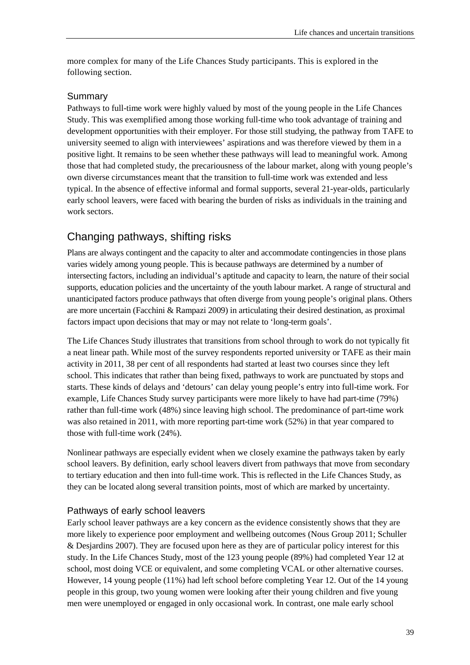more complex for many of the Life Chances Study participants. This is explored in the following section.

#### Summary

Pathways to full-time work were highly valued by most of the young people in the Life Chances Study. This was exemplified among those working full-time who took advantage of training and development opportunities with their employer. For those still studying, the pathway from TAFE to university seemed to align with interviewees' aspirations and was therefore viewed by them in a positive light. It remains to be seen whether these pathways will lead to meaningful work. Among those that had completed study, the precariousness of the labour market, along with young people's own diverse circumstances meant that the transition to full-time work was extended and less typical. In the absence of effective informal and formal supports, several 21-year-olds, particularly early school leavers, were faced with bearing the burden of risks as individuals in the training and work sectors.

# Changing pathways, shifting risks

Plans are always contingent and the capacity to alter and accommodate contingencies in those plans varies widely among young people. This is because pathways are determined by a number of intersecting factors, including an individual's aptitude and capacity to learn, the nature of their social supports, education policies and the uncertainty of the youth labour market. A range of structural and unanticipated factors produce pathways that often diverge from young people's original plans. Others are more uncertain (Facchini & Rampazi 2009) in articulating their desired destination, as proximal factors impact upon decisions that may or may not relate to 'long-term goals'.

The Life Chances Study illustrates that transitions from school through to work do not typically fit a neat linear path. While most of the survey respondents reported university or TAFE as their main activity in 2011, 38 per cent of all respondents had started at least two courses since they left school. This indicates that rather than being fixed, pathways to work are punctuated by stops and starts. These kinds of delays and 'detours' can delay young people's entry into full-time work. For example, Life Chances Study survey participants were more likely to have had part-time (79%) rather than full-time work (48%) since leaving high school. The predominance of part-time work was also retained in 2011, with more reporting part-time work (52%) in that year compared to those with full-time work (24%).

Nonlinear pathways are especially evident when we closely examine the pathways taken by early school leavers. By definition, early school leavers divert from pathways that move from secondary to tertiary education and then into full-time work. This is reflected in the Life Chances Study, as they can be located along several transition points, most of which are marked by uncertainty.

## Pathways of early school leavers

Early school leaver pathways are a key concern as the evidence consistently shows that they are more likely to experience poor employment and wellbeing outcomes (Nous Group 2011; Schuller & Desjardins 2007). They are focused upon here as they are of particular policy interest for this study. In the Life Chances Study, most of the 123 young people (89%) had completed Year 12 at school, most doing VCE or equivalent, and some completing VCAL or other alternative courses. However, 14 young people (11%) had left school before completing Year 12. Out of the 14 young people in this group, two young women were looking after their young children and five young men were unemployed or engaged in only occasional work. In contrast, one male early school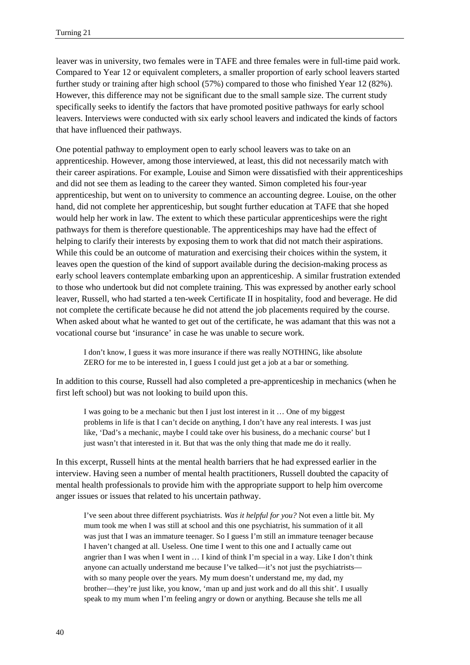leaver was in university, two females were in TAFE and three females were in full-time paid work. Compared to Year 12 or equivalent completers, a smaller proportion of early school leavers started further study or training after high school (57%) compared to those who finished Year 12 (82%). However, this difference may not be significant due to the small sample size. The current study specifically seeks to identify the factors that have promoted positive pathways for early school leavers. Interviews were conducted with six early school leavers and indicated the kinds of factors that have influenced their pathways.

One potential pathway to employment open to early school leavers was to take on an apprenticeship. However, among those interviewed, at least, this did not necessarily match with their career aspirations. For example, Louise and Simon were dissatisfied with their apprenticeships and did not see them as leading to the career they wanted. Simon completed his four-year apprenticeship, but went on to university to commence an accounting degree. Louise, on the other hand, did not complete her apprenticeship, but sought further education at TAFE that she hoped would help her work in law. The extent to which these particular apprenticeships were the right pathways for them is therefore questionable. The apprenticeships may have had the effect of helping to clarify their interests by exposing them to work that did not match their aspirations. While this could be an outcome of maturation and exercising their choices within the system, it leaves open the question of the kind of support available during the decision-making process as early school leavers contemplate embarking upon an apprenticeship. A similar frustration extended to those who undertook but did not complete training. This was expressed by another early school leaver, Russell, who had started a ten-week Certificate II in hospitality, food and beverage. He did not complete the certificate because he did not attend the job placements required by the course. When asked about what he wanted to get out of the certificate, he was adamant that this was not a vocational course but 'insurance' in case he was unable to secure work.

I don't know, I guess it was more insurance if there was really NOTHING, like absolute ZERO for me to be interested in, I guess I could just get a job at a bar or something.

In addition to this course, Russell had also completed a pre-apprenticeship in mechanics (when he first left school) but was not looking to build upon this.

I was going to be a mechanic but then I just lost interest in it … One of my biggest problems in life is that I can't decide on anything, I don't have any real interests. I was just like, 'Dad's a mechanic, maybe I could take over his business, do a mechanic course' but I just wasn't that interested in it. But that was the only thing that made me do it really.

In this excerpt, Russell hints at the mental health barriers that he had expressed earlier in the interview. Having seen a number of mental health practitioners, Russell doubted the capacity of mental health professionals to provide him with the appropriate support to help him overcome anger issues or issues that related to his uncertain pathway.

I've seen about three different psychiatrists. *Was it helpful for you?* Not even a little bit. My mum took me when I was still at school and this one psychiatrist, his summation of it all was just that I was an immature teenager. So I guess I'm still an immature teenager because I haven't changed at all. Useless. One time I went to this one and I actually came out angrier than I was when I went in … I kind of think I'm special in a way. Like I don't think anyone can actually understand me because I've talked—it's not just the psychiatrists with so many people over the years. My mum doesn't understand me, my dad, my brother—they're just like, you know, 'man up and just work and do all this shit'. I usually speak to my mum when I'm feeling angry or down or anything. Because she tells me all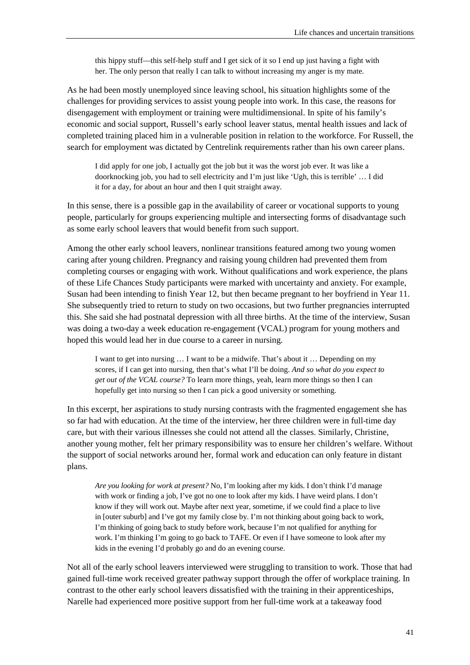this hippy stuff—this self-help stuff and I get sick of it so I end up just having a fight with her. The only person that really I can talk to without increasing my anger is my mate.

As he had been mostly unemployed since leaving school, his situation highlights some of the challenges for providing services to assist young people into work. In this case, the reasons for disengagement with employment or training were multidimensional. In spite of his family's economic and social support, Russell's early school leaver status, mental health issues and lack of completed training placed him in a vulnerable position in relation to the workforce. For Russell, the search for employment was dictated by Centrelink requirements rather than his own career plans.

I did apply for one job, I actually got the job but it was the worst job ever. It was like a doorknocking job, you had to sell electricity and I'm just like 'Ugh, this is terrible' … I did it for a day, for about an hour and then I quit straight away.

In this sense, there is a possible gap in the availability of career or vocational supports to young people, particularly for groups experiencing multiple and intersecting forms of disadvantage such as some early school leavers that would benefit from such support.

Among the other early school leavers, nonlinear transitions featured among two young women caring after young children. Pregnancy and raising young children had prevented them from completing courses or engaging with work. Without qualifications and work experience, the plans of these Life Chances Study participants were marked with uncertainty and anxiety. For example, Susan had been intending to finish Year 12, but then became pregnant to her boyfriend in Year 11. She subsequently tried to return to study on two occasions, but two further pregnancies interrupted this. She said she had postnatal depression with all three births. At the time of the interview, Susan was doing a two-day a week education re-engagement (VCAL) program for young mothers and hoped this would lead her in due course to a career in nursing.

I want to get into nursing … I want to be a midwife. That's about it … Depending on my scores, if I can get into nursing, then that's what I'll be doing. *And so what do you expect to get out of the VCAL course?* To learn more things, yeah, learn more things so then I can hopefully get into nursing so then I can pick a good university or something.

In this excerpt, her aspirations to study nursing contrasts with the fragmented engagement she has so far had with education. At the time of the interview, her three children were in full-time day care, but with their various illnesses she could not attend all the classes. Similarly, Christine, another young mother, felt her primary responsibility was to ensure her children's welfare. Without the support of social networks around her, formal work and education can only feature in distant plans.

*Are you looking for work at present?* No, I'm looking after my kids. I don't think I'd manage with work or finding a job, I've got no one to look after my kids. I have weird plans. I don't know if they will work out. Maybe after next year, sometime, if we could find a place to live in [outer suburb] and I've got my family close by. I'm not thinking about going back to work, I'm thinking of going back to study before work, because I'm not qualified for anything for work. I'm thinking I'm going to go back to TAFE. Or even if I have someone to look after my kids in the evening I'd probably go and do an evening course.

Not all of the early school leavers interviewed were struggling to transition to work. Those that had gained full-time work received greater pathway support through the offer of workplace training. In contrast to the other early school leavers dissatisfied with the training in their apprenticeships, Narelle had experienced more positive support from her full-time work at a takeaway food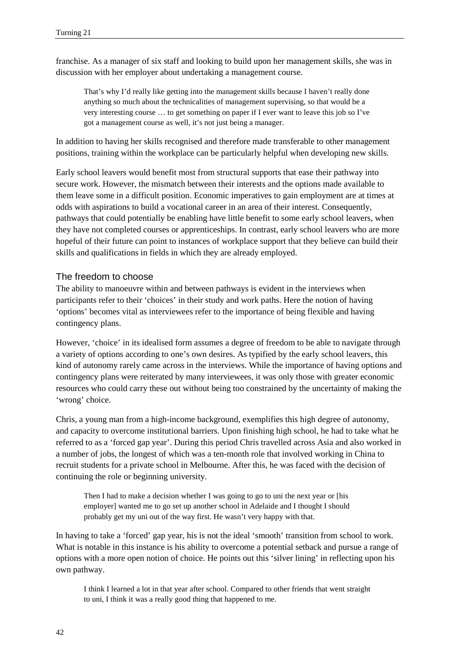franchise. As a manager of six staff and looking to build upon her management skills, she was in discussion with her employer about undertaking a management course.

That's why I'd really like getting into the management skills because I haven't really done anything so much about the technicalities of management supervising, so that would be a very interesting course … to get something on paper if I ever want to leave this job so I've got a management course as well, it's not just being a manager.

In addition to having her skills recognised and therefore made transferable to other management positions, training within the workplace can be particularly helpful when developing new skills.

Early school leavers would benefit most from structural supports that ease their pathway into secure work. However, the mismatch between their interests and the options made available to them leave some in a difficult position. Economic imperatives to gain employment are at times at odds with aspirations to build a vocational career in an area of their interest. Consequently, pathways that could potentially be enabling have little benefit to some early school leavers, when they have not completed courses or apprenticeships. In contrast, early school leavers who are more hopeful of their future can point to instances of workplace support that they believe can build their skills and qualifications in fields in which they are already employed.

#### The freedom to choose

The ability to manoeuvre within and between pathways is evident in the interviews when participants refer to their 'choices' in their study and work paths. Here the notion of having 'options' becomes vital as interviewees refer to the importance of being flexible and having contingency plans.

However, 'choice' in its idealised form assumes a degree of freedom to be able to navigate through a variety of options according to one's own desires. As typified by the early school leavers, this kind of autonomy rarely came across in the interviews. While the importance of having options and contingency plans were reiterated by many interviewees, it was only those with greater economic resources who could carry these out without being too constrained by the uncertainty of making the 'wrong' choice.

Chris, a young man from a high-income background, exemplifies this high degree of autonomy, and capacity to overcome institutional barriers. Upon finishing high school, he had to take what he referred to as a 'forced gap year'. During this period Chris travelled across Asia and also worked in a number of jobs, the longest of which was a ten-month role that involved working in China to recruit students for a private school in Melbourne. After this, he was faced with the decision of continuing the role or beginning university.

Then I had to make a decision whether I was going to go to uni the next year or [his employer] wanted me to go set up another school in Adelaide and I thought I should probably get my uni out of the way first. He wasn't very happy with that.

In having to take a 'forced' gap year, his is not the ideal 'smooth' transition from school to work. What is notable in this instance is his ability to overcome a potential setback and pursue a range of options with a more open notion of choice. He points out this 'silver lining' in reflecting upon his own pathway.

I think I learned a lot in that year after school. Compared to other friends that went straight to uni, I think it was a really good thing that happened to me.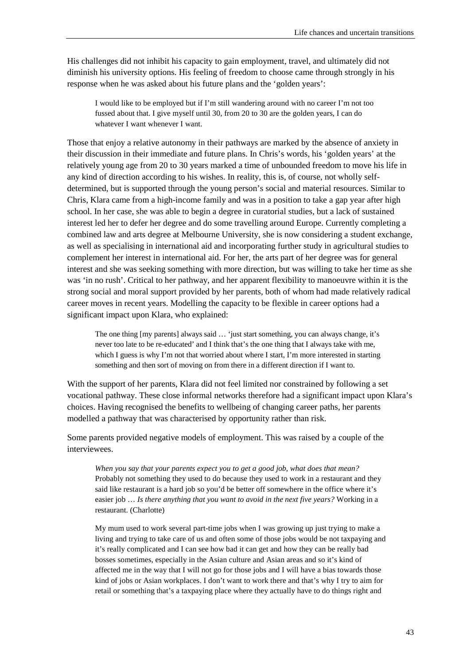His challenges did not inhibit his capacity to gain employment, travel, and ultimately did not diminish his university options. His feeling of freedom to choose came through strongly in his response when he was asked about his future plans and the 'golden years':

I would like to be employed but if I'm still wandering around with no career I'm not too fussed about that. I give myself until 30, from 20 to 30 are the golden years, I can do whatever I want whenever I want.

Those that enjoy a relative autonomy in their pathways are marked by the absence of anxiety in their discussion in their immediate and future plans. In Chris's words, his 'golden years' at the relatively young age from 20 to 30 years marked a time of unbounded freedom to move his life in any kind of direction according to his wishes. In reality, this is, of course, not wholly selfdetermined, but is supported through the young person's social and material resources. Similar to Chris, Klara came from a high-income family and was in a position to take a gap year after high school. In her case, she was able to begin a degree in curatorial studies, but a lack of sustained interest led her to defer her degree and do some travelling around Europe. Currently completing a combined law and arts degree at Melbourne University, she is now considering a student exchange, as well as specialising in international aid and incorporating further study in agricultural studies to complement her interest in international aid. For her, the arts part of her degree was for general interest and she was seeking something with more direction, but was willing to take her time as she was 'in no rush'. Critical to her pathway, and her apparent flexibility to manoeuvre within it is the strong social and moral support provided by her parents, both of whom had made relatively radical career moves in recent years. Modelling the capacity to be flexible in career options had a significant impact upon Klara, who explained:

The one thing [my parents] always said … 'just start something, you can always change, it's never too late to be re-educated' and I think that's the one thing that I always take with me, which I guess is why I'm not that worried about where I start, I'm more interested in starting something and then sort of moving on from there in a different direction if I want to.

With the support of her parents, Klara did not feel limited nor constrained by following a set vocational pathway. These close informal networks therefore had a significant impact upon Klara's choices. Having recognised the benefits to wellbeing of changing career paths, her parents modelled a pathway that was characterised by opportunity rather than risk.

Some parents provided negative models of employment. This was raised by a couple of the interviewees.

*When you say that your parents expect you to get a good job, what does that mean?* Probably not something they used to do because they used to work in a restaurant and they said like restaurant is a hard job so you'd be better off somewhere in the office where it's easier job … *Is there anything that you want to avoid in the next five years?* Working in a restaurant. (Charlotte)

My mum used to work several part-time jobs when I was growing up just trying to make a living and trying to take care of us and often some of those jobs would be not taxpaying and it's really complicated and I can see how bad it can get and how they can be really bad bosses sometimes, especially in the Asian culture and Asian areas and so it's kind of affected me in the way that I will not go for those jobs and I will have a bias towards those kind of jobs or Asian workplaces. I don't want to work there and that's why I try to aim for retail or something that's a taxpaying place where they actually have to do things right and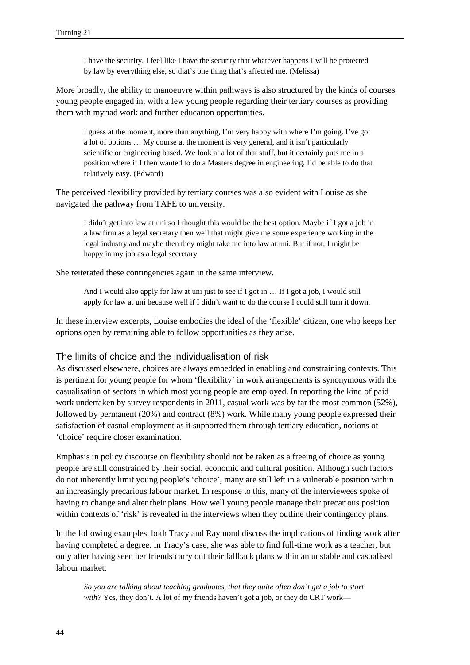I have the security. I feel like I have the security that whatever happens I will be protected by law by everything else, so that's one thing that's affected me. (Melissa)

More broadly, the ability to manoeuvre within pathways is also structured by the kinds of courses young people engaged in, with a few young people regarding their tertiary courses as providing them with myriad work and further education opportunities.

I guess at the moment, more than anything, I'm very happy with where I'm going. I've got a lot of options … My course at the moment is very general, and it isn't particularly scientific or engineering based. We look at a lot of that stuff, but it certainly puts me in a position where if I then wanted to do a Masters degree in engineering, I'd be able to do that relatively easy. (Edward)

The perceived flexibility provided by tertiary courses was also evident with Louise as she navigated the pathway from TAFE to university.

I didn't get into law at uni so I thought this would be the best option. Maybe if I got a job in a law firm as a legal secretary then well that might give me some experience working in the legal industry and maybe then they might take me into law at uni. But if not, I might be happy in my job as a legal secretary.

She reiterated these contingencies again in the same interview.

And I would also apply for law at uni just to see if I got in … If I got a job, I would still apply for law at uni because well if I didn't want to do the course I could still turn it down.

In these interview excerpts, Louise embodies the ideal of the 'flexible' citizen, one who keeps her options open by remaining able to follow opportunities as they arise.

#### The limits of choice and the individualisation of risk

As discussed elsewhere, choices are always embedded in enabling and constraining contexts. This is pertinent for young people for whom 'flexibility' in work arrangements is synonymous with the casualisation of sectors in which most young people are employed. In reporting the kind of paid work undertaken by survey respondents in 2011, casual work was by far the most common (52%), followed by permanent (20%) and contract (8%) work. While many young people expressed their satisfaction of casual employment as it supported them through tertiary education, notions of 'choice' require closer examination.

Emphasis in policy discourse on flexibility should not be taken as a freeing of choice as young people are still constrained by their social, economic and cultural position. Although such factors do not inherently limit young people's 'choice', many are still left in a vulnerable position within an increasingly precarious labour market. In response to this, many of the interviewees spoke of having to change and alter their plans. How well young people manage their precarious position within contexts of 'risk' is revealed in the interviews when they outline their contingency plans.

In the following examples, both Tracy and Raymond discuss the implications of finding work after having completed a degree. In Tracy's case, she was able to find full-time work as a teacher, but only after having seen her friends carry out their fallback plans within an unstable and casualised labour market:

*So you are talking about teaching graduates, that they quite often don't get a job to start*  with? Yes, they don't. A lot of my friends haven't got a job, or they do CRT work—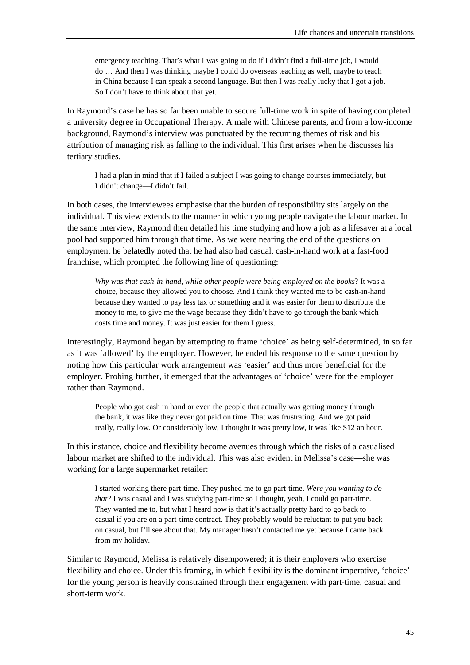emergency teaching. That's what I was going to do if I didn't find a full-time job, I would do … And then I was thinking maybe I could do overseas teaching as well, maybe to teach in China because I can speak a second language. But then I was really lucky that I got a job. So I don't have to think about that yet.

In Raymond's case he has so far been unable to secure full-time work in spite of having completed a university degree in Occupational Therapy. A male with Chinese parents, and from a low-income background, Raymond's interview was punctuated by the recurring themes of risk and his attribution of managing risk as falling to the individual. This first arises when he discusses his tertiary studies.

I had a plan in mind that if I failed a subject I was going to change courses immediately, but I didn't change—I didn't fail.

In both cases, the interviewees emphasise that the burden of responsibility sits largely on the individual. This view extends to the manner in which young people navigate the labour market. In the same interview, Raymond then detailed his time studying and how a job as a lifesaver at a local pool had supported him through that time. As we were nearing the end of the questions on employment he belatedly noted that he had also had casual, cash-in-hand work at a fast-food franchise, which prompted the following line of questioning:

*Why was that cash-in-hand, while other people were being employed on the books*? It was a choice, because they allowed you to choose. And I think they wanted me to be cash-in-hand because they wanted to pay less tax or something and it was easier for them to distribute the money to me, to give me the wage because they didn't have to go through the bank which costs time and money. It was just easier for them I guess.

Interestingly, Raymond began by attempting to frame 'choice' as being self-determined, in so far as it was 'allowed' by the employer. However, he ended his response to the same question by noting how this particular work arrangement was 'easier' and thus more beneficial for the employer. Probing further, it emerged that the advantages of 'choice' were for the employer rather than Raymond.

People who got cash in hand or even the people that actually was getting money through the bank, it was like they never got paid on time. That was frustrating. And we got paid really, really low. Or considerably low, I thought it was pretty low, it was like \$12 an hour.

In this instance, choice and flexibility become avenues through which the risks of a casualised labour market are shifted to the individual. This was also evident in Melissa's case—she was working for a large supermarket retailer:

I started working there part-time. They pushed me to go part-time. *Were you wanting to do that?* I was casual and I was studying part-time so I thought, yeah, I could go part-time. They wanted me to, but what I heard now is that it's actually pretty hard to go back to casual if you are on a part-time contract. They probably would be reluctant to put you back on casual, but I'll see about that. My manager hasn't contacted me yet because I came back from my holiday.

Similar to Raymond, Melissa is relatively disempowered; it is their employers who exercise flexibility and choice. Under this framing, in which flexibility is the dominant imperative, 'choice' for the young person is heavily constrained through their engagement with part-time, casual and short-term work.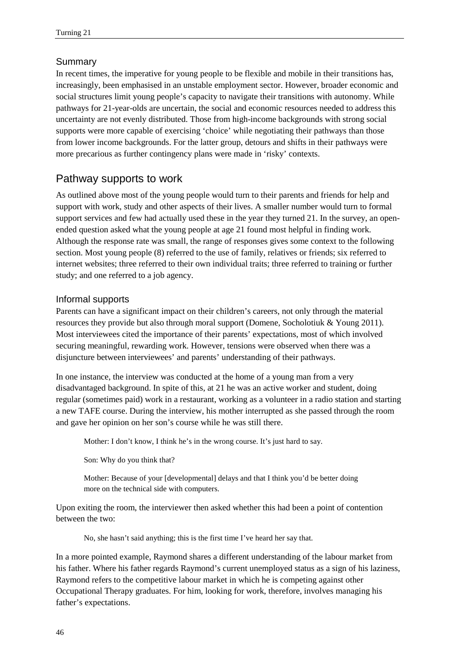## Summary

In recent times, the imperative for young people to be flexible and mobile in their transitions has, increasingly, been emphasised in an unstable employment sector. However, broader economic and social structures limit young people's capacity to navigate their transitions with autonomy. While pathways for 21-year-olds are uncertain, the social and economic resources needed to address this uncertainty are not evenly distributed. Those from high-income backgrounds with strong social supports were more capable of exercising 'choice' while negotiating their pathways than those from lower income backgrounds. For the latter group, detours and shifts in their pathways were more precarious as further contingency plans were made in 'risky' contexts.

# Pathway supports to work

As outlined above most of the young people would turn to their parents and friends for help and support with work, study and other aspects of their lives. A smaller number would turn to formal support services and few had actually used these in the year they turned 21. In the survey, an openended question asked what the young people at age 21 found most helpful in finding work. Although the response rate was small, the range of responses gives some context to the following section. Most young people (8) referred to the use of family, relatives or friends; six referred to internet websites; three referred to their own individual traits; three referred to training or further study; and one referred to a job agency.

#### Informal supports

Parents can have a significant impact on their children's careers, not only through the material resources they provide but also through moral support (Domene, Socholotiuk & Young 2011). Most interviewees cited the importance of their parents' expectations, most of which involved securing meaningful, rewarding work. However, tensions were observed when there was a disjuncture between interviewees' and parents' understanding of their pathways.

In one instance, the interview was conducted at the home of a young man from a very disadvantaged background. In spite of this, at 21 he was an active worker and student, doing regular (sometimes paid) work in a restaurant, working as a volunteer in a radio station and starting a new TAFE course. During the interview, his mother interrupted as she passed through the room and gave her opinion on her son's course while he was still there.

Mother: I don't know, I think he's in the wrong course. It's just hard to say.

Son: Why do you think that?

Mother: Because of your [developmental] delays and that I think you'd be better doing more on the technical side with computers.

Upon exiting the room, the interviewer then asked whether this had been a point of contention between the two:

No, she hasn't said anything; this is the first time I've heard her say that.

In a more pointed example, Raymond shares a different understanding of the labour market from his father. Where his father regards Raymond's current unemployed status as a sign of his laziness, Raymond refers to the competitive labour market in which he is competing against other Occupational Therapy graduates. For him, looking for work, therefore, involves managing his father's expectations.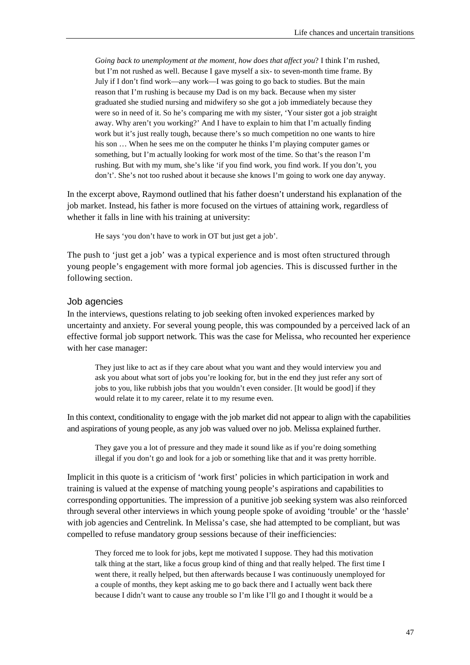*Going back to unemployment at the moment, how does that affect you*? I think I'm rushed, but I'm not rushed as well. Because I gave myself a six- to seven-month time frame. By July if I don't find work—any work—I was going to go back to studies. But the main reason that I'm rushing is because my Dad is on my back. Because when my sister graduated she studied nursing and midwifery so she got a job immediately because they were so in need of it. So he's comparing me with my sister, 'Your sister got a job straight away. Why aren't you working?' And I have to explain to him that I'm actually finding work but it's just really tough, because there's so much competition no one wants to hire his son ... When he sees me on the computer he thinks I'm playing computer games or something, but I'm actually looking for work most of the time. So that's the reason I'm rushing. But with my mum, she's like 'if you find work, you find work. If you don't, you don't'. She's not too rushed about it because she knows I'm going to work one day anyway.

In the excerpt above, Raymond outlined that his father doesn't understand his explanation of the job market. Instead, his father is more focused on the virtues of attaining work, regardless of whether it falls in line with his training at university:

He says 'you don't have to work in OT but just get a job'.

The push to 'just get a job' was a typical experience and is most often structured through young people's engagement with more formal job agencies. This is discussed further in the following section.

#### Job agencies

In the interviews, questions relating to job seeking often invoked experiences marked by uncertainty and anxiety. For several young people, this was compounded by a perceived lack of an effective formal job support network. This was the case for Melissa, who recounted her experience with her case manager:

They just like to act as if they care about what you want and they would interview you and ask you about what sort of jobs you're looking for, but in the end they just refer any sort of jobs to you, like rubbish jobs that you wouldn't even consider. [It would be good] if they would relate it to my career, relate it to my resume even.

In this context, conditionality to engage with the job market did not appear to align with the capabilities and aspirations of young people, as any job was valued over no job. Melissa explained further.

They gave you a lot of pressure and they made it sound like as if you're doing something illegal if you don't go and look for a job or something like that and it was pretty horrible.

Implicit in this quote is a criticism of 'work first' policies in which participation in work and training is valued at the expense of matching young people's aspirations and capabilities to corresponding opportunities. The impression of a punitive job seeking system was also reinforced through several other interviews in which young people spoke of avoiding 'trouble' or the 'hassle' with job agencies and Centrelink. In Melissa's case, she had attempted to be compliant, but was compelled to refuse mandatory group sessions because of their inefficiencies:

They forced me to look for jobs, kept me motivated I suppose. They had this motivation talk thing at the start, like a focus group kind of thing and that really helped. The first time I went there, it really helped, but then afterwards because I was continuously unemployed for a couple of months, they kept asking me to go back there and I actually went back there because I didn't want to cause any trouble so I'm like I'll go and I thought it would be a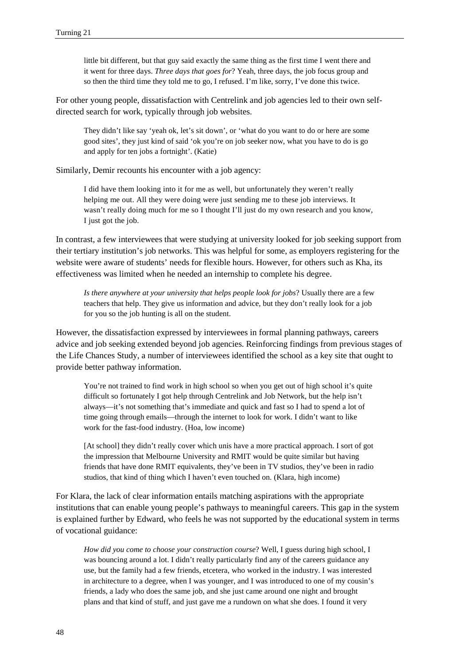little bit different, but that guy said exactly the same thing as the first time I went there and it went for three days. *Three days that goes for*? Yeah, three days, the job focus group and so then the third time they told me to go, I refused. I'm like, sorry, I've done this twice.

For other young people, dissatisfaction with Centrelink and job agencies led to their own selfdirected search for work, typically through job websites.

They didn't like say 'yeah ok, let's sit down', or 'what do you want to do or here are some good sites', they just kind of said 'ok you're on job seeker now, what you have to do is go and apply for ten jobs a fortnight'. (Katie)

Similarly, Demir recounts his encounter with a job agency:

I did have them looking into it for me as well, but unfortunately they weren't really helping me out. All they were doing were just sending me to these job interviews. It wasn't really doing much for me so I thought I'll just do my own research and you know, I just got the job.

In contrast, a few interviewees that were studying at university looked for job seeking support from their tertiary institution's job networks. This was helpful for some, as employers registering for the website were aware of students' needs for flexible hours. However, for others such as Kha, its effectiveness was limited when he needed an internship to complete his degree.

*Is there anywhere at your university that helps people look for jobs*? Usually there are a few teachers that help. They give us information and advice, but they don't really look for a job for you so the job hunting is all on the student.

However, the dissatisfaction expressed by interviewees in formal planning pathways, careers advice and job seeking extended beyond job agencies. Reinforcing findings from previous stages of the Life Chances Study, a number of interviewees identified the school as a key site that ought to provide better pathway information.

You're not trained to find work in high school so when you get out of high school it's quite difficult so fortunately I got help through Centrelink and Job Network, but the help isn't always—it's not something that's immediate and quick and fast so I had to spend a lot of time going through emails—through the internet to look for work. I didn't want to like work for the fast-food industry. (Hoa, low income)

[At school] they didn't really cover which unis have a more practical approach. I sort of got the impression that Melbourne University and RMIT would be quite similar but having friends that have done RMIT equivalents, they've been in TV studios, they've been in radio studios, that kind of thing which I haven't even touched on. (Klara, high income)

For Klara, the lack of clear information entails matching aspirations with the appropriate institutions that can enable young people's pathways to meaningful careers. This gap in the system is explained further by Edward, who feels he was not supported by the educational system in terms of vocational guidance:

*How did you come to choose your construction course*? Well, I guess during high school, I was bouncing around a lot. I didn't really particularly find any of the careers guidance any use, but the family had a few friends, etcetera, who worked in the industry. I was interested in architecture to a degree, when I was younger, and I was introduced to one of my cousin's friends, a lady who does the same job, and she just came around one night and brought plans and that kind of stuff, and just gave me a rundown on what she does. I found it very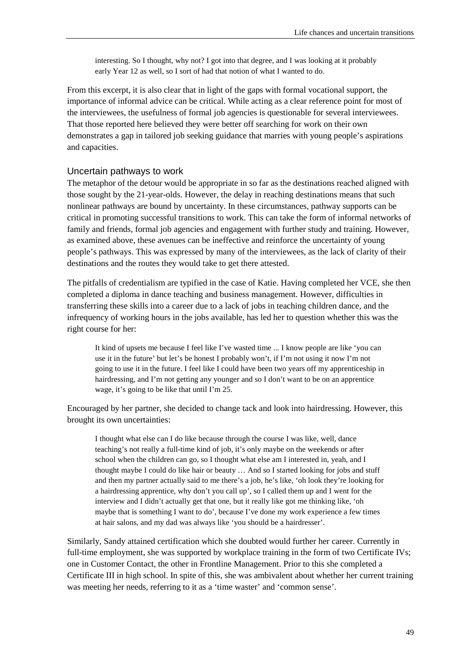interesting. So I thought, why not? I got into that degree, and I was looking at it probably early Year 12 as well, so I sort of had that notion of what I wanted to do.

From this excerpt, it is also clear that in light of the gaps with formal vocational support, the importance of informal advice can be critical. While acting as a clear reference point for most of the interviewees, the usefulness of formal job agencies is questionable for several interviewees. That those reported here believed they were better off searching for work on their own demonstrates a gap in tailored job seeking guidance that marries with young people's aspirations and capacities.

#### Uncertain pathways to work

The metaphor of the detour would be appropriate in so far as the destinations reached aligned with those sought by the 21-year-olds. However, the delay in reaching destinations means that such nonlinear pathways are bound by uncertainty. In these circumstances, pathway supports can be critical in promoting successful transitions to work. This can take the form of informal networks of family and friends, formal job agencies and engagement with further study and training. However, as examined above, these avenues can be ineffective and reinforce the uncertainty of young people's pathways. This was expressed by many of the interviewees, as the lack of clarity of their destinations and the routes they would take to get there attested.

The pitfalls of credentialism are typified in the case of Katie. Having completed her VCE, she then completed a diploma in dance teaching and business management. However, difficulties in transferring these skills into a career due to a lack of jobs in teaching children dance, and the infrequency of working hours in the jobs available, has led her to question whether this was the right course for her:

It kind of upsets me because I feel like I've wasted time ... I know people are like 'you can use it in the future' but let's be honest I probably won't, if I'm not using it now I'm not going to use it in the future. I feel like I could have been two years off my apprenticeship in hairdressing, and I'm not getting any younger and so I don't want to be on an apprentice wage, it's going to be like that until I'm 25.

Encouraged by her partner, she decided to change tack and look into hairdressing. However, this brought its own uncertainties:

I thought what else can I do like because through the course I was like, well, dance teaching's not really a full-time kind of job, it's only maybe on the weekends or after school when the children can go, so I thought what else am I interested in, yeah, and I thought maybe I could do like hair or beauty … And so I started looking for jobs and stuff and then my partner actually said to me there's a job, he's like, 'oh look they're looking for a hairdressing apprentice, why don't you call up', so I called them up and I went for the interview and I didn't actually get that one, but it really like got me thinking like, 'oh maybe that is something I want to do', because I've done my work experience a few times at hair salons, and my dad was always like 'you should be a hairdresser'.

Similarly, Sandy attained certification which she doubted would further her career. Currently in full-time employment, she was supported by workplace training in the form of two Certificate IVs; one in Customer Contact, the other in Frontline Management. Prior to this she completed a Certificate III in high school. In spite of this, she was ambivalent about whether her current training was meeting her needs, referring to it as a 'time waster' and 'common sense'.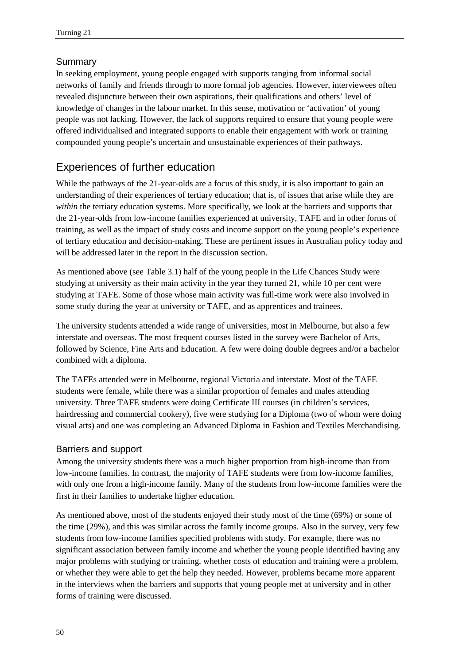## Summary

In seeking employment, young people engaged with supports ranging from informal social networks of family and friends through to more formal job agencies. However, interviewees often revealed disjuncture between their own aspirations, their qualifications and others' level of knowledge of changes in the labour market. In this sense, motivation or 'activation' of young people was not lacking. However, the lack of supports required to ensure that young people were offered individualised and integrated supports to enable their engagement with work or training compounded young people's uncertain and unsustainable experiences of their pathways.

# Experiences of further education

While the pathways of the 21-year-olds are a focus of this study, it is also important to gain an understanding of their experiences of tertiary education; that is, of issues that arise while they are *within* the tertiary education systems. More specifically, we look at the barriers and supports that the 21-year-olds from low-income families experienced at university, TAFE and in other forms of training, as well as the impact of study costs and income support on the young people's experience of tertiary education and decision-making. These are pertinent issues in Australian policy today and will be addressed later in the report in the discussion section.

As mentioned above (see Table 3.1) half of the young people in the Life Chances Study were studying at university as their main activity in the year they turned 21, while 10 per cent were studying at TAFE. Some of those whose main activity was full-time work were also involved in some study during the year at university or TAFE, and as apprentices and trainees.

The university students attended a wide range of universities, most in Melbourne, but also a few interstate and overseas. The most frequent courses listed in the survey were Bachelor of Arts, followed by Science, Fine Arts and Education. A few were doing double degrees and/or a bachelor combined with a diploma.

The TAFEs attended were in Melbourne, regional Victoria and interstate. Most of the TAFE students were female, while there was a similar proportion of females and males attending university. Three TAFE students were doing Certificate III courses (in children's services, hairdressing and commercial cookery), five were studying for a Diploma (two of whom were doing visual arts) and one was completing an Advanced Diploma in Fashion and Textiles Merchandising.

## Barriers and support

Among the university students there was a much higher proportion from high-income than from low-income families. In contrast, the majority of TAFE students were from low-income families, with only one from a high-income family. Many of the students from low-income families were the first in their families to undertake higher education.

As mentioned above, most of the students enjoyed their study most of the time (69%) or some of the time (29%), and this was similar across the family income groups. Also in the survey, very few students from low-income families specified problems with study. For example, there was no significant association between family income and whether the young people identified having any major problems with studying or training, whether costs of education and training were a problem, or whether they were able to get the help they needed. However, problems became more apparent in the interviews when the barriers and supports that young people met at university and in other forms of training were discussed.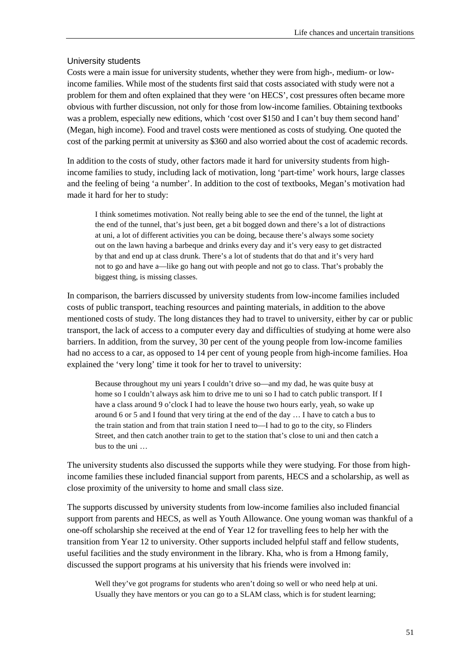#### University students

Costs were a main issue for university students, whether they were from high-, medium- or lowincome families. While most of the students first said that costs associated with study were not a problem for them and often explained that they were 'on HECS', cost pressures often became more obvious with further discussion, not only for those from low-income families. Obtaining textbooks was a problem, especially new editions, which 'cost over \$150 and I can't buy them second hand' (Megan, high income). Food and travel costs were mentioned as costs of studying. One quoted the cost of the parking permit at university as \$360 and also worried about the cost of academic records.

In addition to the costs of study, other factors made it hard for university students from highincome families to study, including lack of motivation, long 'part-time' work hours, large classes and the feeling of being 'a number'. In addition to the cost of textbooks, Megan's motivation had made it hard for her to study:

I think sometimes motivation. Not really being able to see the end of the tunnel, the light at the end of the tunnel, that's just been, get a bit bogged down and there's a lot of distractions at uni, a lot of different activities you can be doing, because there's always some society out on the lawn having a barbeque and drinks every day and it's very easy to get distracted by that and end up at class drunk. There's a lot of students that do that and it's very hard not to go and have a—like go hang out with people and not go to class. That's probably the biggest thing, is missing classes.

In comparison, the barriers discussed by university students from low-income families included costs of public transport, teaching resources and painting materials, in addition to the above mentioned costs of study. The long distances they had to travel to university, either by car or public transport, the lack of access to a computer every day and difficulties of studying at home were also barriers. In addition, from the survey, 30 per cent of the young people from low-income families had no access to a car, as opposed to 14 per cent of young people from high-income families. Hoa explained the 'very long' time it took for her to travel to university:

Because throughout my uni years I couldn't drive so—and my dad, he was quite busy at home so I couldn't always ask him to drive me to uni so I had to catch public transport. If I have a class around 9 o'clock I had to leave the house two hours early, yeah, so wake up around 6 or 5 and I found that very tiring at the end of the day … I have to catch a bus to the train station and from that train station I need to—I had to go to the city, so Flinders Street, and then catch another train to get to the station that's close to uni and then catch a bus to the uni …

The university students also discussed the supports while they were studying. For those from highincome families these included financial support from parents, HECS and a scholarship, as well as close proximity of the university to home and small class size.

The supports discussed by university students from low-income families also included financial support from parents and HECS, as well as Youth Allowance. One young woman was thankful of a one-off scholarship she received at the end of Year 12 for travelling fees to help her with the transition from Year 12 to university. Other supports included helpful staff and fellow students, useful facilities and the study environment in the library. Kha, who is from a Hmong family, discussed the support programs at his university that his friends were involved in:

Well they've got programs for students who aren't doing so well or who need help at uni. Usually they have mentors or you can go to a SLAM class, which is for student learning;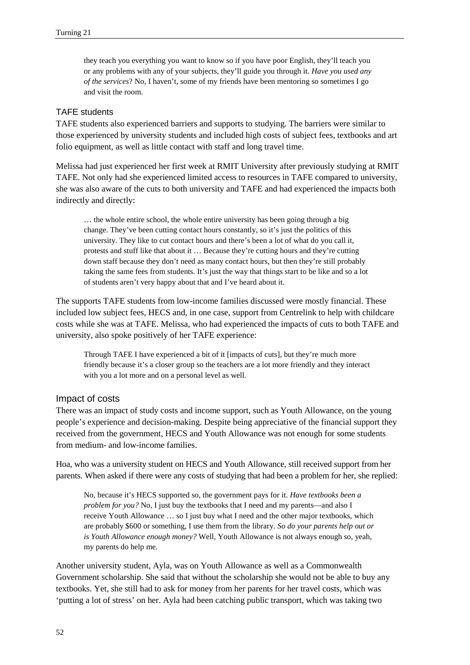they teach you everything you want to know so if you have poor English, they'll teach you or any problems with any of your subjects, they'll guide you through it. *Have you used any of the services*? No, I haven't, some of my friends have been mentoring so sometimes I go and visit the room.

#### TAFE students

TAFE students also experienced barriers and supports to studying. The barriers were similar to those experienced by university students and included high costs of subject fees, textbooks and art folio equipment, as well as little contact with staff and long travel time.

Melissa had just experienced her first week at RMIT University after previously studying at RMIT TAFE. Not only had she experienced limited access to resources in TAFE compared to university, she was also aware of the cuts to both university and TAFE and had experienced the impacts both indirectly and directly:

… the whole entire school, the whole entire university has been going through a big change. They've been cutting contact hours constantly, so it's just the politics of this university. They like to cut contact hours and there's been a lot of what do you call it, protests and stuff like that about it … Because they're cutting hours and they're cutting down staff because they don't need as many contact hours, but then they're still probably taking the same fees from students. It's just the way that things start to be like and so a lot of students aren't very happy about that and I've heard about it.

The supports TAFE students from low-income families discussed were mostly financial. These included low subject fees, HECS and, in one case, support from Centrelink to help with childcare costs while she was at TAFE. Melissa, who had experienced the impacts of cuts to both TAFE and university, also spoke positively of her TAFE experience:

Through TAFE I have experienced a bit of it [impacts of cuts], but they're much more friendly because it's a closer group so the teachers are a lot more friendly and they interact with you a lot more and on a personal level as well.

#### Impact of costs

There was an impact of study costs and income support, such as Youth Allowance, on the young people's experience and decision-making. Despite being appreciative of the financial support they received from the government, HECS and Youth Allowance was not enough for some students from medium- and low-income families.

Hoa, who was a university student on HECS and Youth Allowance, still received support from her parents. When asked if there were any costs of studying that had been a problem for her, she replied:

No, because it's HECS supported so, the government pays for it. *Have textbooks been a problem for you?* No, I just buy the textbooks that I need and my parents—and also I receive Youth Allowance … so I just buy what I need and the other major textbooks, which are probably \$600 or something, I use them from the library. *So do your parents help out or is Youth Allowance enough money?* Well, Youth Allowance is not always enough so, yeah, my parents do help me.

Another university student, Ayla, was on Youth Allowance as well as a Commonwealth Government scholarship. She said that without the scholarship she would not be able to buy any textbooks. Yet, she still had to ask for money from her parents for her travel costs, which was 'putting a lot of stress' on her. Ayla had been catching public transport, which was taking two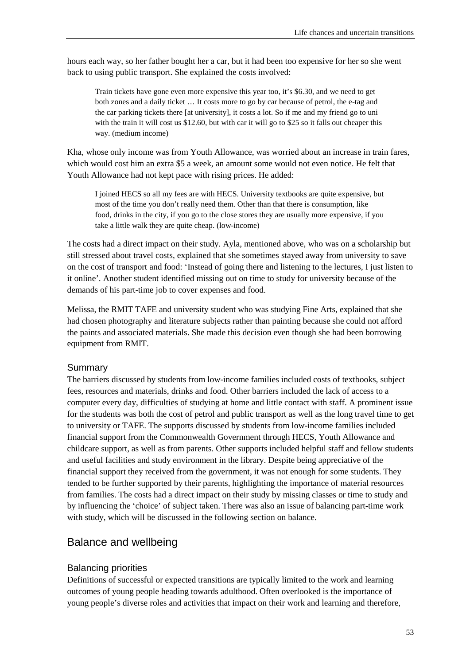hours each way, so her father bought her a car, but it had been too expensive for her so she went back to using public transport. She explained the costs involved:

Train tickets have gone even more expensive this year too, it's \$6.30, and we need to get both zones and a daily ticket … It costs more to go by car because of petrol, the e-tag and the car parking tickets there [at university], it costs a lot. So if me and my friend go to uni with the train it will cost us \$12.60, but with car it will go to \$25 so it falls out cheaper this way. (medium income)

Kha, whose only income was from Youth Allowance, was worried about an increase in train fares, which would cost him an extra \$5 a week, an amount some would not even notice. He felt that Youth Allowance had not kept pace with rising prices. He added:

I joined HECS so all my fees are with HECS. University textbooks are quite expensive, but most of the time you don't really need them. Other than that there is consumption, like food, drinks in the city, if you go to the close stores they are usually more expensive, if you take a little walk they are quite cheap. (low-income)

The costs had a direct impact on their study. Ayla, mentioned above, who was on a scholarship but still stressed about travel costs, explained that she sometimes stayed away from university to save on the cost of transport and food: 'Instead of going there and listening to the lectures, I just listen to it online'. Another student identified missing out on time to study for university because of the demands of his part-time job to cover expenses and food.

Melissa, the RMIT TAFE and university student who was studying Fine Arts, explained that she had chosen photography and literature subjects rather than painting because she could not afford the paints and associated materials. She made this decision even though she had been borrowing equipment from RMIT.

#### Summary

The barriers discussed by students from low-income families included costs of textbooks, subject fees, resources and materials, drinks and food. Other barriers included the lack of access to a computer every day, difficulties of studying at home and little contact with staff. A prominent issue for the students was both the cost of petrol and public transport as well as the long travel time to get to university or TAFE. The supports discussed by students from low-income families included financial support from the Commonwealth Government through HECS, Youth Allowance and childcare support, as well as from parents. Other supports included helpful staff and fellow students and useful facilities and study environment in the library. Despite being appreciative of the financial support they received from the government, it was not enough for some students. They tended to be further supported by their parents, highlighting the importance of material resources from families. The costs had a direct impact on their study by missing classes or time to study and by influencing the 'choice' of subject taken. There was also an issue of balancing part-time work with study, which will be discussed in the following section on balance.

## Balance and wellbeing

#### Balancing priorities

Definitions of successful or expected transitions are typically limited to the work and learning outcomes of young people heading towards adulthood. Often overlooked is the importance of young people's diverse roles and activities that impact on their work and learning and therefore,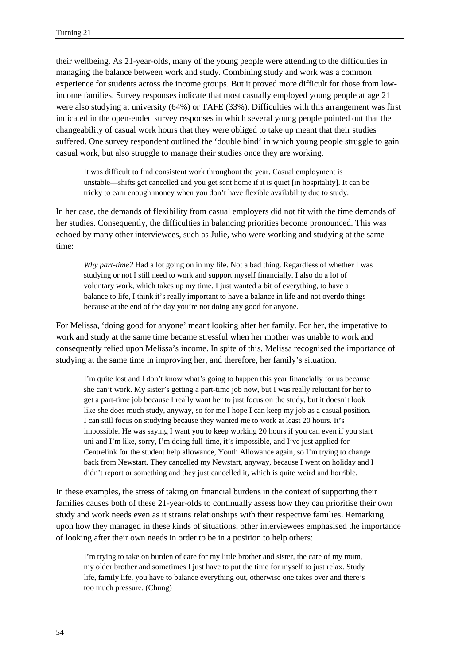their wellbeing. As 21-year-olds, many of the young people were attending to the difficulties in managing the balance between work and study. Combining study and work was a common experience for students across the income groups. But it proved more difficult for those from lowincome families. Survey responses indicate that most casually employed young people at age 21 were also studying at university (64%) or TAFE (33%). Difficulties with this arrangement was first indicated in the open-ended survey responses in which several young people pointed out that the changeability of casual work hours that they were obliged to take up meant that their studies suffered. One survey respondent outlined the 'double bind' in which young people struggle to gain casual work, but also struggle to manage their studies once they are working.

It was difficult to find consistent work throughout the year. Casual employment is unstable—shifts get cancelled and you get sent home if it is quiet [in hospitality]. It can be tricky to earn enough money when you don't have flexible availability due to study.

In her case, the demands of flexibility from casual employers did not fit with the time demands of her studies. Consequently, the difficulties in balancing priorities become pronounced. This was echoed by many other interviewees, such as Julie, who were working and studying at the same time:

*Why part-time?* Had a lot going on in my life. Not a bad thing. Regardless of whether I was studying or not I still need to work and support myself financially. I also do a lot of voluntary work, which takes up my time. I just wanted a bit of everything, to have a balance to life, I think it's really important to have a balance in life and not overdo things because at the end of the day you're not doing any good for anyone.

For Melissa, 'doing good for anyone' meant looking after her family. For her, the imperative to work and study at the same time became stressful when her mother was unable to work and consequently relied upon Melissa's income. In spite of this, Melissa recognised the importance of studying at the same time in improving her, and therefore, her family's situation.

I'm quite lost and I don't know what's going to happen this year financially for us because she can't work. My sister's getting a part-time job now, but I was really reluctant for her to get a part-time job because I really want her to just focus on the study, but it doesn't look like she does much study, anyway, so for me I hope I can keep my job as a casual position. I can still focus on studying because they wanted me to work at least 20 hours. It's impossible. He was saying I want you to keep working 20 hours if you can even if you start uni and I'm like, sorry, I'm doing full-time, it's impossible, and I've just applied for Centrelink for the student help allowance, Youth Allowance again, so I'm trying to change back from Newstart. They cancelled my Newstart, anyway, because I went on holiday and I didn't report or something and they just cancelled it, which is quite weird and horrible.

In these examples, the stress of taking on financial burdens in the context of supporting their families causes both of these 21-year-olds to continually assess how they can prioritise their own study and work needs even as it strains relationships with their respective families. Remarking upon how they managed in these kinds of situations, other interviewees emphasised the importance of looking after their own needs in order to be in a position to help others:

I'm trying to take on burden of care for my little brother and sister, the care of my mum, my older brother and sometimes I just have to put the time for myself to just relax. Study life, family life, you have to balance everything out, otherwise one takes over and there's too much pressure. (Chung)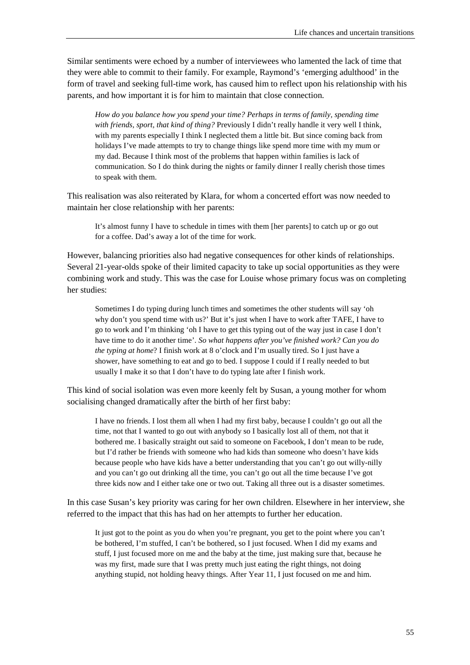Similar sentiments were echoed by a number of interviewees who lamented the lack of time that they were able to commit to their family. For example, Raymond's 'emerging adulthood' in the form of travel and seeking full-time work, has caused him to reflect upon his relationship with his parents, and how important it is for him to maintain that close connection.

*How do you balance how you spend your time? Perhaps in terms of family, spending time with friends, sport, that kind of thing?* Previously I didn't really handle it very well I think, with my parents especially I think I neglected them a little bit. But since coming back from holidays I've made attempts to try to change things like spend more time with my mum or my dad. Because I think most of the problems that happen within families is lack of communication. So I do think during the nights or family dinner I really cherish those times to speak with them.

This realisation was also reiterated by Klara, for whom a concerted effort was now needed to maintain her close relationship with her parents:

It's almost funny I have to schedule in times with them [her parents] to catch up or go out for a coffee. Dad's away a lot of the time for work.

However, balancing priorities also had negative consequences for other kinds of relationships. Several 21-year-olds spoke of their limited capacity to take up social opportunities as they were combining work and study. This was the case for Louise whose primary focus was on completing her studies:

Sometimes I do typing during lunch times and sometimes the other students will say 'oh why don't you spend time with us?' But it's just when I have to work after TAFE, I have to go to work and I'm thinking 'oh I have to get this typing out of the way just in case I don't have time to do it another time'. *So what happens after you've finished work? Can you do the typing at home*? I finish work at 8 o'clock and I'm usually tired. So I just have a shower, have something to eat and go to bed. I suppose I could if I really needed to but usually I make it so that I don't have to do typing late after I finish work.

This kind of social isolation was even more keenly felt by Susan, a young mother for whom socialising changed dramatically after the birth of her first baby:

I have no friends. I lost them all when I had my first baby, because I couldn't go out all the time, not that I wanted to go out with anybody so I basically lost all of them, not that it bothered me. I basically straight out said to someone on Facebook, I don't mean to be rude, but I'd rather be friends with someone who had kids than someone who doesn't have kids because people who have kids have a better understanding that you can't go out willy-nilly and you can't go out drinking all the time, you can't go out all the time because I've got three kids now and I either take one or two out. Taking all three out is a disaster sometimes.

In this case Susan's key priority was caring for her own children. Elsewhere in her interview, she referred to the impact that this has had on her attempts to further her education.

It just got to the point as you do when you're pregnant, you get to the point where you can't be bothered, I'm stuffed, I can't be bothered, so I just focused. When I did my exams and stuff, I just focused more on me and the baby at the time, just making sure that, because he was my first, made sure that I was pretty much just eating the right things, not doing anything stupid, not holding heavy things. After Year 11, I just focused on me and him.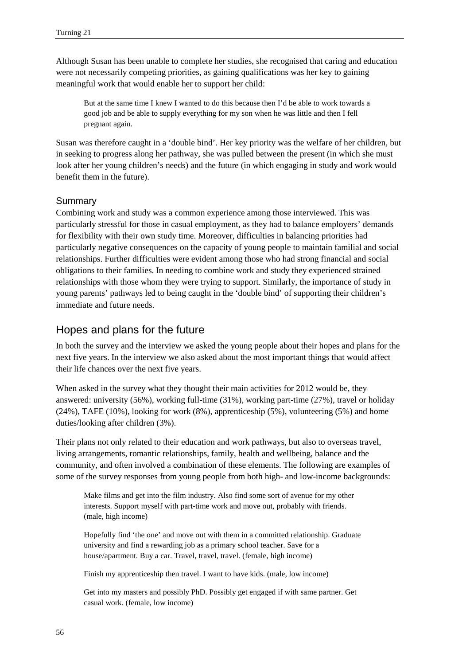Although Susan has been unable to complete her studies, she recognised that caring and education were not necessarily competing priorities, as gaining qualifications was her key to gaining meaningful work that would enable her to support her child:

But at the same time I knew I wanted to do this because then I'd be able to work towards a good job and be able to supply everything for my son when he was little and then I fell pregnant again.

Susan was therefore caught in a 'double bind'. Her key priority was the welfare of her children, but in seeking to progress along her pathway, she was pulled between the present (in which she must look after her young children's needs) and the future (in which engaging in study and work would benefit them in the future).

### Summary

Combining work and study was a common experience among those interviewed. This was particularly stressful for those in casual employment, as they had to balance employers' demands for flexibility with their own study time. Moreover, difficulties in balancing priorities had particularly negative consequences on the capacity of young people to maintain familial and social relationships. Further difficulties were evident among those who had strong financial and social obligations to their families. In needing to combine work and study they experienced strained relationships with those whom they were trying to support. Similarly, the importance of study in young parents' pathways led to being caught in the 'double bind' of supporting their children's immediate and future needs.

# Hopes and plans for the future

In both the survey and the interview we asked the young people about their hopes and plans for the next five years. In the interview we also asked about the most important things that would affect their life chances over the next five years.

When asked in the survey what they thought their main activities for 2012 would be, they answered: university (56%), working full-time (31%), working part-time (27%), travel or holiday (24%), TAFE (10%), looking for work (8%), apprenticeship (5%), volunteering (5%) and home duties/looking after children (3%).

Their plans not only related to their education and work pathways, but also to overseas travel, living arrangements, romantic relationships, family, health and wellbeing, balance and the community, and often involved a combination of these elements. The following are examples of some of the survey responses from young people from both high- and low-income backgrounds:

Make films and get into the film industry. Also find some sort of avenue for my other interests. Support myself with part-time work and move out, probably with friends. (male, high income)

Hopefully find 'the one' and move out with them in a committed relationship. Graduate university and find a rewarding job as a primary school teacher. Save for a house/apartment. Buy a car. Travel, travel, travel. (female, high income)

Finish my apprenticeship then travel. I want to have kids. (male, low income)

Get into my masters and possibly PhD. Possibly get engaged if with same partner. Get casual work. (female, low income)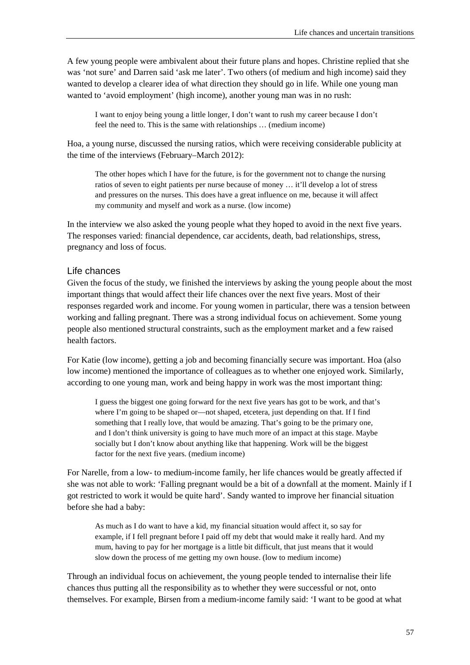A few young people were ambivalent about their future plans and hopes. Christine replied that she was 'not sure' and Darren said 'ask me later'. Two others (of medium and high income) said they wanted to develop a clearer idea of what direction they should go in life. While one young man wanted to 'avoid employment' (high income), another young man was in no rush:

I want to enjoy being young a little longer, I don't want to rush my career because I don't feel the need to. This is the same with relationships … (medium income)

Hoa, a young nurse, discussed the nursing ratios, which were receiving considerable publicity at the time of the interviews (February–March 2012):

The other hopes which I have for the future, is for the government not to change the nursing ratios of seven to eight patients per nurse because of money … it'll develop a lot of stress and pressures on the nurses. This does have a great influence on me, because it will affect my community and myself and work as a nurse. (low income)

In the interview we also asked the young people what they hoped to avoid in the next five years. The responses varied: financial dependence, car accidents, death, bad relationships, stress, pregnancy and loss of focus.

#### Life chances

Given the focus of the study, we finished the interviews by asking the young people about the most important things that would affect their life chances over the next five years. Most of their responses regarded work and income. For young women in particular, there was a tension between working and falling pregnant. There was a strong individual focus on achievement. Some young people also mentioned structural constraints, such as the employment market and a few raised health factors.

For Katie (low income), getting a job and becoming financially secure was important. Hoa (also low income) mentioned the importance of colleagues as to whether one enjoyed work. Similarly, according to one young man, work and being happy in work was the most important thing:

I guess the biggest one going forward for the next five years has got to be work, and that's where I'm going to be shaped or—not shaped, etcetera, just depending on that. If I find something that I really love, that would be amazing. That's going to be the primary one, and I don't think university is going to have much more of an impact at this stage. Maybe socially but I don't know about anything like that happening. Work will be the biggest factor for the next five years. (medium income)

For Narelle, from a low- to medium-income family, her life chances would be greatly affected if she was not able to work: 'Falling pregnant would be a bit of a downfall at the moment. Mainly if I got restricted to work it would be quite hard'. Sandy wanted to improve her financial situation before she had a baby:

As much as I do want to have a kid, my financial situation would affect it, so say for example, if I fell pregnant before I paid off my debt that would make it really hard. And my mum, having to pay for her mortgage is a little bit difficult, that just means that it would slow down the process of me getting my own house. (low to medium income)

Through an individual focus on achievement, the young people tended to internalise their life chances thus putting all the responsibility as to whether they were successful or not, onto themselves. For example, Birsen from a medium-income family said: 'I want to be good at what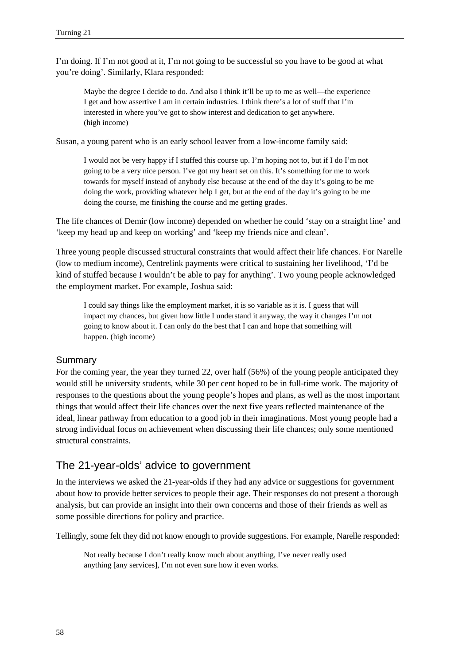I'm doing. If I'm not good at it, I'm not going to be successful so you have to be good at what you're doing'. Similarly, Klara responded:

Maybe the degree I decide to do. And also I think it'll be up to me as well—the experience I get and how assertive I am in certain industries. I think there's a lot of stuff that I'm interested in where you've got to show interest and dedication to get anywhere. (high income)

Susan, a young parent who is an early school leaver from a low-income family said:

I would not be very happy if I stuffed this course up. I'm hoping not to, but if I do I'm not going to be a very nice person. I've got my heart set on this. It's something for me to work towards for myself instead of anybody else because at the end of the day it's going to be me doing the work, providing whatever help I get, but at the end of the day it's going to be me doing the course, me finishing the course and me getting grades.

The life chances of Demir (low income) depended on whether he could 'stay on a straight line' and 'keep my head up and keep on working' and 'keep my friends nice and clean'.

Three young people discussed structural constraints that would affect their life chances. For Narelle (low to medium income), Centrelink payments were critical to sustaining her livelihood, 'I'd be kind of stuffed because I wouldn't be able to pay for anything'. Two young people acknowledged the employment market. For example, Joshua said:

I could say things like the employment market, it is so variable as it is. I guess that will impact my chances, but given how little I understand it anyway, the way it changes I'm not going to know about it. I can only do the best that I can and hope that something will happen. (high income)

#### Summary

For the coming year, the year they turned 22, over half (56%) of the young people anticipated they would still be university students, while 30 per cent hoped to be in full-time work. The majority of responses to the questions about the young people's hopes and plans, as well as the most important things that would affect their life chances over the next five years reflected maintenance of the ideal, linear pathway from education to a good job in their imaginations. Most young people had a strong individual focus on achievement when discussing their life chances; only some mentioned structural constraints.

## The 21-year-olds' advice to government

In the interviews we asked the 21-year-olds if they had any advice or suggestions for government about how to provide better services to people their age. Their responses do not present a thorough analysis, but can provide an insight into their own concerns and those of their friends as well as some possible directions for policy and practice.

Tellingly, some felt they did not know enough to provide suggestions. For example, Narelle responded:

Not really because I don't really know much about anything, I've never really used anything [any services], I'm not even sure how it even works.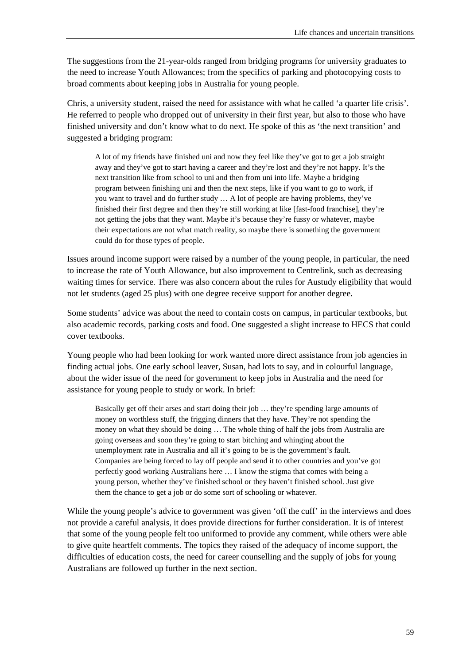The suggestions from the 21-year-olds ranged from bridging programs for university graduates to the need to increase Youth Allowances; from the specifics of parking and photocopying costs to broad comments about keeping jobs in Australia for young people.

Chris, a university student, raised the need for assistance with what he called 'a quarter life crisis'. He referred to people who dropped out of university in their first year, but also to those who have finished university and don't know what to do next. He spoke of this as 'the next transition' and suggested a bridging program:

A lot of my friends have finished uni and now they feel like they've got to get a job straight away and they've got to start having a career and they're lost and they're not happy. It's the next transition like from school to uni and then from uni into life. Maybe a bridging program between finishing uni and then the next steps, like if you want to go to work, if you want to travel and do further study … A lot of people are having problems, they've finished their first degree and then they're still working at like [fast-food franchise], they're not getting the jobs that they want. Maybe it's because they're fussy or whatever, maybe their expectations are not what match reality, so maybe there is something the government could do for those types of people.

Issues around income support were raised by a number of the young people, in particular, the need to increase the rate of Youth Allowance, but also improvement to Centrelink, such as decreasing waiting times for service. There was also concern about the rules for Austudy eligibility that would not let students (aged 25 plus) with one degree receive support for another degree.

Some students' advice was about the need to contain costs on campus, in particular textbooks, but also academic records, parking costs and food. One suggested a slight increase to HECS that could cover textbooks.

Young people who had been looking for work wanted more direct assistance from job agencies in finding actual jobs. One early school leaver, Susan, had lots to say, and in colourful language, about the wider issue of the need for government to keep jobs in Australia and the need for assistance for young people to study or work. In brief:

Basically get off their arses and start doing their job … they're spending large amounts of money on worthless stuff, the frigging dinners that they have. They're not spending the money on what they should be doing … The whole thing of half the jobs from Australia are going overseas and soon they're going to start bitching and whinging about the unemployment rate in Australia and all it's going to be is the government's fault. Companies are being forced to lay off people and send it to other countries and you've got perfectly good working Australians here … I know the stigma that comes with being a young person, whether they've finished school or they haven't finished school. Just give them the chance to get a job or do some sort of schooling or whatever.

While the young people's advice to government was given 'off the cuff' in the interviews and does not provide a careful analysis, it does provide directions for further consideration. It is of interest that some of the young people felt too uniformed to provide any comment, while others were able to give quite heartfelt comments. The topics they raised of the adequacy of income support, the difficulties of education costs, the need for career counselling and the supply of jobs for young Australians are followed up further in the next section.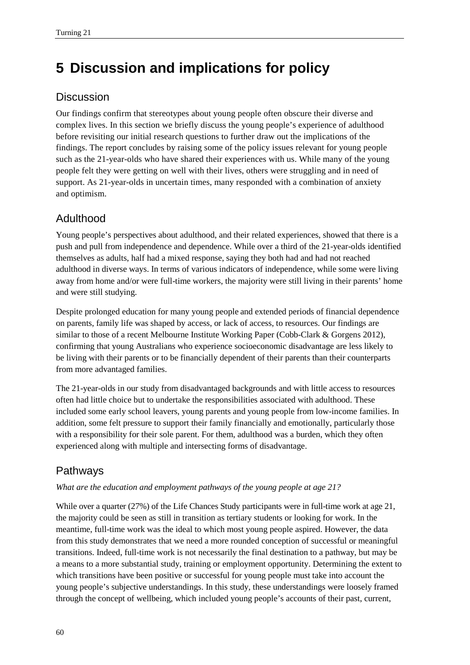# **5 Discussion and implications for policy**

# **Discussion**

Our findings confirm that stereotypes about young people often obscure their diverse and complex lives. In this section we briefly discuss the young people's experience of adulthood before revisiting our initial research questions to further draw out the implications of the findings. The report concludes by raising some of the policy issues relevant for young people such as the 21-year-olds who have shared their experiences with us. While many of the young people felt they were getting on well with their lives, others were struggling and in need of support. As 21-year-olds in uncertain times, many responded with a combination of anxiety and optimism.

# Adulthood

Young people's perspectives about adulthood, and their related experiences, showed that there is a push and pull from independence and dependence. While over a third of the 21-year-olds identified themselves as adults, half had a mixed response, saying they both had and had not reached adulthood in diverse ways. In terms of various indicators of independence, while some were living away from home and/or were full-time workers, the majority were still living in their parents' home and were still studying.

Despite prolonged education for many young people and extended periods of financial dependence on parents, family life was shaped by access, or lack of access, to resources. Our findings are similar to those of a recent Melbourne Institute Working Paper (Cobb-Clark & Gorgens 2012), confirming that young Australians who experience socioeconomic disadvantage are less likely to be living with their parents or to be financially dependent of their parents than their counterparts from more advantaged families.

The 21-year-olds in our study from disadvantaged backgrounds and with little access to resources often had little choice but to undertake the responsibilities associated with adulthood. These included some early school leavers, young parents and young people from low-income families. In addition, some felt pressure to support their family financially and emotionally, particularly those with a responsibility for their sole parent. For them, adulthood was a burden, which they often experienced along with multiple and intersecting forms of disadvantage.

# Pathways

## *What are the education and employment pathways of the young people at age 21?*

While over a quarter (27%) of the Life Chances Study participants were in full-time work at age 21, the majority could be seen as still in transition as tertiary students or looking for work. In the meantime, full-time work was the ideal to which most young people aspired. However, the data from this study demonstrates that we need a more rounded conception of successful or meaningful transitions. Indeed, full-time work is not necessarily the final destination to a pathway, but may be a means to a more substantial study, training or employment opportunity. Determining the extent to which transitions have been positive or successful for young people must take into account the young people's subjective understandings. In this study, these understandings were loosely framed through the concept of wellbeing, which included young people's accounts of their past, current,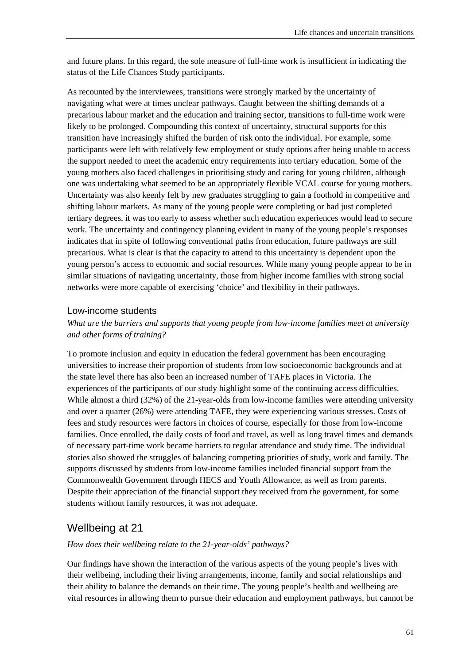and future plans. In this regard, the sole measure of full-time work is insufficient in indicating the status of the Life Chances Study participants.

As recounted by the interviewees, transitions were strongly marked by the uncertainty of navigating what were at times unclear pathways. Caught between the shifting demands of a precarious labour market and the education and training sector, transitions to full-time work were likely to be prolonged. Compounding this context of uncertainty, structural supports for this transition have increasingly shifted the burden of risk onto the individual. For example, some participants were left with relatively few employment or study options after being unable to access the support needed to meet the academic entry requirements into tertiary education. Some of the young mothers also faced challenges in prioritising study and caring for young children, although one was undertaking what seemed to be an appropriately flexible VCAL course for young mothers. Uncertainty was also keenly felt by new graduates struggling to gain a foothold in competitive and shifting labour markets. As many of the young people were completing or had just completed tertiary degrees, it was too early to assess whether such education experiences would lead to secure work. The uncertainty and contingency planning evident in many of the young people's responses indicates that in spite of following conventional paths from education, future pathways are still precarious. What is clear is that the capacity to attend to this uncertainty is dependent upon the young person's access to economic and social resources. While many young people appear to be in similar situations of navigating uncertainty, those from higher income families with strong social networks were more capable of exercising 'choice' and flexibility in their pathways.

#### Low-income students

#### *What are the barriers and supports that young people from low-income families meet at university and other forms of training?*

To promote inclusion and equity in education the federal government has been encouraging universities to increase their proportion of students from low socioeconomic backgrounds and at the state level there has also been an increased number of TAFE places in Victoria. The experiences of the participants of our study highlight some of the continuing access difficulties. While almost a third (32%) of the 21-year-olds from low-income families were attending university and over a quarter (26%) were attending TAFE, they were experiencing various stresses. Costs of fees and study resources were factors in choices of course, especially for those from low-income families. Once enrolled, the daily costs of food and travel, as well as long travel times and demands of necessary part-time work became barriers to regular attendance and study time. The individual stories also showed the struggles of balancing competing priorities of study, work and family. The supports discussed by students from low-income families included financial support from the Commonwealth Government through HECS and Youth Allowance, as well as from parents. Despite their appreciation of the financial support they received from the government, for some students without family resources, it was not adequate.

## Wellbeing at 21

#### *How does their wellbeing relate to the 21-year-olds' pathways?*

Our findings have shown the interaction of the various aspects of the young people's lives with their wellbeing, including their living arrangements, income, family and social relationships and their ability to balance the demands on their time. The young people's health and wellbeing are vital resources in allowing them to pursue their education and employment pathways, but cannot be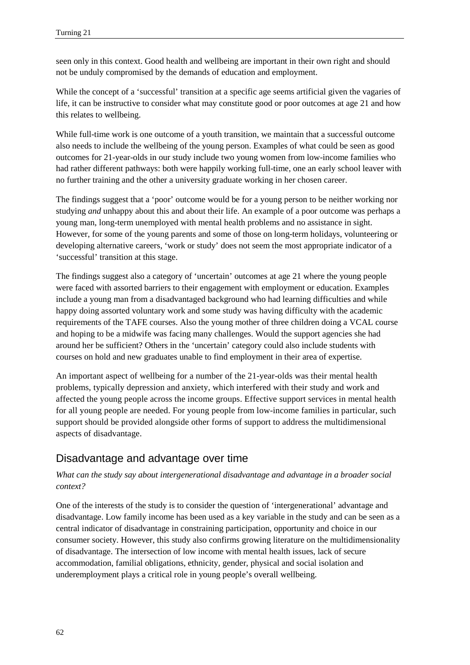seen only in this context. Good health and wellbeing are important in their own right and should not be unduly compromised by the demands of education and employment.

While the concept of a 'successful' transition at a specific age seems artificial given the vagaries of life, it can be instructive to consider what may constitute good or poor outcomes at age 21 and how this relates to wellbeing.

While full-time work is one outcome of a youth transition, we maintain that a successful outcome also needs to include the wellbeing of the young person. Examples of what could be seen as good outcomes for 21-year-olds in our study include two young women from low-income families who had rather different pathways: both were happily working full-time, one an early school leaver with no further training and the other a university graduate working in her chosen career.

The findings suggest that a 'poor' outcome would be for a young person to be neither working nor studying *and* unhappy about this and about their life. An example of a poor outcome was perhaps a young man, long-term unemployed with mental health problems and no assistance in sight. However, for some of the young parents and some of those on long-term holidays, volunteering or developing alternative careers, 'work or study' does not seem the most appropriate indicator of a 'successful' transition at this stage.

The findings suggest also a category of 'uncertain' outcomes at age 21 where the young people were faced with assorted barriers to their engagement with employment or education. Examples include a young man from a disadvantaged background who had learning difficulties and while happy doing assorted voluntary work and some study was having difficulty with the academic requirements of the TAFE courses. Also the young mother of three children doing a VCAL course and hoping to be a midwife was facing many challenges. Would the support agencies she had around her be sufficient? Others in the 'uncertain' category could also include students with courses on hold and new graduates unable to find employment in their area of expertise.

An important aspect of wellbeing for a number of the 21-year-olds was their mental health problems, typically depression and anxiety, which interfered with their study and work and affected the young people across the income groups. Effective support services in mental health for all young people are needed. For young people from low-income families in particular, such support should be provided alongside other forms of support to address the multidimensional aspects of disadvantage.

# Disadvantage and advantage over time

#### *What can the study say about intergenerational disadvantage and advantage in a broader social context?*

One of the interests of the study is to consider the question of 'intergenerational' advantage and disadvantage. Low family income has been used as a key variable in the study and can be seen as a central indicator of disadvantage in constraining participation, opportunity and choice in our consumer society. However, this study also confirms growing literature on the multidimensionality of disadvantage. The intersection of low income with mental health issues, lack of secure accommodation, familial obligations, ethnicity, gender, physical and social isolation and underemployment plays a critical role in young people's overall wellbeing.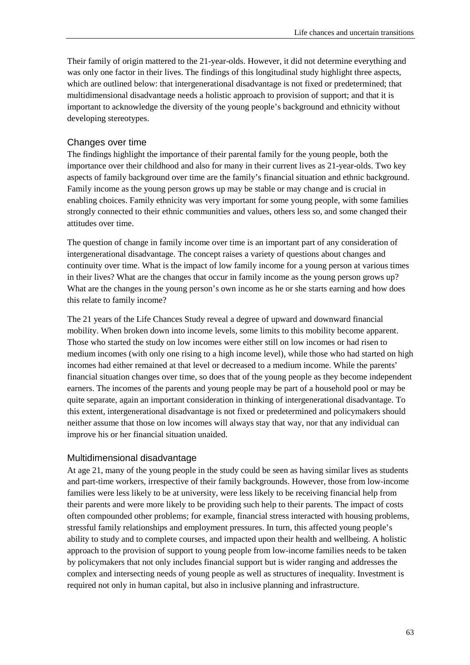Their family of origin mattered to the 21-year-olds. However, it did not determine everything and was only one factor in their lives. The findings of this longitudinal study highlight three aspects, which are outlined below: that intergenerational disadvantage is not fixed or predetermined; that multidimensional disadvantage needs a holistic approach to provision of support; and that it is important to acknowledge the diversity of the young people's background and ethnicity without developing stereotypes.

## Changes over time

The findings highlight the importance of their parental family for the young people, both the importance over their childhood and also for many in their current lives as 21-year-olds. Two key aspects of family background over time are the family's financial situation and ethnic background. Family income as the young person grows up may be stable or may change and is crucial in enabling choices. Family ethnicity was very important for some young people, with some families strongly connected to their ethnic communities and values, others less so, and some changed their attitudes over time.

The question of change in family income over time is an important part of any consideration of intergenerational disadvantage. The concept raises a variety of questions about changes and continuity over time. What is the impact of low family income for a young person at various times in their lives? What are the changes that occur in family income as the young person grows up? What are the changes in the young person's own income as he or she starts earning and how does this relate to family income?

The 21 years of the Life Chances Study reveal a degree of upward and downward financial mobility. When broken down into income levels, some limits to this mobility become apparent. Those who started the study on low incomes were either still on low incomes or had risen to medium incomes (with only one rising to a high income level), while those who had started on high incomes had either remained at that level or decreased to a medium income. While the parents' financial situation changes over time, so does that of the young people as they become independent earners. The incomes of the parents and young people may be part of a household pool or may be quite separate, again an important consideration in thinking of intergenerational disadvantage. To this extent, intergenerational disadvantage is not fixed or predetermined and policymakers should neither assume that those on low incomes will always stay that way, nor that any individual can improve his or her financial situation unaided.

## Multidimensional disadvantage

At age 21, many of the young people in the study could be seen as having similar lives as students and part-time workers, irrespective of their family backgrounds. However, those from low-income families were less likely to be at university, were less likely to be receiving financial help from their parents and were more likely to be providing such help to their parents. The impact of costs often compounded other problems; for example, financial stress interacted with housing problems, stressful family relationships and employment pressures. In turn, this affected young people's ability to study and to complete courses, and impacted upon their health and wellbeing. A holistic approach to the provision of support to young people from low-income families needs to be taken by policymakers that not only includes financial support but is wider ranging and addresses the complex and intersecting needs of young people as well as structures of inequality. Investment is required not only in human capital, but also in inclusive planning and infrastructure.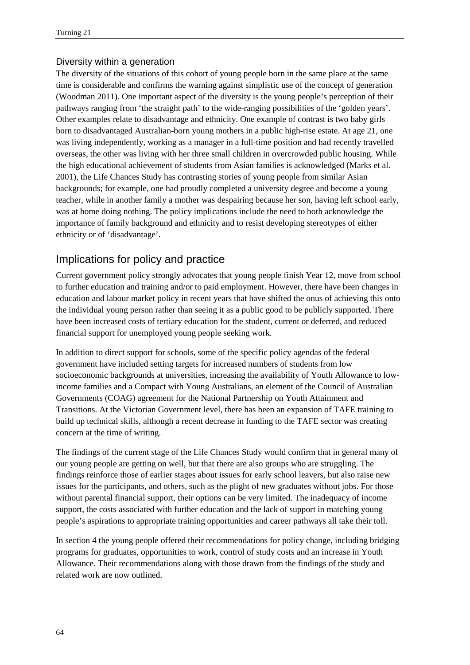### Diversity within a generation

The diversity of the situations of this cohort of young people born in the same place at the same time is considerable and confirms the warning against simplistic use of the concept of generation (Woodman 2011). One important aspect of the diversity is the young people's perception of their pathways ranging from 'the straight path' to the wide-ranging possibilities of the 'golden years'. Other examples relate to disadvantage and ethnicity. One example of contrast is two baby girls born to disadvantaged Australian-born young mothers in a public high-rise estate. At age 21, one was living independently, working as a manager in a full-time position and had recently travelled overseas, the other was living with her three small children in overcrowded public housing. While the high educational achievement of students from Asian families is acknowledged (Marks et al. 2001), the Life Chances Study has contrasting stories of young people from similar Asian backgrounds; for example, one had proudly completed a university degree and become a young teacher, while in another family a mother was despairing because her son, having left school early, was at home doing nothing. The policy implications include the need to both acknowledge the importance of family background and ethnicity and to resist developing stereotypes of either ethnicity or of 'disadvantage'.

# Implications for policy and practice

Current government policy strongly advocates that young people finish Year 12, move from school to further education and training and/or to paid employment. However, there have been changes in education and labour market policy in recent years that have shifted the onus of achieving this onto the individual young person rather than seeing it as a public good to be publicly supported. There have been increased costs of tertiary education for the student, current or deferred, and reduced financial support for unemployed young people seeking work.

In addition to direct support for schools, some of the specific policy agendas of the federal government have included setting targets for increased numbers of students from low socioeconomic backgrounds at universities, increasing the availability of Youth Allowance to lowincome families and a Compact with Young Australians, an element of the Council of Australian Governments (COAG) agreement for the National Partnership on Youth Attainment and Transitions. At the Victorian Government level, there has been an expansion of TAFE training to build up technical skills, although a recent decrease in funding to the TAFE sector was creating concern at the time of writing.

The findings of the current stage of the Life Chances Study would confirm that in general many of our young people are getting on well, but that there are also groups who are struggling. The findings reinforce those of earlier stages about issues for early school leavers, but also raise new issues for the participants, and others, such as the plight of new graduates without jobs. For those without parental financial support, their options can be very limited. The inadequacy of income support, the costs associated with further education and the lack of support in matching young people's aspirations to appropriate training opportunities and career pathways all take their toll.

In section 4 the young people offered their recommendations for policy change, including bridging programs for graduates, opportunities to work, control of study costs and an increase in Youth Allowance. Their recommendations along with those drawn from the findings of the study and related work are now outlined.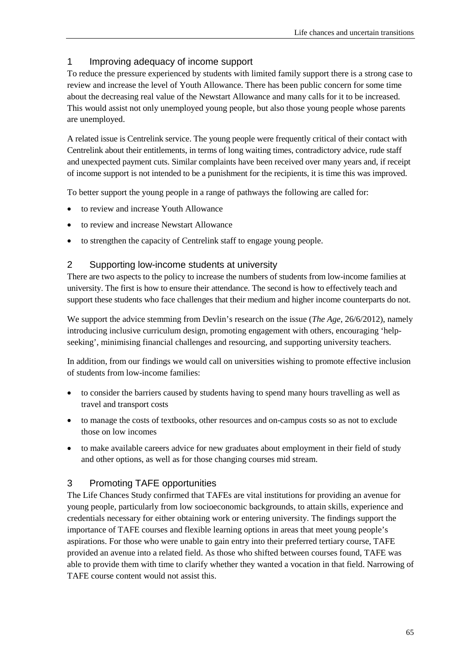#### 1 Improving adequacy of income support

To reduce the pressure experienced by students with limited family support there is a strong case to review and increase the level of Youth Allowance. There has been public concern for some time about the decreasing real value of the Newstart Allowance and many calls for it to be increased. This would assist not only unemployed young people, but also those young people whose parents are unemployed.

A related issue is Centrelink service. The young people were frequently critical of their contact with Centrelink about their entitlements, in terms of long waiting times, contradictory advice, rude staff and unexpected payment cuts. Similar complaints have been received over many years and, if receipt of income support is not intended to be a punishment for the recipients, it is time this was improved.

To better support the young people in a range of pathways the following are called for:

- to review and increase Youth Allowance
- to review and increase Newstart Allowance
- to strengthen the capacity of Centrelink staff to engage young people.

#### 2 Supporting low-income students at university

There are two aspects to the policy to increase the numbers of students from low-income families at university. The first is how to ensure their attendance. The second is how to effectively teach and support these students who face challenges that their medium and higher income counterparts do not.

We support the advice stemming from Devlin's research on the issue (*The Age*, 26/6/2012), namely introducing inclusive curriculum design, promoting engagement with others, encouraging 'helpseeking', minimising financial challenges and resourcing, and supporting university teachers.

In addition, from our findings we would call on universities wishing to promote effective inclusion of students from low-income families:

- to consider the barriers caused by students having to spend many hours travelling as well as travel and transport costs
- to manage the costs of textbooks, other resources and on-campus costs so as not to exclude those on low incomes
- to make available careers advice for new graduates about employment in their field of study and other options, as well as for those changing courses mid stream.

#### 3 Promoting TAFE opportunities

The Life Chances Study confirmed that TAFEs are vital institutions for providing an avenue for young people, particularly from low socioeconomic backgrounds, to attain skills, experience and credentials necessary for either obtaining work or entering university. The findings support the importance of TAFE courses and flexible learning options in areas that meet young people's aspirations. For those who were unable to gain entry into their preferred tertiary course, TAFE provided an avenue into a related field. As those who shifted between courses found, TAFE was able to provide them with time to clarify whether they wanted a vocation in that field. Narrowing of TAFE course content would not assist this.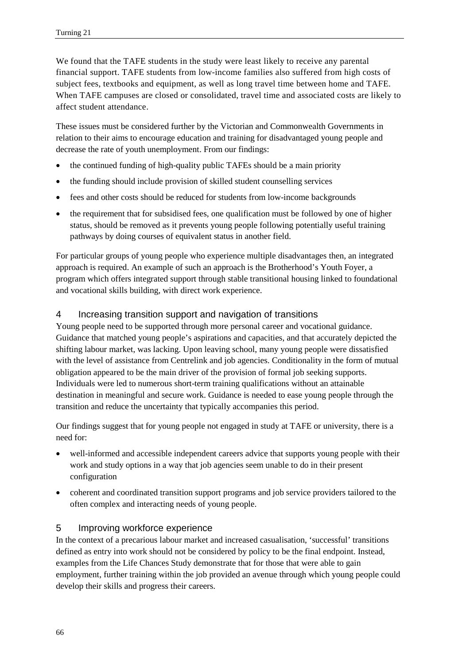We found that the TAFE students in the study were least likely to receive any parental financial support. TAFE students from low-income families also suffered from high costs of subject fees, textbooks and equipment, as well as long travel time between home and TAFE. When TAFE campuses are closed or consolidated, travel time and associated costs are likely to affect student attendance.

These issues must be considered further by the Victorian and Commonwealth Governments in relation to their aims to encourage education and training for disadvantaged young people and decrease the rate of youth unemployment. From our findings:

- the continued funding of high-quality public TAFEs should be a main priority
- the funding should include provision of skilled student counselling services
- fees and other costs should be reduced for students from low-income backgrounds
- the requirement that for subsidised fees, one qualification must be followed by one of higher status, should be removed as it prevents young people following potentially useful training pathways by doing courses of equivalent status in another field.

For particular groups of young people who experience multiple disadvantages then, an integrated approach is required. An example of such an approach is the Brotherhood's Youth Foyer, a program which offers integrated support through stable transitional housing linked to foundational and vocational skills building, with direct work experience.

#### 4 Increasing transition support and navigation of transitions

Young people need to be supported through more personal career and vocational guidance. Guidance that matched young people's aspirations and capacities, and that accurately depicted the shifting labour market, was lacking. Upon leaving school, many young people were dissatisfied with the level of assistance from Centrelink and job agencies. Conditionality in the form of mutual obligation appeared to be the main driver of the provision of formal job seeking supports. Individuals were led to numerous short-term training qualifications without an attainable destination in meaningful and secure work. Guidance is needed to ease young people through the transition and reduce the uncertainty that typically accompanies this period.

Our findings suggest that for young people not engaged in study at TAFE or university, there is a need for:

- well-informed and accessible independent careers advice that supports young people with their work and study options in a way that job agencies seem unable to do in their present configuration
- coherent and coordinated transition support programs and job service providers tailored to the often complex and interacting needs of young people.

#### 5 Improving workforce experience

In the context of a precarious labour market and increased casualisation, 'successful' transitions defined as entry into work should not be considered by policy to be the final endpoint. Instead, examples from the Life Chances Study demonstrate that for those that were able to gain employment, further training within the job provided an avenue through which young people could develop their skills and progress their careers.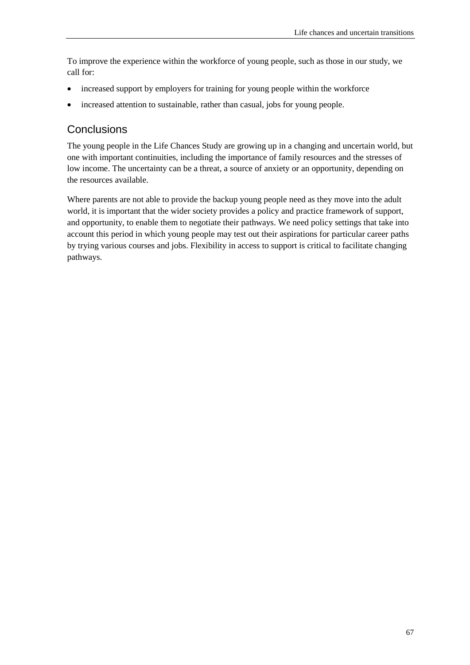To improve the experience within the workforce of young people, such as those in our study, we call for:

- increased support by employers for training for young people within the workforce
- increased attention to sustainable, rather than casual, jobs for young people.

## **Conclusions**

The young people in the Life Chances Study are growing up in a changing and uncertain world, but one with important continuities, including the importance of family resources and the stresses of low income. The uncertainty can be a threat, a source of anxiety or an opportunity, depending on the resources available.

Where parents are not able to provide the backup young people need as they move into the adult world, it is important that the wider society provides a policy and practice framework of support, and opportunity, to enable them to negotiate their pathways. We need policy settings that take into account this period in which young people may test out their aspirations for particular career paths by trying various courses and jobs. Flexibility in access to support is critical to facilitate changing pathways.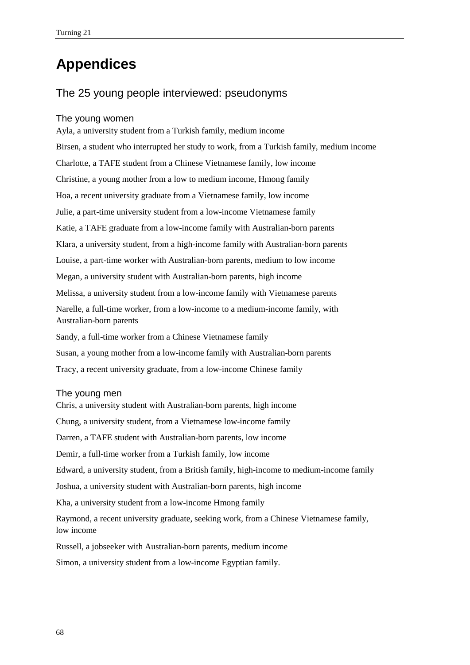# **Appendices**

## The 25 young people interviewed: pseudonyms

#### The young women

Ayla, a university student from a Turkish family, medium income Birsen, a student who interrupted her study to work, from a Turkish family, medium income Charlotte, a TAFE student from a Chinese Vietnamese family, low income Christine, a young mother from a low to medium income, Hmong family Hoa, a recent university graduate from a Vietnamese family, low income Julie, a part-time university student from a low-income Vietnamese family Katie, a TAFE graduate from a low-income family with Australian-born parents Klara, a university student, from a high-income family with Australian-born parents Louise, a part-time worker with Australian-born parents, medium to low income Megan, a university student with Australian-born parents, high income Melissa, a university student from a low-income family with Vietnamese parents Narelle, a full-time worker, from a low-income to a medium-income family, with Australian-born parents Sandy, a full-time worker from a Chinese Vietnamese family Susan, a young mother from a low-income family with Australian-born parents Tracy, a recent university graduate, from a low-income Chinese family

#### The young men

Chris, a university student with Australian-born parents, high income Chung, a university student, from a Vietnamese low-income family Darren, a TAFE student with Australian-born parents, low income Demir, a full-time worker from a Turkish family, low income Edward, a university student, from a British family, high-income to medium-income family Joshua, a university student with Australian-born parents, high income Kha, a university student from a low-income Hmong family Raymond, a recent university graduate, seeking work, from a Chinese Vietnamese family, low income Russell, a jobseeker with Australian-born parents, medium income Simon, a university student from a low-income Egyptian family.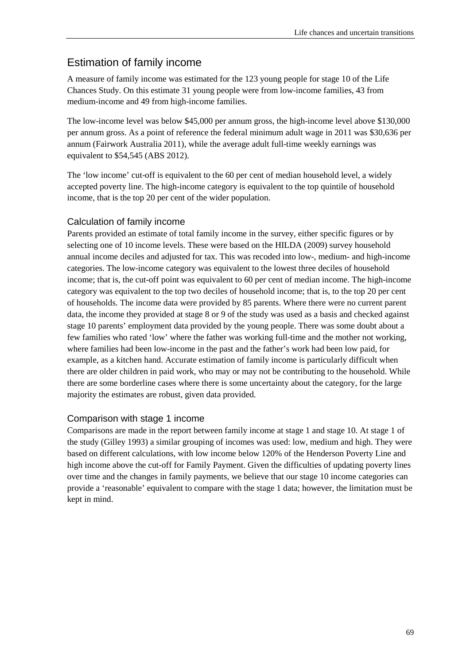## Estimation of family income

A measure of family income was estimated for the 123 young people for stage 10 of the Life Chances Study. On this estimate 31 young people were from low-income families, 43 from medium-income and 49 from high-income families.

The low-income level was below \$45,000 per annum gross, the high-income level above \$130,000 per annum gross. As a point of reference the federal minimum adult wage in 2011 was \$30,636 per annum (Fairwork Australia 2011), while the average adult full-time weekly earnings was equivalent to \$54,545 (ABS 2012).

The 'low income' cut-off is equivalent to the 60 per cent of median household level, a widely accepted poverty line. The high-income category is equivalent to the top quintile of household income, that is the top 20 per cent of the wider population.

#### Calculation of family income

Parents provided an estimate of total family income in the survey, either specific figures or by selecting one of 10 income levels. These were based on the HILDA (2009) survey household annual income deciles and adjusted for tax. This was recoded into low-, medium- and high-income categories. The low-income category was equivalent to the lowest three deciles of household income; that is, the cut-off point was equivalent to 60 per cent of median income. The high-income category was equivalent to the top two deciles of household income; that is, to the top 20 per cent of households. The income data were provided by 85 parents. Where there were no current parent data, the income they provided at stage 8 or 9 of the study was used as a basis and checked against stage 10 parents' employment data provided by the young people. There was some doubt about a few families who rated 'low' where the father was working full-time and the mother not working, where families had been low-income in the past and the father's work had been low paid, for example, as a kitchen hand. Accurate estimation of family income is particularly difficult when there are older children in paid work, who may or may not be contributing to the household. While there are some borderline cases where there is some uncertainty about the category, for the large majority the estimates are robust, given data provided.

#### Comparison with stage 1 income

Comparisons are made in the report between family income at stage 1 and stage 10. At stage 1 of the study (Gilley 1993) a similar grouping of incomes was used: low, medium and high. They were based on different calculations, with low income below 120% of the Henderson Poverty Line and high income above the cut-off for Family Payment. Given the difficulties of updating poverty lines over time and the changes in family payments, we believe that our stage 10 income categories can provide a 'reasonable' equivalent to compare with the stage 1 data; however, the limitation must be kept in mind.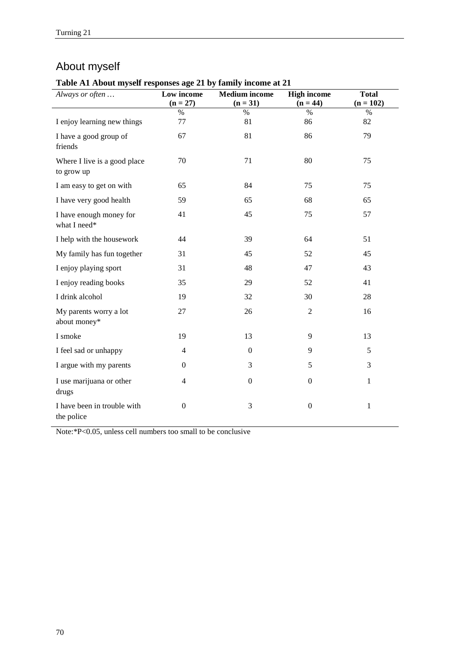# About myself

**Table A1 About myself responses age 21 by family income at 21**

| Always or often                            | 0<br>Low income<br>$(n = 27)$ | <b>Medium</b> income<br>$(n = 31)$ | <b>High income</b><br>$(n = 44)$ | <b>Total</b><br>$(n = 102)$ |
|--------------------------------------------|-------------------------------|------------------------------------|----------------------------------|-----------------------------|
|                                            | $\%$                          | $\%$                               | $\%$                             | $\%$                        |
| I enjoy learning new things                | 77                            | 81                                 | 86                               | 82                          |
| I have a good group of<br>friends          | 67                            | 81                                 | 86                               | 79                          |
| Where I live is a good place<br>to grow up | 70                            | 71                                 | 80                               | 75                          |
| I am easy to get on with                   | 65                            | 84                                 | 75                               | 75                          |
| I have very good health                    | 59                            | 65                                 | 68                               | 65                          |
| I have enough money for<br>what I need*    | 41                            | 45                                 | 75                               | 57                          |
| I help with the housework                  | 44                            | 39                                 | 64                               | 51                          |
| My family has fun together                 | 31                            | 45                                 | 52                               | 45                          |
| I enjoy playing sport                      | 31                            | 48                                 | 47                               | 43                          |
| I enjoy reading books                      | 35                            | 29                                 | 52                               | 41                          |
| I drink alcohol                            | 19                            | 32                                 | 30                               | 28                          |
| My parents worry a lot<br>about money*     | $27\,$                        | 26                                 | $\overline{2}$                   | 16                          |
| I smoke                                    | 19                            | 13                                 | 9                                | 13                          |
| I feel sad or unhappy                      | $\overline{4}$                | $\overline{0}$                     | 9                                | 5                           |
| I argue with my parents                    | $\overline{0}$                | 3                                  | 5                                | 3                           |
| I use marijuana or other<br>drugs          | $\overline{4}$                | $\Omega$                           | $\Omega$                         | $\mathbf{1}$                |
| I have been in trouble with<br>the police  | $\boldsymbol{0}$              | 3                                  | $\boldsymbol{0}$                 | $\mathbf{1}$                |

Note:\*P<0.05, unless cell numbers too small to be conclusive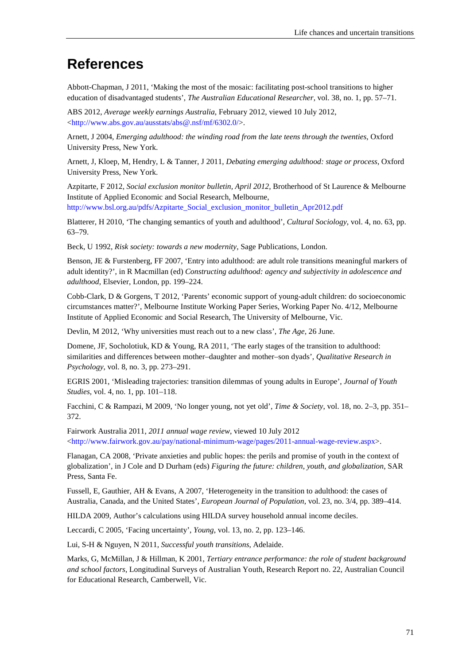# **References**

Abbott-Chapman, J 2011, 'Making the most of the mosaic: facilitating post-school transitions to higher education of disadvantaged students', *The Australian Educational Researcher*, vol. 38, no. 1, pp. 57–71.

ABS 2012, *Average weekly earnings Australia*, February 2012, viewed 10 July 2012, [<http://www.abs.gov.au/ausstats/abs@.nsf/mf/6302.0/>](http://www.abs.gov.au/ausstats/abs@.nsf/mf/6302.0/).

Arnett, J 2004, *Emerging adulthood: the winding road from the late teens through the twenties*, Oxford University Press, New York.

Arnett, J, Kloep, M, Hendry, L & Tanner, J 2011, *Debating emerging adulthood: stage or process*, Oxford University Press, New York.

Azpitarte, F 2012, *Social exclusion monitor bulletin, April 2012*, Brotherhood of St Laurence & Melbourne Institute of Applied Economic and Social Research, Melbourne, [http://www.bsl.org.au/pdfs/Azpitarte\\_Social\\_exclusion\\_monitor\\_bulletin\\_Apr2012.pdf](http://www.bsl.org.au/pdfs/Azpitarte_Social_exclusion_monitor_bulletin_Apr2012.pdf)

Blatterer, H 2010, 'The changing semantics of youth and adulthood', *Cultural Sociology*, vol. 4, no. 63, pp. 63–79.

Beck, U 1992, *Risk society: towards a new modernity*, Sage Publications, London.

Benson, JE & Furstenberg, FF 2007, 'Entry into adulthood: are adult role transitions meaningful markers of adult identity?', in R Macmillan (ed) *Constructing adulthood: agency and subjectivity in adolescence and adulthood*, Elsevier, London, pp. 199–224.

Cobb-Clark, D & Gorgens, T 2012, 'Parents' economic support of young-adult children: do socioeconomic circumstances matter?', Melbourne Institute Working Paper Series, Working Paper No. 4/12, Melbourne Institute of Applied Economic and Social Research, The University of Melbourne, Vic.

Devlin, M 2012, 'Why universities must reach out to a new class', *The Age*, 26 June.

Domene, JF, Socholotiuk, KD & Young, RA 2011, 'The early stages of the transition to adulthood: similarities and differences between mother–daughter and mother–son dyads', *Qualitative Research in Psychology*, vol. 8, no. 3, pp. 273–291.

EGRIS 2001, 'Misleading trajectories: transition dilemmas of young adults in Europe', *Journal of Youth Studies*, vol. 4, no. 1, pp. 101–118.

Facchini, C & Rampazi, M 2009, 'No longer young, not yet old', *Time & Society*, vol. 18, no. 2–3, pp. 351– 372.

Fairwork Australia 2011, *2011 annual wage review*, viewed 10 July 2012  $\langle$ http://www.fairwork.gov.au/pay/national-minimum-wage/pages/2011-annual-wage-review.aspx>.

Flanagan, CA 2008, 'Private anxieties and public hopes: the perils and promise of youth in the context of globalization', in J Cole and D Durham (eds) *Figuring the future: children, youth, and globalization*, SAR Press, Santa Fe.

Fussell, E, Gauthier, AH & Evans, A 2007, 'Heterogeneity in the transition to adulthood: the cases of Australia, Canada, and the United States', *European Journal of Population*, vol. 23, no. 3/4, pp. 389–414.

HILDA 2009, Author's calculations using HILDA survey household annual income deciles.

Leccardi, C 2005, 'Facing uncertainty', *Young*, vol. 13, no. 2, pp. 123–146.

Lui, S-H & Nguyen, N 2011, *Successful youth transitions*, Adelaide.

Marks, G, McMillan, J & Hillman, K 2001, *Tertiary entrance performance: the role of student background and school factors*, Longitudinal Surveys of Australian Youth, Research Report no. 22, Australian Council for Educational Research, Camberwell, Vic.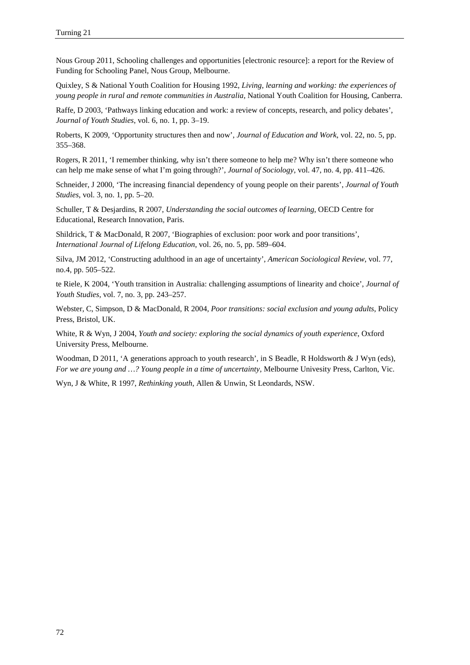Nous Group 2011, Schooling challenges and opportunities [electronic resource]: a report for the Review of Funding for Schooling Panel, Nous Group, Melbourne.

Quixley, S & National Youth Coalition for Housing 1992, *Living, learning and working: the experiences of young people in rural and remote communities in Australia*, National Youth Coalition for Housing, Canberra.

Raffe, D 2003, 'Pathways linking education and work: a review of concepts, research, and policy debates', *Journal of Youth Studies*, vol. 6, no. 1, pp. 3–19.

Roberts, K 2009, 'Opportunity structures then and now', *Journal of Education and Work*, vol. 22, no. 5, pp. 355–368.

Rogers, R 2011, 'I remember thinking, why isn't there someone to help me? Why isn't there someone who can help me make sense of what I'm going through?', *Journal of Sociology*, vol. 47, no. 4, pp. 411–426.

Schneider, J 2000, 'The increasing financial dependency of young people on their parents', *Journal of Youth Studies*, vol. 3, no. 1, pp. 5–20.

Schuller, T & Desjardins, R 2007, *Understanding the social outcomes of learning*, OECD Centre for Educational, Research Innovation, Paris.

Shildrick, T & MacDonald, R 2007, 'Biographies of exclusion: poor work and poor transitions', *International Journal of Lifelong Education*, vol. 26, no. 5, pp. 589–604.

Silva, JM 2012, 'Constructing adulthood in an age of uncertainty', *American Sociological Review*, vol. 77, no.4, pp. 505–522.

te Riele, K 2004, 'Youth transition in Australia: challenging assumptions of linearity and choice', *Journal of Youth Studies*, vol. 7, no. 3, pp. 243–257.

Webster, C, Simpson, D & MacDonald, R 2004, *Poor transitions: social exclusion and young adults*, Policy Press, Bristol, UK.

White, R & Wyn, J 2004, *Youth and society: exploring the social dynamics of youth experience*, Oxford University Press, Melbourne.

Woodman, D 2011, 'A generations approach to youth research', in S Beadle, R Holdsworth & J Wyn (eds), *For we are young and …? Young people in a time of uncertainty*, Melbourne Univesity Press, Carlton, Vic.

Wyn, J & White, R 1997, *Rethinking youth*, Allen & Unwin, St Leondards, NSW.